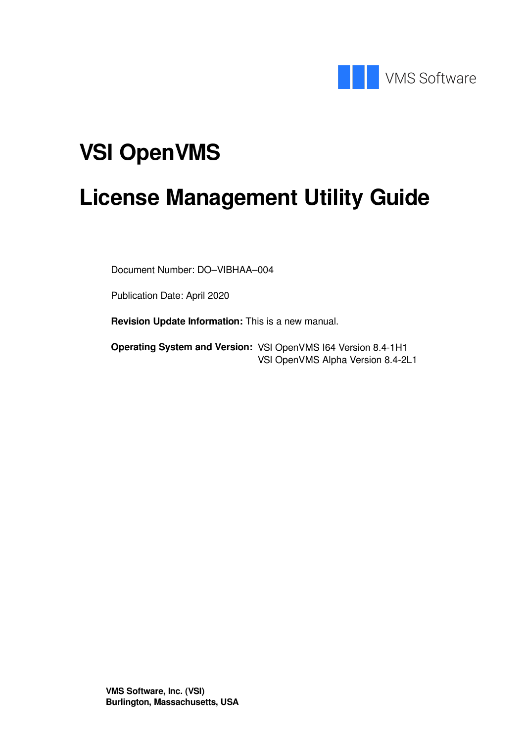

# **VSI OpenVMS**

# **License Management Utility Guide**

Document Number: DO–VIBHAA–004

Publication Date: April 2020

**Revision Update Information:** This is a new manual.

**Operating System and Version:** VSI OpenVMS I64 Version 8.4-1H1 VSI OpenVMS Alpha Version 8.4-2L1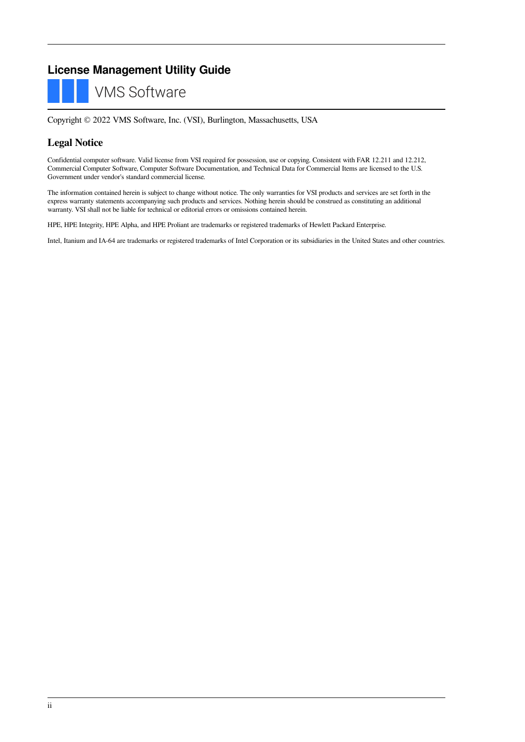#### **License Management Utility Guide**



Copyright © 2022 VMS Software, Inc. (VSI), Burlington, Massachusetts, USA

#### **Legal Notice**

Confidential computer software. Valid license from VSI required for possession, use or copying. Consistent with FAR 12.211 and 12.212, Commercial Computer Software, Computer Software Documentation, and Technical Data for Commercial Items are licensed to the U.S. Government under vendor's standard commercial license.

The information contained herein is subject to change without notice. The only warranties for VSI products and services are set forth in the express warranty statements accompanying such products and services. Nothing herein should be construed as constituting an additional warranty. VSI shall not be liable for technical or editorial errors or omissions contained herein.

HPE, HPE Integrity, HPE Alpha, and HPE Proliant are trademarks or registered trademarks of Hewlett Packard Enterprise.

Intel, Itanium and IA-64 are trademarks or registered trademarks of Intel Corporation or its subsidiaries in the United States and other countries.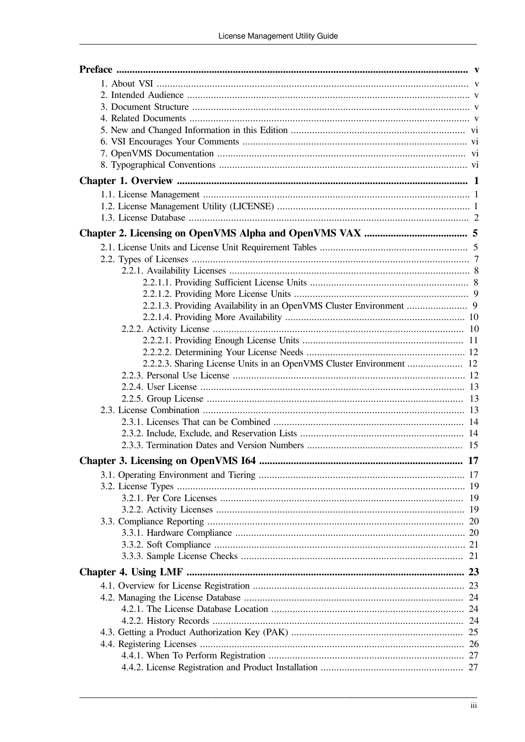| 2.2.2.3. Sharing License Units in an OpenVMS Cluster Environment  12 |  |
|----------------------------------------------------------------------|--|
|                                                                      |  |
|                                                                      |  |
|                                                                      |  |
|                                                                      |  |
|                                                                      |  |
|                                                                      |  |
|                                                                      |  |
|                                                                      |  |
|                                                                      |  |
|                                                                      |  |
|                                                                      |  |
|                                                                      |  |
|                                                                      |  |
|                                                                      |  |
|                                                                      |  |
|                                                                      |  |
|                                                                      |  |
|                                                                      |  |
|                                                                      |  |
|                                                                      |  |
|                                                                      |  |
|                                                                      |  |
|                                                                      |  |
|                                                                      |  |
|                                                                      |  |
|                                                                      |  |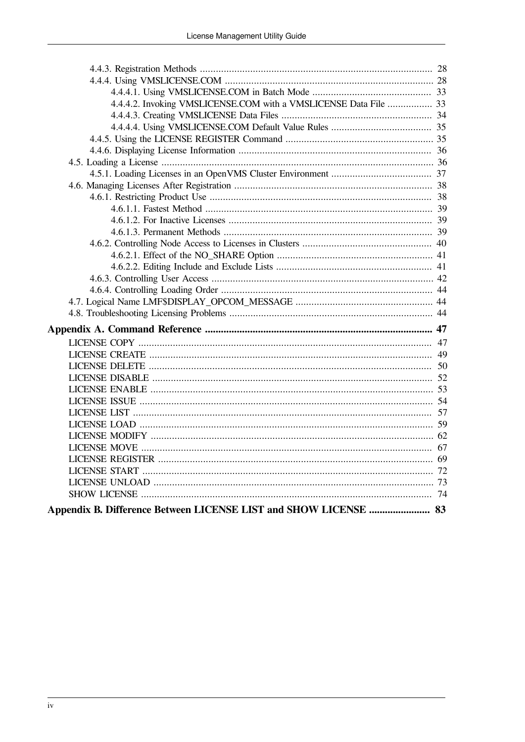| 4.4.4.2. Invoking VMSLICENSE.COM with a VMSLICENSE Data File  33 |  |
|------------------------------------------------------------------|--|
|                                                                  |  |
|                                                                  |  |
|                                                                  |  |
|                                                                  |  |
|                                                                  |  |
|                                                                  |  |
|                                                                  |  |
|                                                                  |  |
|                                                                  |  |
|                                                                  |  |
|                                                                  |  |
|                                                                  |  |
|                                                                  |  |
|                                                                  |  |
|                                                                  |  |
|                                                                  |  |
|                                                                  |  |
|                                                                  |  |
|                                                                  |  |
|                                                                  |  |
|                                                                  |  |
|                                                                  |  |
|                                                                  |  |
|                                                                  |  |
|                                                                  |  |
|                                                                  |  |
|                                                                  |  |
|                                                                  |  |
|                                                                  |  |
|                                                                  |  |
|                                                                  |  |
|                                                                  |  |
|                                                                  |  |
|                                                                  |  |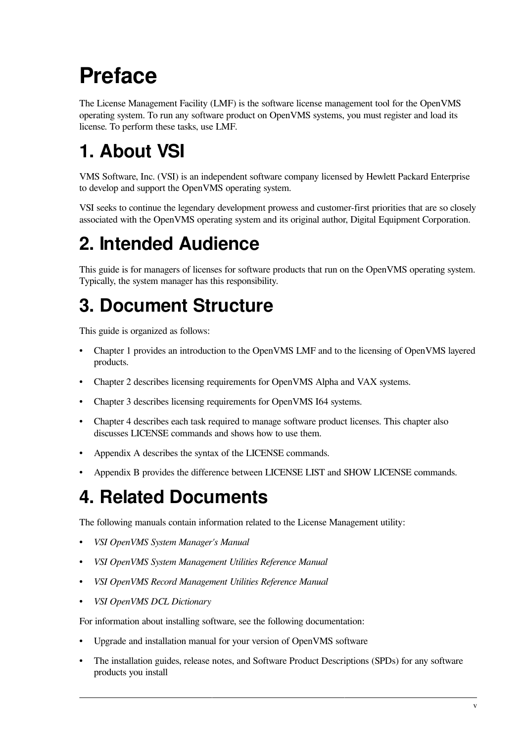# <span id="page-4-0"></span>**Preface**

The License Management Facility (LMF) is the software license management tool for the OpenVMS operating system. To run any software product on OpenVMS systems, you must register and load its license. To perform these tasks, use LMF.

# <span id="page-4-1"></span>**1. About VSI**

VMS Software, Inc. (VSI) is an independent software company licensed by Hewlett Packard Enterprise to develop and support the OpenVMS operating system.

VSI seeks to continue the legendary development prowess and customer-first priorities that are so closely associated with the OpenVMS operating system and its original author, Digital Equipment Corporation.

# <span id="page-4-2"></span>**2. Intended Audience**

This guide is for managers of licenses for software products that run on the OpenVMS operating system. Typically, the system manager has this responsibility.

# <span id="page-4-3"></span>**3. Document Structure**

This guide is organized as follows:

- [Chapter](#page-8-0) 1 provides an introduction to the OpenVMS LMF and to the licensing of OpenVMS layered products.
- [Chapter](#page-12-0) 2 describes licensing requirements for OpenVMS Alpha and VAX systems.
- [Chapter](#page-24-0) 3 describes licensing requirements for OpenVMS I64 systems.
- [Chapter](#page-30-0) 4 describes each task required to manage software product licenses. This chapter also discusses LICENSE commands and shows how to use them.
- [Appendix](#page-54-0) A describes the syntax of the LICENSE commands.
- [Appendix](#page-90-0) B provides the difference between LICENSE LIST and SHOW LICENSE commands.

## <span id="page-4-4"></span>**4. Related Documents**

The following manuals contain information related to the License Management utility:

- *VSI OpenVMS System Manager's Manual*
- *VSI OpenVMS System Management Utilities Reference Manual*
- *VSI OpenVMS Record Management Utilities Reference Manual*
- *VSI OpenVMS DCL Dictionary*

For information about installing software, see the following documentation:

- Upgrade and installation manual for your version of OpenVMS software
- The installation guides, release notes, and Software Product Descriptions (SPDs) for any software products you install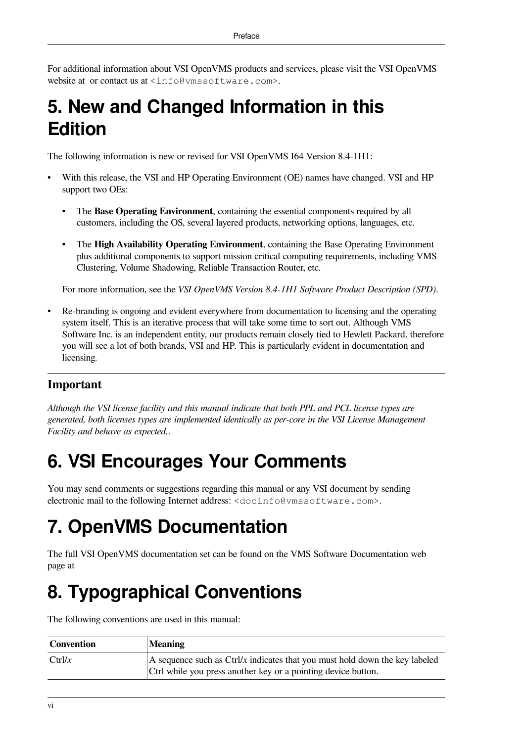For additional information about VSI OpenVMS products and services, please visit the VSI OpenVMS website at or contact us at <info@vmssoftware.com>.

## <span id="page-5-0"></span>**5. New and Changed Information in this Edition**

The following information is new or revised for VSI OpenVMS I64 Version 8.4-1H1:

- With this release, the VSI and HP Operating Environment (OE) names have changed. VSI and HP support two OEs:
	- The **Base Operating Environment**, containing the essential components required by all customers, including the OS, several layered products, networking options, languages, etc.
	- The **High Availability Operating Environment**, containing the Base Operating Environment plus additional components to support mission critical computing requirements, including VMS Clustering, Volume Shadowing, Reliable Transaction Router, etc.

For more information, see the *VSI OpenVMS Version 8.4-1H1 Software Product Description (SPD)*.

• Re-branding is ongoing and evident everywhere from documentation to licensing and the operating system itself. This is an iterative process that will take some time to sort out. Although VMS Software Inc. is an independent entity, our products remain closely tied to Hewlett Packard, therefore you will see a lot of both brands, VSI and HP. This is particularly evident in documentation and licensing.

#### **Important**

*Although the VSI license facility and this manual indicate that both PPL and PCL license types are generated, both licenses types are implemented identically as per-core in the VSI License Management Facility and behave as expected.*.

# <span id="page-5-1"></span>**6. VSI Encourages Your Comments**

You may send comments or suggestions regarding this manual or any VSI document by sending electronic mail to the following Internet address: <docinfo@vmssoftware.com>.

# <span id="page-5-2"></span>**7. OpenVMS Documentation**

The full VSI OpenVMS documentation set can be found on the VMS Software Documentation web page at

# <span id="page-5-3"></span>**8. Typographical Conventions**

The following conventions are used in this manual:

| Convention          | <b>Meaning</b>                                                                               |
|---------------------|----------------------------------------------------------------------------------------------|
| C <sub>tr</sub> 1/x | A sequence such as $\frac{C \text{tr}}{x}$ indicates that you must hold down the key labeled |
|                     | Ctrl while you press another key or a pointing device button.                                |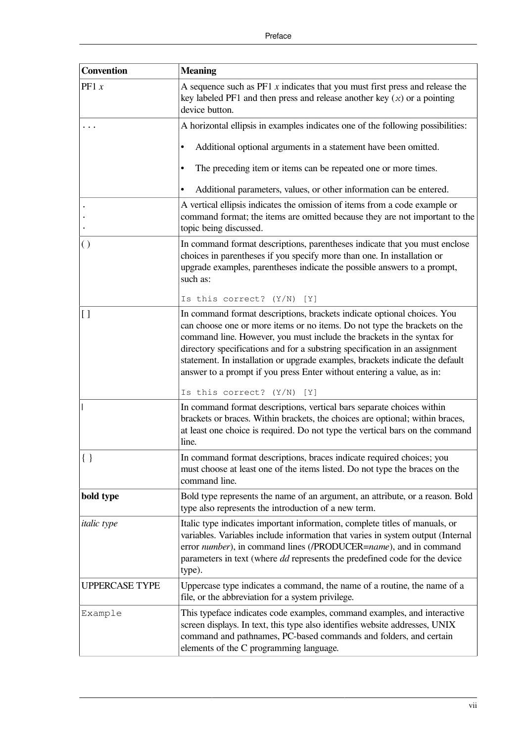| <b>Convention</b>     | <b>Meaning</b>                                                                                                                                                                                                                                                                                                                                                                                                                                                                                              |
|-----------------------|-------------------------------------------------------------------------------------------------------------------------------------------------------------------------------------------------------------------------------------------------------------------------------------------------------------------------------------------------------------------------------------------------------------------------------------------------------------------------------------------------------------|
| PF1 x                 | A sequence such as $PF1 x$ indicates that you must first press and release the<br>key labeled PF1 and then press and release another key $(x)$ or a pointing<br>device button.                                                                                                                                                                                                                                                                                                                              |
|                       | A horizontal ellipsis in examples indicates one of the following possibilities:                                                                                                                                                                                                                                                                                                                                                                                                                             |
|                       | Additional optional arguments in a statement have been omitted.<br>$\bullet$                                                                                                                                                                                                                                                                                                                                                                                                                                |
|                       | The preceding item or items can be repeated one or more times.<br>٠                                                                                                                                                                                                                                                                                                                                                                                                                                         |
|                       | Additional parameters, values, or other information can be entered.                                                                                                                                                                                                                                                                                                                                                                                                                                         |
|                       | A vertical ellipsis indicates the omission of items from a code example or<br>command format; the items are omitted because they are not important to the<br>topic being discussed.                                                                                                                                                                                                                                                                                                                         |
| $\left( \right)$      | In command format descriptions, parentheses indicate that you must enclose<br>choices in parentheses if you specify more than one. In installation or<br>upgrade examples, parentheses indicate the possible answers to a prompt,<br>such as:                                                                                                                                                                                                                                                               |
|                       | Is this correct? $(Y/N)$<br>[Y]                                                                                                                                                                                                                                                                                                                                                                                                                                                                             |
| $\overline{1}$        | In command format descriptions, brackets indicate optional choices. You<br>can choose one or more items or no items. Do not type the brackets on the<br>command line. However, you must include the brackets in the syntax for<br>directory specifications and for a substring specification in an assignment<br>statement. In installation or upgrade examples, brackets indicate the default<br>answer to a prompt if you press Enter without entering a value, as in:<br>Is this correct? $(Y/N)$<br>[Y] |
|                       | In command format descriptions, vertical bars separate choices within                                                                                                                                                                                                                                                                                                                                                                                                                                       |
|                       | brackets or braces. Within brackets, the choices are optional; within braces,<br>at least one choice is required. Do not type the vertical bars on the command<br>line.                                                                                                                                                                                                                                                                                                                                     |
| $\{ \ \}$             | In command format descriptions, braces indicate required choices; you<br>must choose at least one of the items listed. Do not type the braces on the<br>command line.                                                                                                                                                                                                                                                                                                                                       |
| bold type             | Bold type represents the name of an argument, an attribute, or a reason. Bold<br>type also represents the introduction of a new term.                                                                                                                                                                                                                                                                                                                                                                       |
| <i>italic</i> type    | Italic type indicates important information, complete titles of manuals, or<br>variables. Variables include information that varies in system output (Internal<br>error number), in command lines (/PRODUCER=name), and in command<br>parameters in text (where <i>dd</i> represents the predefined code for the device<br>type).                                                                                                                                                                           |
| <b>UPPERCASE TYPE</b> | Uppercase type indicates a command, the name of a routine, the name of a<br>file, or the abbreviation for a system privilege.                                                                                                                                                                                                                                                                                                                                                                               |
| Example               | This typeface indicates code examples, command examples, and interactive<br>screen displays. In text, this type also identifies website addresses, UNIX<br>command and pathnames, PC-based commands and folders, and certain<br>elements of the C programming language.                                                                                                                                                                                                                                     |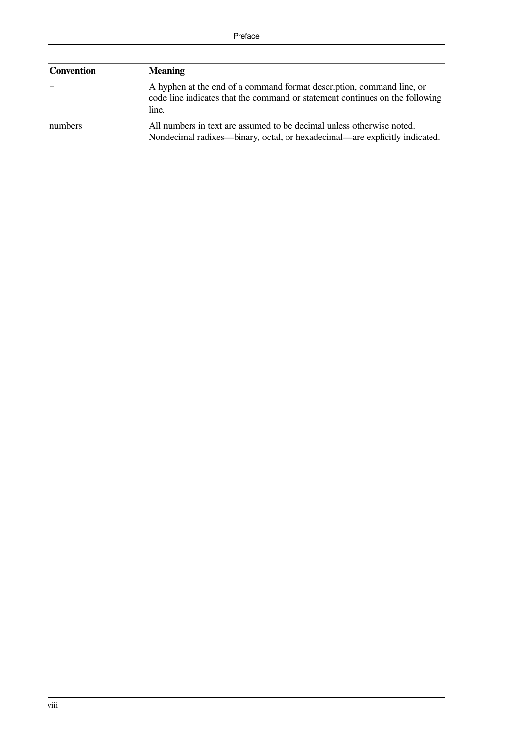| <b>Convention</b> | <b>Meaning</b>                                                                                                                                                 |
|-------------------|----------------------------------------------------------------------------------------------------------------------------------------------------------------|
|                   | A hyphen at the end of a command format description, command line, or<br>code line indicates that the command or statement continues on the following<br>line. |
| numbers           | All numbers in text are assumed to be decimal unless otherwise noted.<br>Nondecimal radixes—binary, octal, or hexadecimal—are explicitly indicated.            |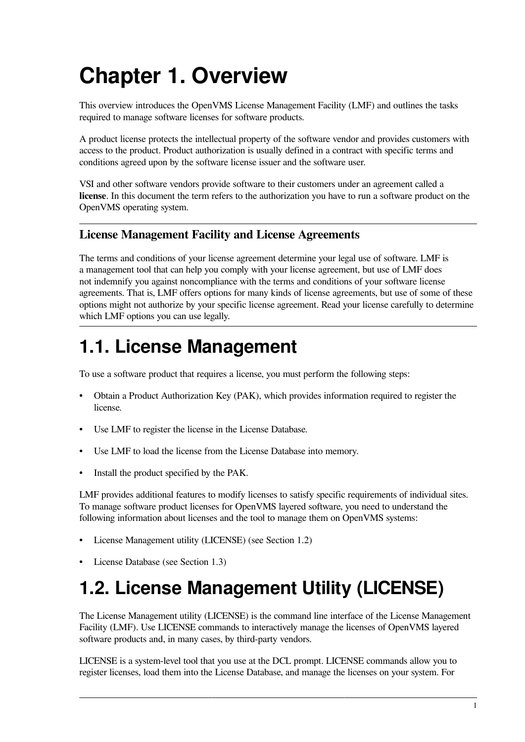# <span id="page-8-0"></span>**Chapter 1. Overview**

This overview introduces the OpenVMS License Management Facility (LMF) and outlines the tasks required to manage software licenses for software products.

A product license protects the intellectual property of the software vendor and provides customers with access to the product. Product authorization is usually defined in a contract with specific terms and conditions agreed upon by the software license issuer and the software user.

VSI and other software vendors provide software to their customers under an agreement called a **license**. In this document the term refers to the authorization you have to run a software product on the OpenVMS operating system.

#### **License Management Facility and License Agreements**

The terms and conditions of your license agreement determine your legal use of software. LMF is a management tool that can help you comply with your license agreement, but use of LMF does not indemnify you against noncompliance with the terms and conditions of your software license agreements. That is, LMF offers options for many kinds of license agreements, but use of some of these options might not authorize by your specific license agreement. Read your license carefully to determine which LMF options you can use legally.

## <span id="page-8-1"></span>**1.1. License Management**

To use a software product that requires a license, you must perform the following steps:

- Obtain a Product Authorization Key (PAK), which provides information required to register the license.
- Use LMF to register the license in the License Database.
- Use LMF to load the license from the License Database into memory.
- Install the product specified by the PAK.

LMF provides additional features to modify licenses to satisfy specific requirements of individual sites. To manage software product licenses for OpenVMS layered software, you need to understand the following information about licenses and the tool to manage them on OpenVMS systems:

- License Management utility (LICENSE) (see [Section](#page-8-2) 1.2)
- License Database (see [Section](#page-9-0) 1.3)

# <span id="page-8-2"></span>**1.2. License Management Utility (LICENSE)**

The License Management utility (LICENSE) is the command line interface of the License Management Facility (LMF). Use LICENSE commands to interactively manage the licenses of OpenVMS layered software products and, in many cases, by third-party vendors.

LICENSE is a system-level tool that you use at the DCL prompt. LICENSE commands allow you to register licenses, load them into the License Database, and manage the licenses on your system. For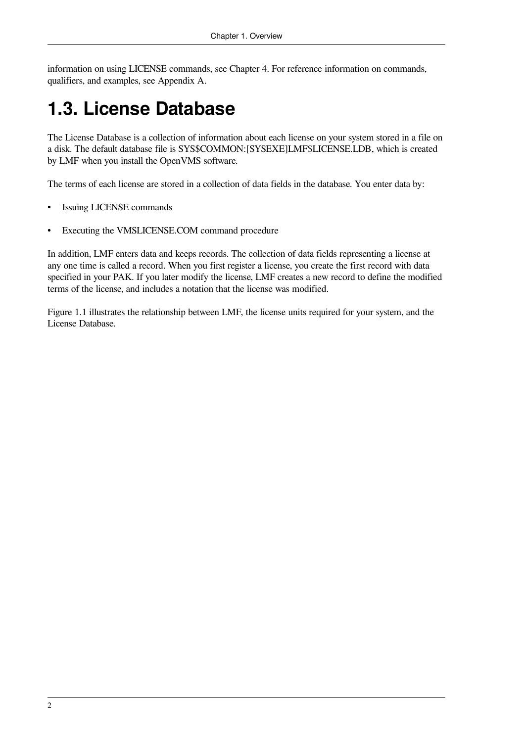information on using LICENSE commands, see [Chapter](#page-30-0) 4. For reference information on commands, qualifiers, and examples, see [Appendix](#page-54-0) A.

## <span id="page-9-0"></span>**1.3. License Database**

The License Database is a collection of information about each license on your system stored in a file on a disk. The default database file is SYS\$COMMON:[SYSEXE]LMF\$LICENSE.LDB, which is created by LMF when you install the OpenVMS software.

The terms of each license are stored in a collection of data fields in the database. You enter data by:

- **Issuing LICENSE commands**
- Executing the VMSLICENSE.COM command procedure

In addition, LMF enters data and keeps records. The collection of data fields representing a license at any one time is called a record. When you first register a license, you create the first record with data specified in your PAK. If you later modify the license, LMF creates a new record to define the modified terms of the license, and includes a notation that the license was modified.

[Figure](#page-10-0) 1.1 illustrates the relationship between LMF, the license units required for your system, and the License Database.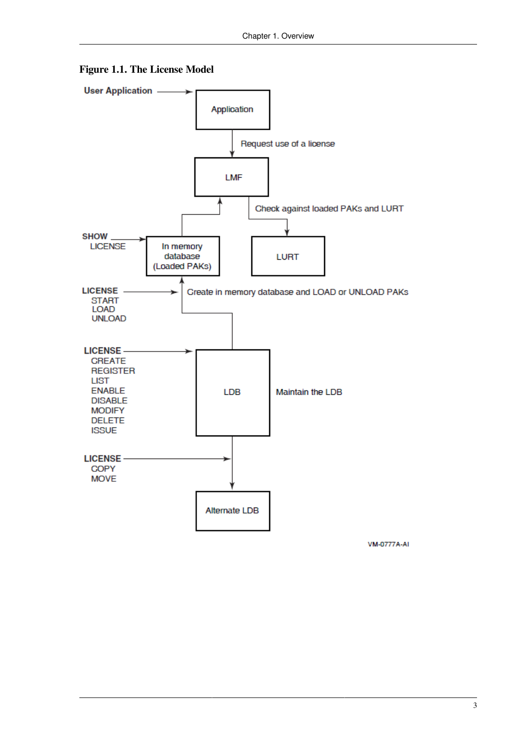<span id="page-10-0"></span>



**VM-0777A-AI**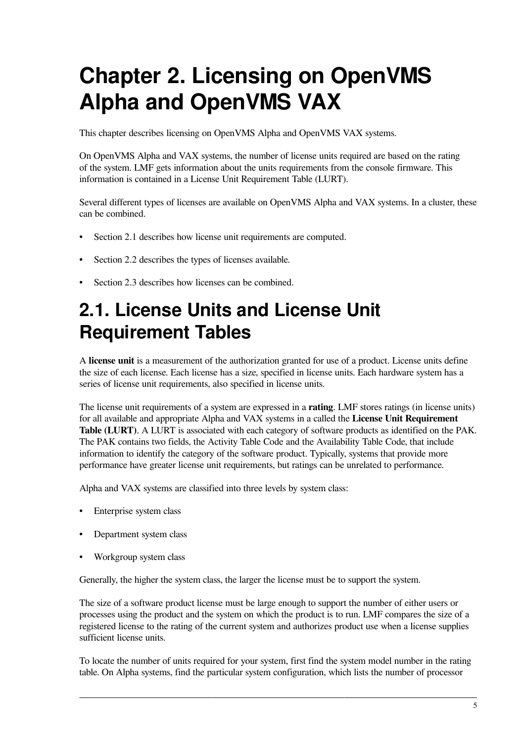# <span id="page-12-0"></span>**Chapter 2. Licensing on OpenVMS Alpha and OpenVMS VAX**

This chapter describes licensing on OpenVMS Alpha and OpenVMS VAX systems.

On OpenVMS Alpha and VAX systems, the number of license units required are based on the rating of the system. LMF gets information about the units requirements from the console firmware. This information is contained in a License Unit Requirement Table (LURT).

Several different types of licenses are available on OpenVMS Alpha and VAX systems. In a cluster, these can be combined.

- [Section](#page-12-1) 2.1 describes how license unit requirements are computed.
- [Section](#page-14-0) 2.2 describes the types of licenses available.
- <span id="page-12-1"></span>• [Section](#page-20-2) 2.3 describes how licenses can be combined.

## **2.1. License Units and License Unit Requirement Tables**

A **license unit** is a measurement of the authorization granted for use of a product. License units define the size of each license. Each license has a size, specified in license units. Each hardware system has a series of license unit requirements, also specified in license units.

The license unit requirements of a system are expressed in a **rating**. LMF stores ratings (in license units) for all available and appropriate Alpha and VAX systems in a called the **License Unit Requirement Table (LURT)**. A LURT is associated with each category of software products as identified on the PAK. The PAK contains two fields, the Activity Table Code and the Availability Table Code, that include information to identify the category of the software product. Typically, systems that provide more performance have greater license unit requirements, but ratings can be unrelated to performance.

Alpha and VAX systems are classified into three levels by system class:

- Enterprise system class
- Department system class
- Workgroup system class

Generally, the higher the system class, the larger the license must be to support the system.

The size of a software product license must be large enough to support the number of either users or processes using the product and the system on which the product is to run. LMF compares the size of a registered license to the rating of the current system and authorizes product use when a license supplies sufficient license units.

To locate the number of units required for your system, first find the system model number in the rating table. On Alpha systems, find the particular system configuration, which lists the number of processor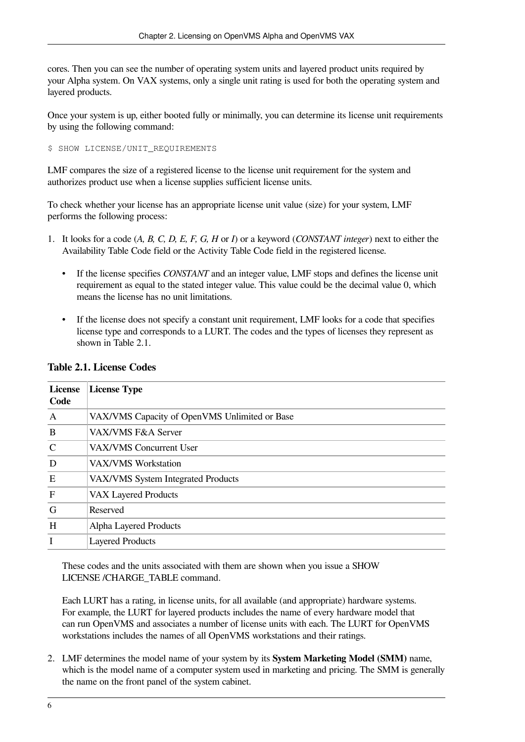cores. Then you can see the number of operating system units and layered product units required by your Alpha system. On VAX systems, only a single unit rating is used for both the operating system and layered products.

Once your system is up, either booted fully or minimally, you can determine its license unit requirements by using the following command:

\$ SHOW LICENSE/UNIT REQUIREMENTS

LMF compares the size of a registered license to the license unit requirement for the system and authorizes product use when a license supplies sufficient license units.

To check whether your license has an appropriate license unit value (size) for your system, LMF performs the following process:

- 1. It looks for a code (*A, B, C, D, E, F, G, H* or *I*) or a keyword (*CONSTANT integer*) next to either the Availability Table Code field or the Activity Table Code field in the registered license.
	- If the license specifies *CONSTANT* and an integer value, LMF stops and defines the license unit requirement as equal to the stated integer value. This value could be the decimal value 0, which means the license has no unit limitations.
	- If the license does not specify a constant unit requirement, LMF looks for a code that specifies license type and corresponds to a LURT. The codes and the types of licenses they represent as shown in [Table](#page-13-0) 2.1.

| <b>License</b><br>Code | <b>License Type</b>                           |
|------------------------|-----------------------------------------------|
| A                      | VAX/VMS Capacity of OpenVMS Unlimited or Base |
| B                      | VAX/VMS F&A Server                            |
| $\mathsf{C}$           | <b>VAX/VMS Concurrent User</b>                |
| D                      | VAX/VMS Workstation                           |
| E                      | VAX/VMS System Integrated Products            |
| F                      | <b>VAX Layered Products</b>                   |
| G                      | Reserved                                      |
| H                      | Alpha Layered Products                        |
| I                      | <b>Layered Products</b>                       |

#### <span id="page-13-0"></span>**Table 2.1. License Codes**

These codes and the units associated with them are shown when you issue a SHOW LICENSE /CHARGE\_TABLE command.

Each LURT has a rating, in license units, for all available (and appropriate) hardware systems. For example, the LURT for layered products includes the name of every hardware model that can run OpenVMS and associates a number of license units with each. The LURT for OpenVMS workstations includes the names of all OpenVMS workstations and their ratings.

2. LMF determines the model name of your system by its **System Marketing Model (SMM)** name, which is the model name of a computer system used in marketing and pricing. The SMM is generally the name on the front panel of the system cabinet.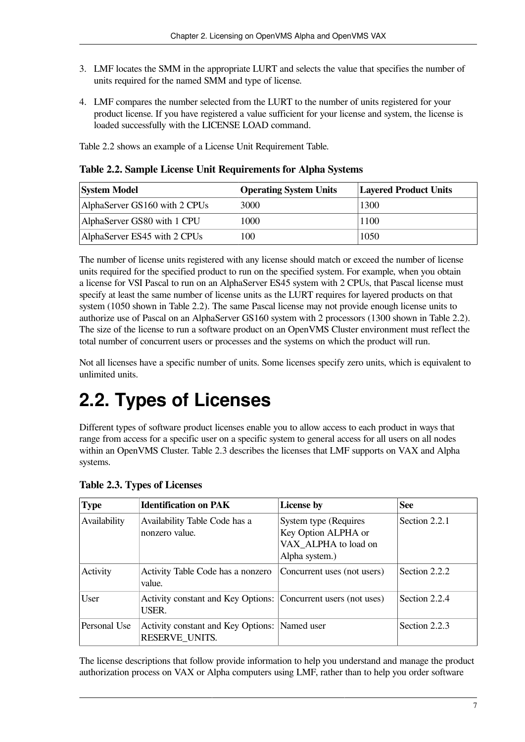- 3. LMF locates the SMM in the appropriate LURT and selects the value that specifies the number of units required for the named SMM and type of license.
- 4. LMF compares the number selected from the LURT to the number of units registered for your product license. If you have registered a value sufficient for your license and system, the license is loaded successfully with the LICENSE LOAD command.

[Table](#page-14-1) 2.2 shows an example of a License Unit Requirement Table.

<span id="page-14-1"></span>**Table 2.2. Sample License Unit Requirements for Alpha Systems**

| <b>System Model</b>           | <b>Operating System Units</b> | <b>Layered Product Units</b> |
|-------------------------------|-------------------------------|------------------------------|
| AlphaServer GS160 with 2 CPUs | 3000                          | 1300                         |
| AlphaServer GS80 with 1 CPU   | 1000                          | 1100                         |
| AlphaServer ES45 with 2 CPUs  | 100                           | 1050                         |

The number of license units registered with any license should match or exceed the number of license units required for the specified product to run on the specified system. For example, when you obtain a license for VSI Pascal to run on an AlphaServer ES45 system with 2 CPUs, that Pascal license must specify at least the same number of license units as the LURT requires for layered products on that system (1050 shown in [Table](#page-14-1) 2.2). The same Pascal license may not provide enough license units to authorize use of Pascal on an AlphaServer GS160 system with 2 processors (1300 shown in [Table](#page-14-1) 2.2). The size of the license to run a software product on an OpenVMS Cluster environment must reflect the total number of concurrent users or processes and the systems on which the product will run.

Not all licenses have a specific number of units. Some licenses specify zero units, which is equivalent to unlimited units.

# <span id="page-14-0"></span>**2.2. Types of Licenses**

Different types of software product licenses enable you to allow access to each product in ways that range from access for a specific user on a specific system to general access for all users on all nodes within an OpenVMS Cluster. [Table](#page-14-2) 2.3 describes the licenses that LMF supports on VAX and Alpha systems.

| <b>Type</b>  | <b>Identification on PAK</b>                                            | <b>License by</b>                                                                      | <b>See</b>    |
|--------------|-------------------------------------------------------------------------|----------------------------------------------------------------------------------------|---------------|
| Availability | Availability Table Code has a<br>nonzero value.                         | System type (Requires<br>Key Option ALPHA or<br>VAX ALPHA to load on<br>Alpha system.) | Section 2.2.1 |
| Activity     | Activity Table Code has a nonzero<br>value.                             | Concurrent uses (not users)                                                            | Section 2.2.2 |
| User         | Activity constant and Key Options: Concurrent users (not uses)<br>USER. |                                                                                        | Section 2.2.4 |
| Personal Use | Activity constant and Key Options: Named user<br>RESERVE UNITS.         |                                                                                        | Section 2.2.3 |

#### <span id="page-14-2"></span>**Table 2.3. Types of Licenses**

The license descriptions that follow provide information to help you understand and manage the product authorization process on VAX or Alpha computers using LMF, rather than to help you order software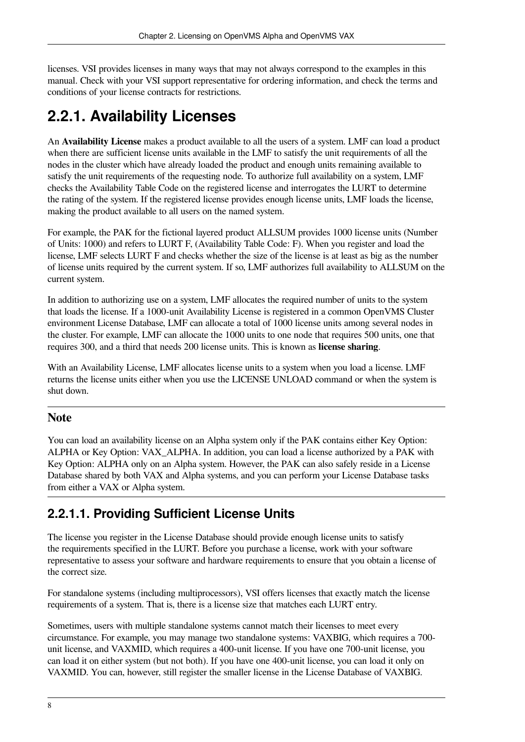licenses. VSI provides licenses in many ways that may not always correspond to the examples in this manual. Check with your VSI support representative for ordering information, and check the terms and conditions of your license contracts for restrictions.

## <span id="page-15-0"></span>**2.2.1. Availability Licenses**

An **Availability License** makes a product available to all the users of a system. LMF can load a product when there are sufficient license units available in the LMF to satisfy the unit requirements of all the nodes in the cluster which have already loaded the product and enough units remaining available to satisfy the unit requirements of the requesting node. To authorize full availability on a system, LMF checks the Availability Table Code on the registered license and interrogates the LURT to determine the rating of the system. If the registered license provides enough license units, LMF loads the license, making the product available to all users on the named system.

For example, the PAK for the fictional layered product ALLSUM provides 1000 license units (Number of Units: 1000) and refers to LURT F, (Availability Table Code: F). When you register and load the license, LMF selects LURT F and checks whether the size of the license is at least as big as the number of license units required by the current system. If so, LMF authorizes full availability to ALLSUM on the current system.

In addition to authorizing use on a system, LMF allocates the required number of units to the system that loads the license. If a 1000-unit Availability License is registered in a common OpenVMS Cluster environment License Database, LMF can allocate a total of 1000 license units among several nodes in the cluster. For example, LMF can allocate the 1000 units to one node that requires 500 units, one that requires 300, and a third that needs 200 license units. This is known as **license sharing**.

With an Availability License, LMF allocates license units to a system when you load a license. LMF returns the license units either when you use the LICENSE UNLOAD command or when the system is shut down.

#### **Note**

You can load an availability license on an Alpha system only if the PAK contains either Key Option: ALPHA or Key Option: VAX\_ALPHA. In addition, you can load a license authorized by a PAK with Key Option: ALPHA only on an Alpha system. However, the PAK can also safely reside in a License Database shared by both VAX and Alpha systems, and you can perform your License Database tasks from either a VAX or Alpha system.

#### <span id="page-15-1"></span>**2.2.1.1. Providing Sufficient License Units**

The license you register in the License Database should provide enough license units to satisfy the requirements specified in the LURT. Before you purchase a license, work with your software representative to assess your software and hardware requirements to ensure that you obtain a license of the correct size.

For standalone systems (including multiprocessors), VSI offers licenses that exactly match the license requirements of a system. That is, there is a license size that matches each LURT entry.

Sometimes, users with multiple standalone systems cannot match their licenses to meet every circumstance. For example, you may manage two standalone systems: VAXBIG, which requires a 700 unit license, and VAXMID, which requires a 400-unit license. If you have one 700-unit license, you can load it on either system (but not both). If you have one 400-unit license, you can load it only on VAXMID. You can, however, still register the smaller license in the License Database of VAXBIG.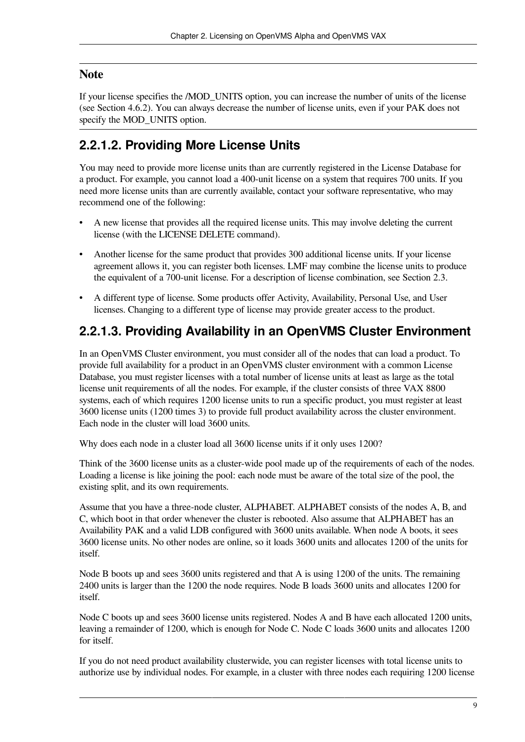#### **Note**

If your license specifies the /MOD\_UNITS option, you can increase the number of units of the license (see [Section](#page-47-0) 4.6.2). You can always decrease the number of license units, even if your PAK does not specify the MOD\_UNITS option.

#### <span id="page-16-0"></span>**2.2.1.2. Providing More License Units**

You may need to provide more license units than are currently registered in the License Database for a product. For example, you cannot load a 400-unit license on a system that requires 700 units. If you need more license units than are currently available, contact your software representative, who may recommend one of the following:

- A new license that provides all the required license units. This may involve deleting the current license (with the LICENSE DELETE command).
- Another license for the same product that provides 300 additional license units. If your license agreement allows it, you can register both licenses. LMF may combine the license units to produce the equivalent of a 700-unit license. For a description of license combination, see [Section](#page-20-2) 2.3.
- A different type of license. Some products offer Activity, Availability, Personal Use, and User licenses. Changing to a different type of license may provide greater access to the product.

#### <span id="page-16-1"></span>**2.2.1.3. Providing Availability in an OpenVMS Cluster Environment**

In an OpenVMS Cluster environment, you must consider all of the nodes that can load a product. To provide full availability for a product in an OpenVMS cluster environment with a common License Database, you must register licenses with a total number of license units at least as large as the total license unit requirements of all the nodes. For example, if the cluster consists of three VAX 8800 systems, each of which requires 1200 license units to run a specific product, you must register at least 3600 license units (1200 times 3) to provide full product availability across the cluster environment. Each node in the cluster will load 3600 units.

Why does each node in a cluster load all 3600 license units if it only uses 1200?

Think of the 3600 license units as a cluster-wide pool made up of the requirements of each of the nodes. Loading a license is like joining the pool: each node must be aware of the total size of the pool, the existing split, and its own requirements.

Assume that you have a three-node cluster, ALPHABET. ALPHABET consists of the nodes A, B, and C, which boot in that order whenever the cluster is rebooted. Also assume that ALPHABET has an Availability PAK and a valid LDB configured with 3600 units available. When node A boots, it sees 3600 license units. No other nodes are online, so it loads 3600 units and allocates 1200 of the units for itself.

Node B boots up and sees 3600 units registered and that A is using 1200 of the units. The remaining 2400 units is larger than the 1200 the node requires. Node B loads 3600 units and allocates 1200 for itself.

Node C boots up and sees 3600 license units registered. Nodes A and B have each allocated 1200 units, leaving a remainder of 1200, which is enough for Node C. Node C loads 3600 units and allocates 1200 for itself.

If you do not need product availability clusterwide, you can register licenses with total license units to authorize use by individual nodes. For example, in a cluster with three nodes each requiring 1200 license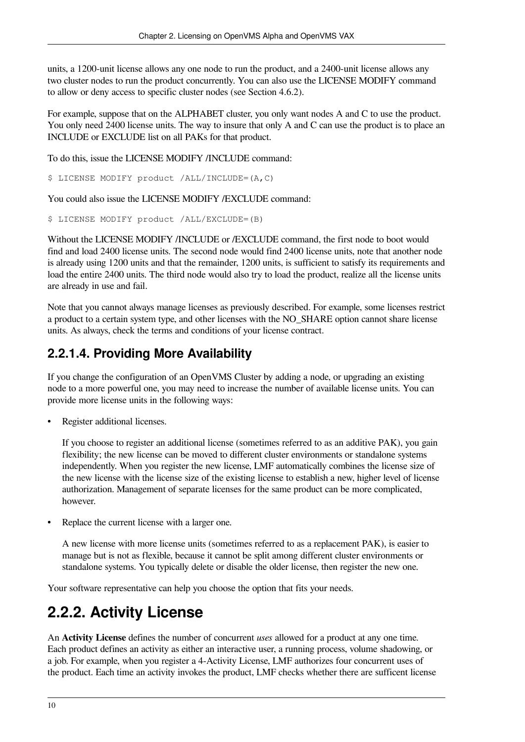units, a 1200-unit license allows any one node to run the product, and a 2400-unit license allows any two cluster nodes to run the product concurrently. You can also use the LICENSE MODIFY command to allow or deny access to specific cluster nodes (see [Section](#page-47-0) 4.6.2).

For example, suppose that on the ALPHABET cluster, you only want nodes A and C to use the product. You only need 2400 license units. The way to insure that only A and C can use the product is to place an INCLUDE or EXCLUDE list on all PAKs for that product.

To do this, issue the LICENSE MODIFY /INCLUDE command:

\$ LICENSE MODIFY product /ALL/INCLUDE=(A,C)

You could also issue the LICENSE MODIFY /EXCLUDE command:

\$ LICENSE MODIFY product /ALL/EXCLUDE=(B)

Without the LICENSE MODIFY /INCLUDE or /EXCLUDE command, the first node to boot would find and load 2400 license units. The second node would find 2400 license units, note that another node is already using 1200 units and that the remainder, 1200 units, is sufficient to satisfy its requirements and load the entire 2400 units. The third node would also try to load the product, realize all the license units are already in use and fail.

Note that you cannot always manage licenses as previously described. For example, some licenses restrict a product to a certain system type, and other licenses with the NO\_SHARE option cannot share license units. As always, check the terms and conditions of your license contract.

#### <span id="page-17-0"></span>**2.2.1.4. Providing More Availability**

If you change the configuration of an OpenVMS Cluster by adding a node, or upgrading an existing node to a more powerful one, you may need to increase the number of available license units. You can provide more license units in the following ways:

Register additional licenses.

If you choose to register an additional license (sometimes referred to as an additive PAK), you gain flexibility; the new license can be moved to different cluster environments or standalone systems independently. When you register the new license, LMF automatically combines the license size of the new license with the license size of the existing license to establish a new, higher level of license authorization. Management of separate licenses for the same product can be more complicated, however.

Replace the current license with a larger one.

A new license with more license units (sometimes referred to as a replacement PAK), is easier to manage but is not as flexible, because it cannot be split among different cluster environments or standalone systems. You typically delete or disable the older license, then register the new one.

Your software representative can help you choose the option that fits your needs.

### <span id="page-17-1"></span>**2.2.2. Activity License**

An **Activity License** defines the number of concurrent *uses* allowed for a product at any one time. Each product defines an activity as either an interactive user, a running process, volume shadowing, or a job. For example, when you register a 4-Activity License, LMF authorizes four concurrent uses of the product. Each time an activity invokes the product, LMF checks whether there are sufficent license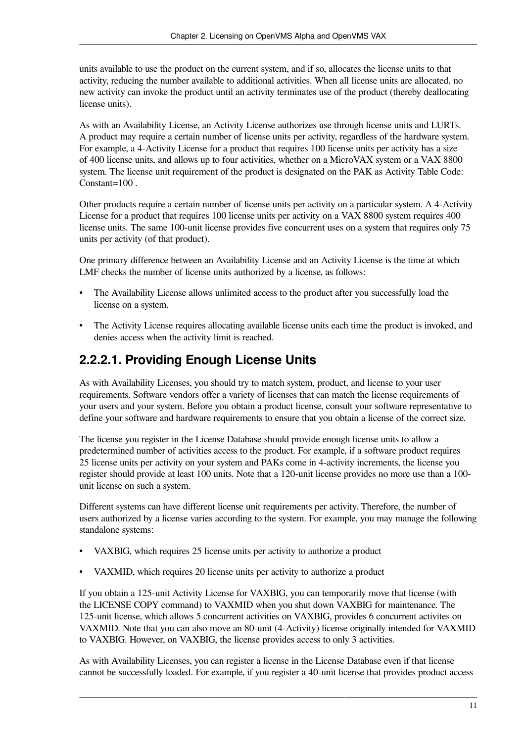units available to use the product on the current system, and if so, allocates the license units to that activity, reducing the number available to additional activities. When all license units are allocated, no new activity can invoke the product until an activity terminates use of the product (thereby deallocating license units).

As with an Availability License, an Activity License authorizes use through license units and LURTs. A product may require a certain number of license units per activity, regardless of the hardware system. For example, a 4-Activity License for a product that requires 100 license units per activity has a size of 400 license units, and allows up to four activities, whether on a MicroVAX system or a VAX 8800 system. The license unit requirement of the product is designated on the PAK as Activity Table Code: Constant=100 .

Other products require a certain number of license units per activity on a particular system. A 4-Activity License for a product that requires 100 license units per activity on a VAX 8800 system requires 400 license units. The same 100-unit license provides five concurrent uses on a system that requires only 75 units per activity (of that product).

One primary difference between an Availability License and an Activity License is the time at which LMF checks the number of license units authorized by a license, as follows:

- The Availability License allows unlimited access to the product after you successfully load the license on a system.
- The Activity License requires allocating available license units each time the product is invoked, and denies access when the activity limit is reached.

#### <span id="page-18-0"></span>**2.2.2.1. Providing Enough License Units**

As with Availability Licenses, you should try to match system, product, and license to your user requirements. Software vendors offer a variety of licenses that can match the license requirements of your users and your system. Before you obtain a product license, consult your software representative to define your software and hardware requirements to ensure that you obtain a license of the correct size.

The license you register in the License Database should provide enough license units to allow a predetermined number of activities access to the product. For example, if a software product requires 25 license units per activity on your system and PAKs come in 4-activity increments, the license you register should provide at least 100 units. Note that a 120-unit license provides no more use than a 100 unit license on such a system.

Different systems can have different license unit requirements per activity. Therefore, the number of users authorized by a license varies according to the system. For example, you may manage the following standalone systems:

- VAXBIG, which requires 25 license units per activity to authorize a product
- VAXMID, which requires 20 license units per activity to authorize a product

If you obtain a 125-unit Activity License for VAXBIG, you can temporarily move that license (with the LICENSE COPY command) to VAXMID when you shut down VAXBIG for maintenance. The 125-unit license, which allows 5 concurrent activities on VAXBIG, provides 6 concurrent activites on VAXMID. Note that you can also move an 80-unit (4-Activity) license originally intended for VAXMID to VAXBIG. However, on VAXBIG, the license provides access to only 3 activities.

As with Availability Licenses, you can register a license in the License Database even if that license cannot be successfully loaded. For example, if you register a 40-unit license that provides product access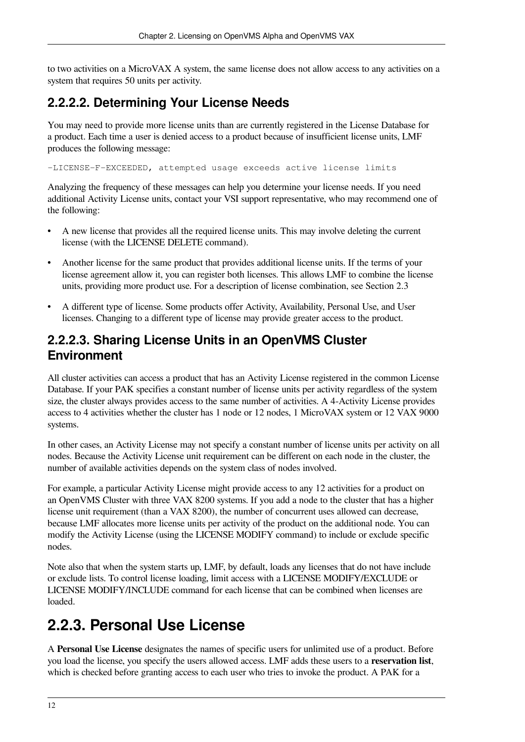to two activities on a MicroVAX A system, the same license does not allow access to any activities on a system that requires 50 units per activity.

#### <span id="page-19-0"></span>**2.2.2.2. Determining Your License Needs**

You may need to provide more license units than are currently registered in the License Database for a product. Each time a user is denied access to a product because of insufficient license units, LMF produces the following message:

-LICENSE-F-EXCEEDED, attempted usage exceeds active license limits

Analyzing the frequency of these messages can help you determine your license needs. If you need additional Activity License units, contact your VSI support representative, who may recommend one of the following:

- A new license that provides all the required license units. This may involve deleting the current license (with the LICENSE DELETE command).
- Another license for the same product that provides additional license units. If the terms of your license agreement allow it, you can register both licenses. This allows LMF to combine the license units, providing more product use. For a description of license combination, see [Section](#page-20-2) 2.3
- A different type of license. Some products offer Activity, Availability, Personal Use, and User licenses. Changing to a different type of license may provide greater access to the product.

#### <span id="page-19-1"></span>**2.2.2.3. Sharing License Units in an OpenVMS Cluster Environment**

All cluster activities can access a product that has an Activity License registered in the common License Database. If your PAK specifies a constant number of license units per activity regardless of the system size, the cluster always provides access to the same number of activities. A 4-Activity License provides access to 4 activities whether the cluster has 1 node or 12 nodes, 1 MicroVAX system or 12 VAX 9000 systems.

In other cases, an Activity License may not specify a constant number of license units per activity on all nodes. Because the Activity License unit requirement can be different on each node in the cluster, the number of available activities depends on the system class of nodes involved.

For example, a particular Activity License might provide access to any 12 activities for a product on an OpenVMS Cluster with three VAX 8200 systems. If you add a node to the cluster that has a higher license unit requirement (than a VAX 8200), the number of concurrent uses allowed can decrease, because LMF allocates more license units per activity of the product on the additional node. You can modify the Activity License (using the LICENSE MODIFY command) to include or exclude specific nodes.

Note also that when the system starts up, LMF, by default, loads any licenses that do not have include or exclude lists. To control license loading, limit access with a LICENSE MODIFY/EXCLUDE or LICENSE MODIFY/INCLUDE command for each license that can be combined when licenses are loaded.

## <span id="page-19-2"></span>**2.2.3. Personal Use License**

A **Personal Use License** designates the names of specific users for unlimited use of a product. Before you load the license, you specify the users allowed access. LMF adds these users to a **reservation list**, which is checked before granting access to each user who tries to invoke the product. A PAK for a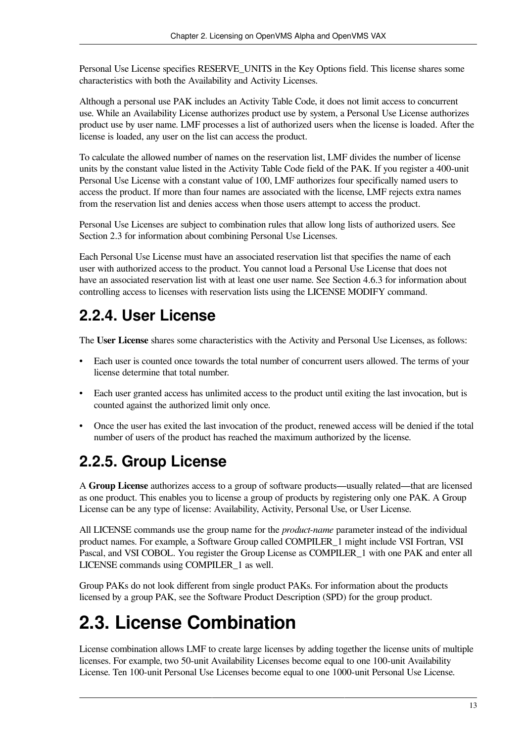Personal Use License specifies RESERVE\_UNITS in the Key Options field. This license shares some characteristics with both the Availability and Activity Licenses.

Although a personal use PAK includes an Activity Table Code, it does not limit access to concurrent use. While an Availability License authorizes product use by system, a Personal Use License authorizes product use by user name. LMF processes a list of authorized users when the license is loaded. After the license is loaded, any user on the list can access the product.

To calculate the allowed number of names on the reservation list, LMF divides the number of license units by the constant value listed in the Activity Table Code field of the PAK. If you register a 400-unit Personal Use License with a constant value of 100, LMF authorizes four specifically named users to access the product. If more than four names are associated with the license, LMF rejects extra names from the reservation list and denies access when those users attempt to access the product.

Personal Use Licenses are subject to combination rules that allow long lists of authorized users. See [Section](#page-20-2) 2.3 for information about combining Personal Use Licenses.

Each Personal Use License must have an associated reservation list that specifies the name of each user with authorized access to the product. You cannot load a Personal Use License that does not have an associated reservation list with at least one user name. See [Section](#page-49-0) 4.6.3 for information about controlling access to licenses with reservation lists using the LICENSE MODIFY command.

### <span id="page-20-0"></span>**2.2.4. User License**

The **User License** shares some characteristics with the Activity and Personal Use Licenses, as follows:

- Each user is counted once towards the total number of concurrent users allowed. The terms of your license determine that total number.
- Each user granted access has unlimited access to the product until exiting the last invocation, but is counted against the authorized limit only once.
- Once the user has exited the last invocation of the product, renewed access will be denied if the total number of users of the product has reached the maximum authorized by the license.

## <span id="page-20-1"></span>**2.2.5. Group License**

A **Group License** authorizes access to a group of software products—usually related—that are licensed as one product. This enables you to license a group of products by registering only one PAK. A Group License can be any type of license: Availability, Activity, Personal Use, or User License.

All LICENSE commands use the group name for the *product-name* parameter instead of the individual product names. For example, a Software Group called COMPILER\_1 might include VSI Fortran, VSI Pascal, and VSI COBOL. You register the Group License as COMPILER\_1 with one PAK and enter all LICENSE commands using COMPILER\_1 as well.

Group PAKs do not look different from single product PAKs. For information about the products licensed by a group PAK, see the Software Product Description (SPD) for the group product.

## <span id="page-20-2"></span>**2.3. License Combination**

License combination allows LMF to create large licenses by adding together the license units of multiple licenses. For example, two 50-unit Availability Licenses become equal to one 100-unit Availability License. Ten 100-unit Personal Use Licenses become equal to one 1000-unit Personal Use License.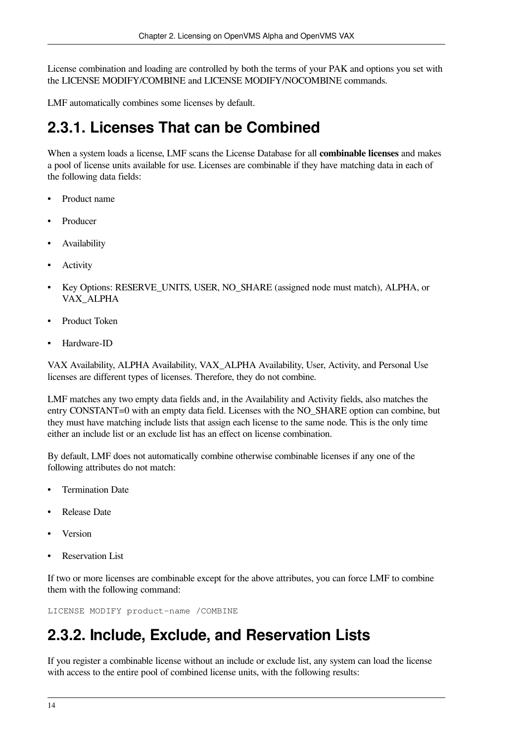License combination and loading are controlled by both the terms of your PAK and options you set with the LICENSE MODIFY/COMBINE and LICENSE MODIFY/NOCOMBINE commands.

LMF automatically combines some licenses by default.

### <span id="page-21-0"></span>**2.3.1. Licenses That can be Combined**

When a system loads a license, LMF scans the License Database for all **combinable licenses** and makes a pool of license units available for use. Licenses are combinable if they have matching data in each of the following data fields:

- Product name
- Producer
- **Availability**
- **Activity**
- Key Options: RESERVE\_UNITS, USER, NO\_SHARE (assigned node must match), ALPHA, or VAX\_ALPHA
- Product Token
- Hardware-ID

VAX Availability, ALPHA Availability, VAX\_ALPHA Availability, User, Activity, and Personal Use licenses are different types of licenses. Therefore, they do not combine.

LMF matches any two empty data fields and, in the Availability and Activity fields, also matches the entry CONSTANT=0 with an empty data field. Licenses with the NO\_SHARE option can combine, but they must have matching include lists that assign each license to the same node. This is the only time either an include list or an exclude list has an effect on license combination.

By default, LMF does not automatically combine otherwise combinable licenses if any one of the following attributes do not match:

- Termination Date
- Release Date
- Version
- **Reservation List**

If two or more licenses are combinable except for the above attributes, you can force LMF to combine them with the following command:

<span id="page-21-1"></span>LICENSE MODIFY product-name /COMBINE

### **2.3.2. Include, Exclude, and Reservation Lists**

If you register a combinable license without an include or exclude list, any system can load the license with access to the entire pool of combined license units, with the following results: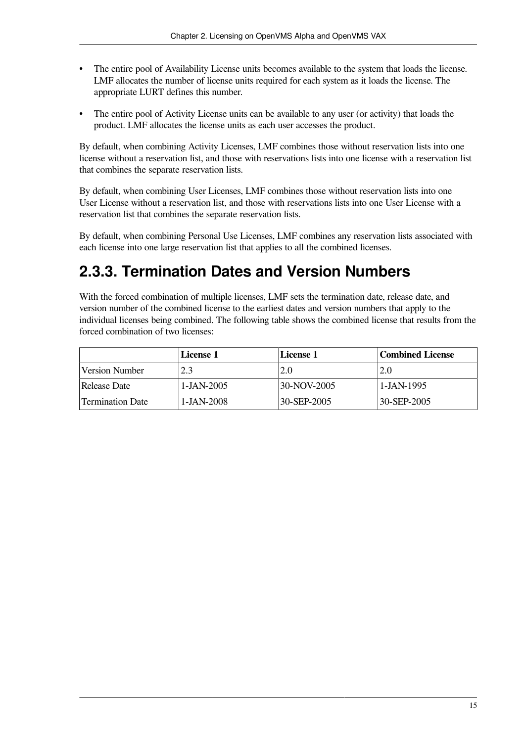- The entire pool of Availability License units becomes available to the system that loads the license. LMF allocates the number of license units required for each system as it loads the license. The appropriate LURT defines this number.
- The entire pool of Activity License units can be available to any user (or activity) that loads the product. LMF allocates the license units as each user accesses the product.

By default, when combining Activity Licenses, LMF combines those without reservation lists into one license without a reservation list, and those with reservations lists into one license with a reservation list that combines the separate reservation lists.

By default, when combining User Licenses, LMF combines those without reservation lists into one User License without a reservation list, and those with reservations lists into one User License with a reservation list that combines the separate reservation lists.

By default, when combining Personal Use Licenses, LMF combines any reservation lists associated with each license into one large reservation list that applies to all the combined licenses.

### <span id="page-22-0"></span>**2.3.3. Termination Dates and Version Numbers**

With the forced combination of multiple licenses, LMF sets the termination date, release date, and version number of the combined license to the earliest dates and version numbers that apply to the individual licenses being combined. The following table shows the combined license that results from the forced combination of two licenses:

|                  | License 1    | License 1          | Combined License |
|------------------|--------------|--------------------|------------------|
| Version Number   | 2.3          | 2.0                | 2.0              |
| Release Date     | $1-JAN-2005$ | 30-NOV-2005        | $1 - JAN - 1995$ |
| Termination Date | 1-JAN-2008   | $130 - SEP - 2005$ | 30-SEP-2005      |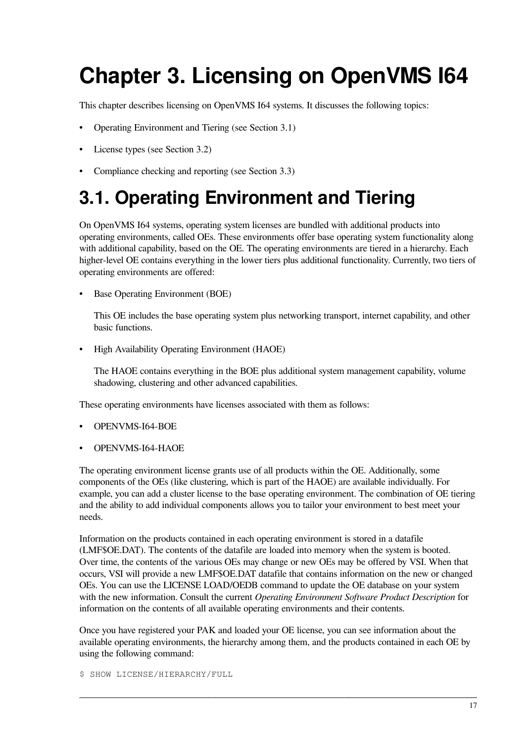# <span id="page-24-0"></span>**Chapter 3. Licensing on OpenVMS I64**

This chapter describes licensing on OpenVMS I64 systems. It discusses the following topics:

- Operating Environment and Tiering (see [Section](#page-24-1) 3.1)
- License types (see [Section](#page-26-0) 3.2)
- <span id="page-24-1"></span>• Compliance checking and reporting (see [Section](#page-27-0) 3.3)

## **3.1. Operating Environment and Tiering**

On OpenVMS I64 systems, operating system licenses are bundled with additional products into operating environments, called OEs. These environments offer base operating system functionality along with additional capability, based on the OE. The operating environments are tiered in a hierarchy. Each higher-level OE contains everything in the lower tiers plus additional functionality. Currently, two tiers of operating environments are offered:

• Base Operating Environment (BOE)

This OE includes the base operating system plus networking transport, internet capability, and other basic functions.

• High Availability Operating Environment (HAOE)

The HAOE contains everything in the BOE plus additional system management capability, volume shadowing, clustering and other advanced capabilities.

These operating environments have licenses associated with them as follows:

- OPENVMS-I64-BOE
- OPENVMS-I64-HAOE

The operating environment license grants use of all products within the OE. Additionally, some components of the OEs (like clustering, which is part of the HAOE) are available individually. For example, you can add a cluster license to the base operating environment. The combination of OE tiering and the ability to add individual components allows you to tailor your environment to best meet your needs.

Information on the products contained in each operating environment is stored in a datafile (LMF\$OE.DAT). The contents of the datafile are loaded into memory when the system is booted. Over time, the contents of the various OEs may change or new OEs may be offered by VSI. When that occurs, VSI will provide a new LMF\$OE.DAT datafile that contains information on the new or changed OEs. You can use the LICENSE LOAD/OEDB command to update the OE database on your system with the new information. Consult the current *Operating Environment Software Product Description* for information on the contents of all available operating environments and their contents.

Once you have registered your PAK and loaded your OE license, you can see information about the available operating environments, the hierarchy among them, and the products contained in each OE by using the following command:

\$ SHOW LICENSE/HIERARCHY/FULL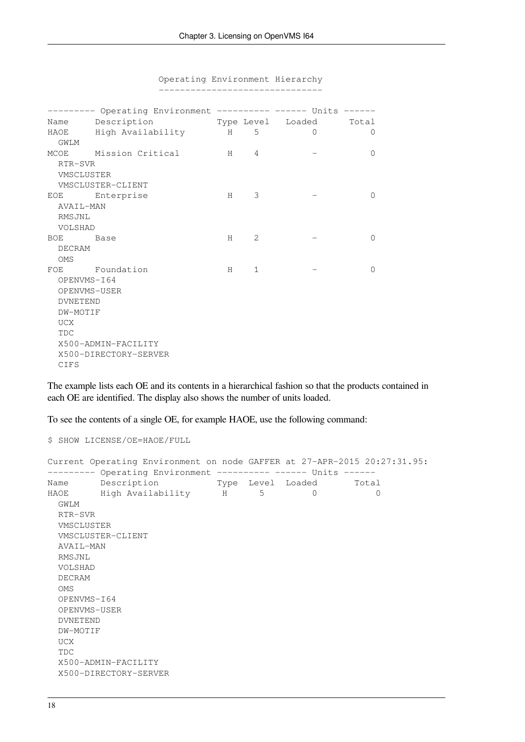|                 | --------- Operating Environment ---------- ------ Units ------ |   |                |                         |          |
|-----------------|----------------------------------------------------------------|---|----------------|-------------------------|----------|
|                 | Name Description                                               |   |                | Type Level Loaded Total |          |
|                 | HAOE High Availability H                                       |   | $5^{\circ}$    | $\Omega$                | $\Omega$ |
| GWLM            |                                                                |   |                |                         |          |
|                 | MCOE Mission Critical                                          | H | 4              |                         | $\Omega$ |
| RTR-SVR         |                                                                |   |                |                         |          |
| VMSCLUSTER      |                                                                |   |                |                         |          |
|                 | VMSCLUSTER-CLIENT                                              |   |                |                         |          |
|                 | EOE Enterprise                                                 | H | 3              |                         | $\Omega$ |
| AVAIL-MAN       |                                                                |   |                |                         |          |
| RMSJNL          |                                                                |   |                |                         |          |
| VOLSHAD         |                                                                |   |                |                         |          |
| BOE Base        |                                                                | H | $\mathfrak{L}$ |                         | $\Omega$ |
| DECRAM          |                                                                |   |                |                         |          |
| OMS             |                                                                |   |                |                         |          |
|                 | FOE Foundation                                                 | H | $\mathbf{1}$   |                         | $\Omega$ |
| OPENVMS-I64     |                                                                |   |                |                         |          |
|                 | OPENVMS-USER                                                   |   |                |                         |          |
| <b>DVNETEND</b> |                                                                |   |                |                         |          |
| DW-MOTIF        |                                                                |   |                |                         |          |
| <b>UCX</b>      |                                                                |   |                |                         |          |
| <b>TDC</b>      |                                                                |   |                |                         |          |
|                 | X500-ADMIN-FACILITY                                            |   |                |                         |          |
|                 | X500-DIRECTORY-SERVER                                          |   |                |                         |          |
| CIFS            |                                                                |   |                |                         |          |

 Operating Environment Hierarchy -------------------------------

The example lists each OE and its contents in a hierarchical fashion so that the products contained in each OE are identified. The display also shows the number of units loaded.

To see the contents of a single OE, for example HAOE, use the following command:

\$ SHOW LICENSE/OE=HAOE/FULL

|                 | Current Operating Environment on node GAFFER at 27-APR-2015 20:27:31.95: |  |          |          |
|-----------------|--------------------------------------------------------------------------|--|----------|----------|
|                 | --------- Operating Environment ---------- ------ Units ------           |  |          |          |
|                 | Name Description Type Level Loaded Total                                 |  |          |          |
|                 |                                                                          |  | $\Omega$ | $\Omega$ |
| GWLM            |                                                                          |  |          |          |
| RTR-SVR         |                                                                          |  |          |          |
| VMSCLUSTER      |                                                                          |  |          |          |
|                 | VMSCLUSTER-CLIENT                                                        |  |          |          |
| AVAIL-MAN       |                                                                          |  |          |          |
| RMSJNL          |                                                                          |  |          |          |
| VOLSHAD         |                                                                          |  |          |          |
| DECRAM          |                                                                          |  |          |          |
| <b>OMS</b>      |                                                                          |  |          |          |
|                 | OPENVMS-I64                                                              |  |          |          |
|                 | OPENVMS-USER                                                             |  |          |          |
| <b>DVNETEND</b> |                                                                          |  |          |          |
| DW-MOTIF        |                                                                          |  |          |          |
| UCX             |                                                                          |  |          |          |
| <b>TDC</b>      |                                                                          |  |          |          |
|                 | X500-ADMIN-FACILITY                                                      |  |          |          |
|                 | X500-DIRECTORY-SERVER                                                    |  |          |          |
|                 |                                                                          |  |          |          |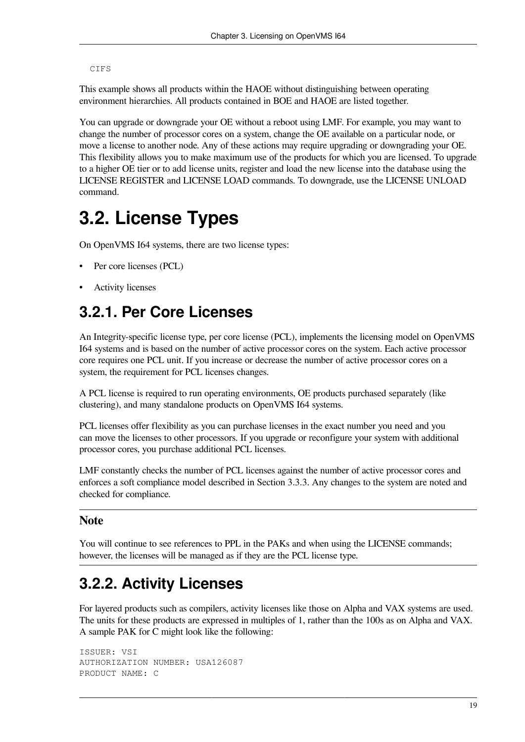CIFS

This example shows all products within the HAOE without distinguishing between operating environment hierarchies. All products contained in BOE and HAOE are listed together.

You can upgrade or downgrade your OE without a reboot using LMF. For example, you may want to change the number of processor cores on a system, change the OE available on a particular node, or move a license to another node. Any of these actions may require upgrading or downgrading your OE. This flexibility allows you to make maximum use of the products for which you are licensed. To upgrade to a higher OE tier or to add license units, register and load the new license into the database using the LICENSE REGISTER and LICENSE LOAD commands. To downgrade, use the LICENSE UNLOAD command.

## <span id="page-26-0"></span>**3.2. License Types**

On OpenVMS I64 systems, there are two license types:

- Per core licenses (PCL)
- <span id="page-26-1"></span>• Activity licenses

### **3.2.1. Per Core Licenses**

An Integrity-specific license type, per core license (PCL), implements the licensing model on OpenVMS I64 systems and is based on the number of active processor cores on the system. Each active processor core requires one PCL unit. If you increase or decrease the number of active processor cores on a system, the requirement for PCL licenses changes.

A PCL license is required to run operating environments, OE products purchased separately (like clustering), and many standalone products on OpenVMS I64 systems.

PCL licenses offer flexibility as you can purchase licenses in the exact number you need and you can move the licenses to other processors. If you upgrade or reconfigure your system with additional processor cores, you purchase additional PCL licenses.

LMF constantly checks the number of PCL licenses against the number of active processor cores and enforces a soft compliance model described in [Section](#page-28-1) 3.3.3. Any changes to the system are noted and checked for compliance.

#### **Note**

You will continue to see references to PPL in the PAKs and when using the LICENSE commands; however, the licenses will be managed as if they are the PCL license type.

### <span id="page-26-2"></span>**3.2.2. Activity Licenses**

For layered products such as compilers, activity licenses like those on Alpha and VAX systems are used. The units for these products are expressed in multiples of 1, rather than the 100s as on Alpha and VAX. A sample PAK for C might look like the following:

```
ISSUER: VSI
AUTHORIZATION NUMBER: USA126087
PRODUCT NAME: C
```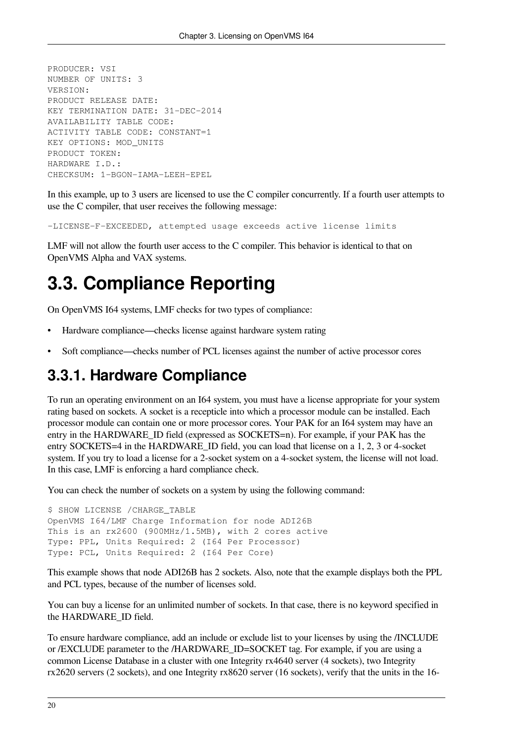```
PRODUCER: VSI
NUMBER OF UNITS: 3
VERSION:
PRODUCT RELEASE DATE:
KEY TERMINATION DATE: 31-DEC-2014
AVAILABILITY TABLE CODE:
ACTIVITY TABLE CODE: CONSTANT=1
KEY OPTIONS: MOD_UNITS
PRODUCT TOKEN:
HARDWARE I.D.:
CHECKSUM: 1-BGON-IAMA-LEEH-EPEL
```
In this example, up to 3 users are licensed to use the C compiler concurrently. If a fourth user attempts to use the C compiler, that user receives the following message:

-LICENSE-F-EXCEEDED, attempted usage exceeds active license limits

LMF will not allow the fourth user access to the C compiler. This behavior is identical to that on OpenVMS Alpha and VAX systems.

## <span id="page-27-0"></span>**3.3. Compliance Reporting**

On OpenVMS I64 systems, LMF checks for two types of compliance:

- Hardware compliance—checks license against hardware system rating
- Soft compliance—checks number of PCL licenses against the number of active processor cores

### <span id="page-27-1"></span>**3.3.1. Hardware Compliance**

To run an operating environment on an I64 system, you must have a license appropriate for your system rating based on sockets. A socket is a recepticle into which a processor module can be installed. Each processor module can contain one or more processor cores. Your PAK for an I64 system may have an entry in the HARDWARE\_ID field (expressed as SOCKETS=n). For example, if your PAK has the entry SOCKETS=4 in the HARDWARE\_ID field, you can load that license on a 1, 2, 3 or 4-socket system. If you try to load a license for a 2-socket system on a 4-socket system, the license will not load. In this case, LMF is enforcing a hard compliance check.

You can check the number of sockets on a system by using the following command:

```
$ SHOW LICENSE /CHARGE_TABLE
OpenVMS I64/LMF Charge Information for node ADI26B
This is an rx2600 (900MHz/1.5MB), with 2 cores active
Type: PPL, Units Required: 2 (I64 Per Processor)
Type: PCL, Units Required: 2 (I64 Per Core)
```
This example shows that node ADI26B has 2 sockets. Also, note that the example displays both the PPL and PCL types, because of the number of licenses sold.

You can buy a license for an unlimited number of sockets. In that case, there is no keyword specified in the HARDWARE\_ID field.

To ensure hardware compliance, add an include or exclude list to your licenses by using the /INCLUDE or /EXCLUDE parameter to the /HARDWARE\_ID=SOCKET tag. For example, if you are using a common License Database in a cluster with one Integrity rx4640 server (4 sockets), two Integrity rx2620 servers (2 sockets), and one Integrity rx8620 server (16 sockets), verify that the units in the 16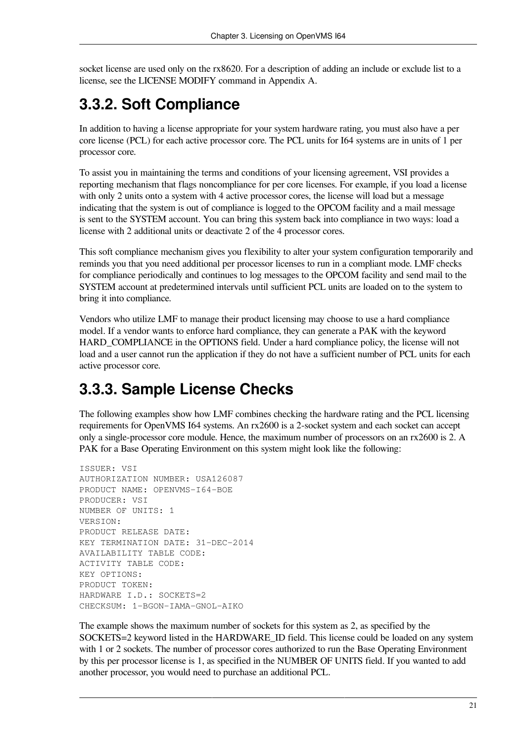socket license are used only on the rx8620. For a description of adding an include or exclude list to a license, see the LICENSE MODIFY command in [Appendix](#page-54-0) A.

## <span id="page-28-0"></span>**3.3.2. Soft Compliance**

In addition to having a license appropriate for your system hardware rating, you must also have a per core license (PCL) for each active processor core. The PCL units for I64 systems are in units of 1 per processor core.

To assist you in maintaining the terms and conditions of your licensing agreement, VSI provides a reporting mechanism that flags noncompliance for per core licenses. For example, if you load a license with only 2 units onto a system with 4 active processor cores, the license will load but a message indicating that the system is out of compliance is logged to the OPCOM facility and a mail message is sent to the SYSTEM account. You can bring this system back into compliance in two ways: load a license with 2 additional units or deactivate 2 of the 4 processor cores.

This soft compliance mechanism gives you flexibility to alter your system configuration temporarily and reminds you that you need additional per processor licenses to run in a compliant mode. LMF checks for compliance periodically and continues to log messages to the OPCOM facility and send mail to the SYSTEM account at predetermined intervals until sufficient PCL units are loaded on to the system to bring it into compliance.

Vendors who utilize LMF to manage their product licensing may choose to use a hard compliance model. If a vendor wants to enforce hard compliance, they can generate a PAK with the keyword HARD\_COMPLIANCE in the OPTIONS field. Under a hard compliance policy, the license will not load and a user cannot run the application if they do not have a sufficient number of PCL units for each active processor core.

### <span id="page-28-1"></span>**3.3.3. Sample License Checks**

The following examples show how LMF combines checking the hardware rating and the PCL licensing requirements for OpenVMS I64 systems. An rx2600 is a 2-socket system and each socket can accept only a single-processor core module. Hence, the maximum number of processors on an rx2600 is 2. A PAK for a Base Operating Environment on this system might look like the following:

```
ISSUER: VSI
AUTHORIZATION NUMBER: USA126087
PRODUCT NAME: OPENVMS-I64-BOE
PRODUCER: VSI
NUMBER OF UNITS: 1
VERSION:
PRODUCT RELEASE DATE:
KEY TERMINATION DATE: 31-DEC-2014
AVAILABILITY TABLE CODE:
ACTIVITY TABLE CODE:
KEY OPTIONS:
PRODUCT TOKEN:
HARDWARE I.D.: SOCKETS=2
CHECKSUM: 1-BGON-IAMA-GNOL-AIKO
```
The example shows the maximum number of sockets for this system as 2, as specified by the SOCKETS=2 keyword listed in the HARDWARE\_ID field. This license could be loaded on any system with 1 or 2 sockets. The number of processor cores authorized to run the Base Operating Environment by this per processor license is 1, as specified in the NUMBER OF UNITS field. If you wanted to add another processor, you would need to purchase an additional PCL.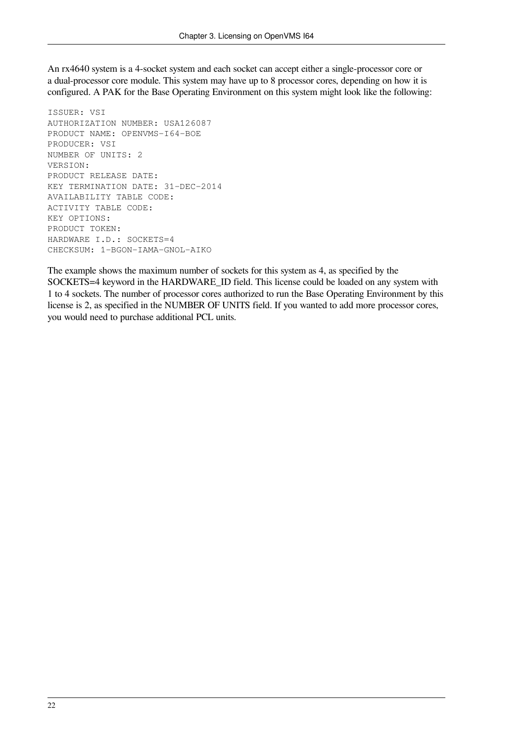An rx4640 system is a 4-socket system and each socket can accept either a single-processor core or a dual-processor core module. This system may have up to 8 processor cores, depending on how it is configured. A PAK for the Base Operating Environment on this system might look like the following:

ISSUER: VSI AUTHORIZATION NUMBER: USA126087 PRODUCT NAME: OPENVMS-I64-BOE PRODUCER: VSI NUMBER OF UNITS: 2 VERSION: PRODUCT RELEASE DATE: KEY TERMINATION DATE: 31-DEC-2014 AVAILABILITY TABLE CODE: ACTIVITY TABLE CODE: KEY OPTIONS: PRODUCT TOKEN: HARDWARE I.D.: SOCKETS=4 CHECKSUM: 1-BGON-IAMA-GNOL-AIKO

The example shows the maximum number of sockets for this system as 4, as specified by the SOCKETS=4 keyword in the HARDWARE\_ID field. This license could be loaded on any system with 1 to 4 sockets. The number of processor cores authorized to run the Base Operating Environment by this license is 2, as specified in the NUMBER OF UNITS field. If you wanted to add more processor cores, you would need to purchase additional PCL units.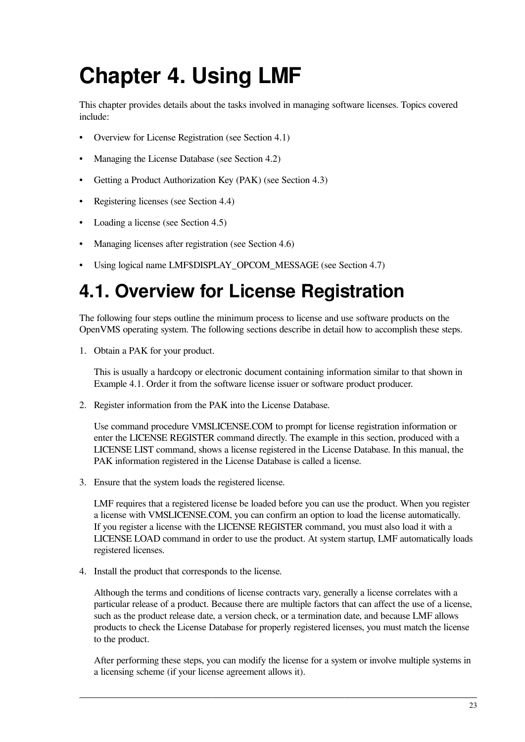# <span id="page-30-0"></span>**Chapter 4. Using LMF**

This chapter provides details about the tasks involved in managing software licenses. Topics covered include:

- Overview for License Registration (see [Section](#page-30-1) 4.1)
- Managing the License Database (see [Section](#page-31-0) 4.2)
- Getting a Product Authorization Key (PAK) (see [Section](#page-32-0) 4.3)
- Registering licenses (see [Section](#page-33-0) 4.4)
- Loading a license (see [Section](#page-43-1) 4.5)
- Managing licenses after registration (see [Section](#page-45-0) 4.6)
- Using logical name LMF\$DISPLAY\_OPCOM\_MESSAGE (see [Section](#page-51-1) 4.7)

# <span id="page-30-1"></span>**4.1. Overview for License Registration**

The following four steps outline the minimum process to license and use software products on the OpenVMS operating system. The following sections describe in detail how to accomplish these steps.

1. Obtain a PAK for your product.

This is usually a hardcopy or electronic document containing information similar to that shown in [Example](#page-34-2) 4.1. Order it from the software license issuer or software product producer.

2. Register information from the PAK into the License Database.

Use command procedure VMSLICENSE.COM to prompt for license registration information or enter the LICENSE REGISTER command directly. The example in this section, produced with a LICENSE LIST command, shows a license registered in the License Database. In this manual, the PAK information registered in the License Database is called a license.

3. Ensure that the system loads the registered license.

LMF requires that a registered license be loaded before you can use the product. When you register a license with VMSLICENSE.COM, you can confirm an option to load the license automatically. If you register a license with the LICENSE REGISTER command, you must also load it with a LICENSE LOAD command in order to use the product. At system startup, LMF automatically loads registered licenses.

4. Install the product that corresponds to the license.

Although the terms and conditions of license contracts vary, generally a license correlates with a particular release of a product. Because there are multiple factors that can affect the use of a license, such as the product release date, a version check, or a termination date, and because LMF allows products to check the License Database for properly registered licenses, you must match the license to the product.

After performing these steps, you can modify the license for a system or involve multiple systems in a licensing scheme (if your license agreement allows it).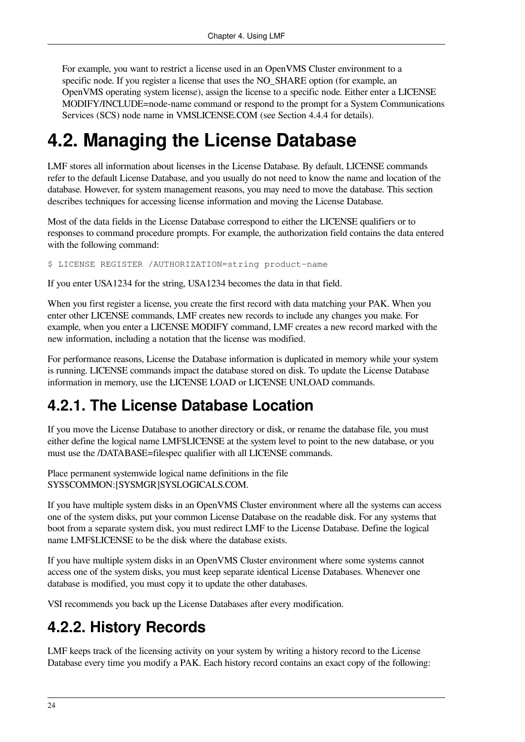For example, you want to restrict a license used in an OpenVMS Cluster environment to a specific node. If you register a license that uses the NO\_SHARE option (for example, an OpenVMS operating system license), assign the license to a specific node. Either enter a LICENSE MODIFY/INCLUDE=node-name command or respond to the prompt for a System Communications Services (SCS) node name in VMSLICENSE.COM (see [Section](#page-35-1) 4.4.4 for details).

## <span id="page-31-0"></span>**4.2. Managing the License Database**

LMF stores all information about licenses in the License Database. By default, LICENSE commands refer to the default License Database, and you usually do not need to know the name and location of the database. However, for system management reasons, you may need to move the database. This section describes techniques for accessing license information and moving the License Database.

Most of the data fields in the License Database correspond to either the LICENSE qualifiers or to responses to command procedure prompts. For example, the authorization field contains the data entered with the following command:

\$ LICENSE REGISTER /AUTHORIZATION=string product-name

If you enter USA1234 for the string, USA1234 becomes the data in that field.

When you first register a license, you create the first record with data matching your PAK. When you enter other LICENSE commands, LMF creates new records to include any changes you make. For example, when you enter a LICENSE MODIFY command, LMF creates a new record marked with the new information, including a notation that the license was modified.

For performance reasons, License the Database information is duplicated in memory while your system is running. LICENSE commands impact the database stored on disk. To update the License Database information in memory, use the LICENSE LOAD or LICENSE UNLOAD commands.

### <span id="page-31-1"></span>**4.2.1. The License Database Location**

If you move the License Database to another directory or disk, or rename the database file, you must either define the logical name LMF\$LICENSE at the system level to point to the new database, or you must use the /DATABASE=filespec qualifier with all LICENSE commands.

Place permanent systemwide logical name definitions in the file SYS\$COMMON:[SYSMGR]SYSLOGICALS.COM.

If you have multiple system disks in an OpenVMS Cluster environment where all the systems can access one of the system disks, put your common License Database on the readable disk. For any systems that boot from a separate system disk, you must redirect LMF to the License Database. Define the logical name LMF\$LICENSE to be the disk where the database exists.

If you have multiple system disks in an OpenVMS Cluster environment where some systems cannot access one of the system disks, you must keep separate identical License Databases. Whenever one database is modified, you must copy it to update the other databases.

VSI recommends you back up the License Databases after every modification.

### <span id="page-31-2"></span>**4.2.2. History Records**

LMF keeps track of the licensing activity on your system by writing a history record to the License Database every time you modify a PAK. Each history record contains an exact copy of the following: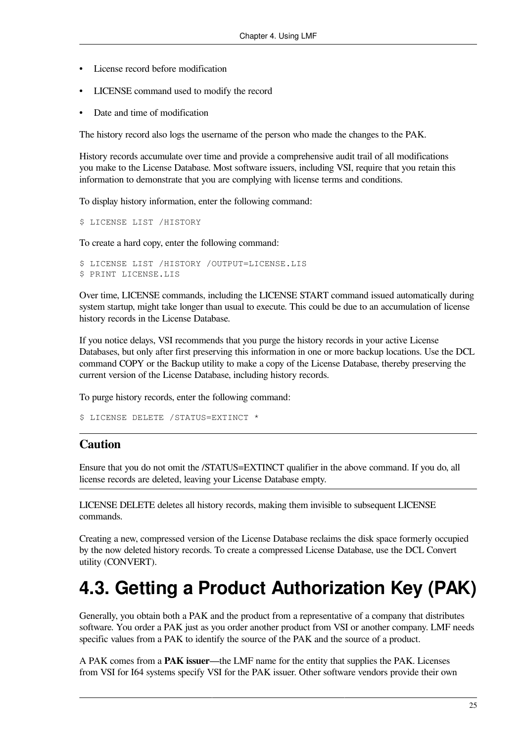- License record before modification
- LICENSE command used to modify the record
- Date and time of modification

The history record also logs the username of the person who made the changes to the PAK.

History records accumulate over time and provide a comprehensive audit trail of all modifications you make to the License Database. Most software issuers, including VSI, require that you retain this information to demonstrate that you are complying with license terms and conditions.

To display history information, enter the following command:

```
$ LICENSE LIST /HISTORY
```
To create a hard copy, enter the following command:

```
$ LICENSE LIST /HISTORY /OUTPUT=LICENSE.LIS
$ PRINT LICENSE.LIS
```
Over time, LICENSE commands, including the LICENSE START command issued automatically during system startup, might take longer than usual to execute. This could be due to an accumulation of license history records in the License Database.

If you notice delays, VSI recommends that you purge the history records in your active License Databases, but only after first preserving this information in one or more backup locations. Use the DCL command COPY or the Backup utility to make a copy of the License Database, thereby preserving the current version of the License Database, including history records.

To purge history records, enter the following command:

```
$ LICENSE DELETE /STATUS=EXTINCT *
```
#### **Caution**

Ensure that you do not omit the /STATUS=EXTINCT qualifier in the above command. If you do, all license records are deleted, leaving your License Database empty.

LICENSE DELETE deletes all history records, making them invisible to subsequent LICENSE commands.

Creating a new, compressed version of the License Database reclaims the disk space formerly occupied by the now deleted history records. To create a compressed License Database, use the DCL Convert utility (CONVERT).

## <span id="page-32-0"></span>**4.3. Getting a Product Authorization Key (PAK)**

Generally, you obtain both a PAK and the product from a representative of a company that distributes software. You order a PAK just as you order another product from VSI or another company. LMF needs specific values from a PAK to identify the source of the PAK and the source of a product.

A PAK comes from a **PAK issuer**—the LMF name for the entity that supplies the PAK. Licenses from VSI for I64 systems specify VSI for the PAK issuer. Other software vendors provide their own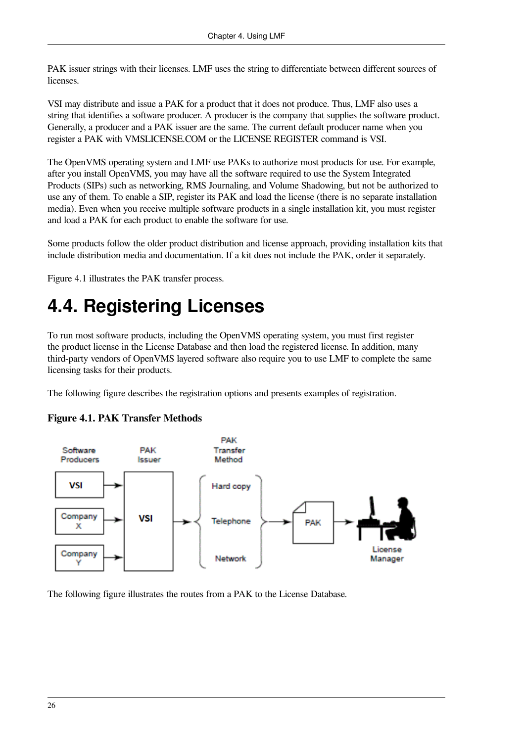PAK issuer strings with their licenses. LMF uses the string to differentiate between different sources of licenses.

VSI may distribute and issue a PAK for a product that it does not produce. Thus, LMF also uses a string that identifies a software producer. A producer is the company that supplies the software product. Generally, a producer and a PAK issuer are the same. The current default producer name when you register a PAK with VMSLICENSE.COM or the LICENSE REGISTER command is VSI.

The OpenVMS operating system and LMF use PAKs to authorize most products for use. For example, after you install OpenVMS, you may have all the software required to use the System Integrated Products (SIPs) such as networking, RMS Journaling, and Volume Shadowing, but not be authorized to use any of them. To enable a SIP, register its PAK and load the license (there is no separate installation media). Even when you receive multiple software products in a single installation kit, you must register and load a PAK for each product to enable the software for use.

Some products follow the older product distribution and license approach, providing installation kits that include distribution media and documentation. If a kit does not include the PAK, order it separately.

[Figure](#page-33-1) 4.1 illustrates the PAK transfer process.

# <span id="page-33-0"></span>**4.4. Registering Licenses**

To run most software products, including the OpenVMS operating system, you must first register the product license in the License Database and then load the registered license. In addition, many third-party vendors of OpenVMS layered software also require you to use LMF to complete the same licensing tasks for their products.

<span id="page-33-1"></span>The following figure describes the registration options and presents examples of registration.



#### **Figure 4.1. PAK Transfer Methods**

The following figure illustrates the routes from a PAK to the License Database.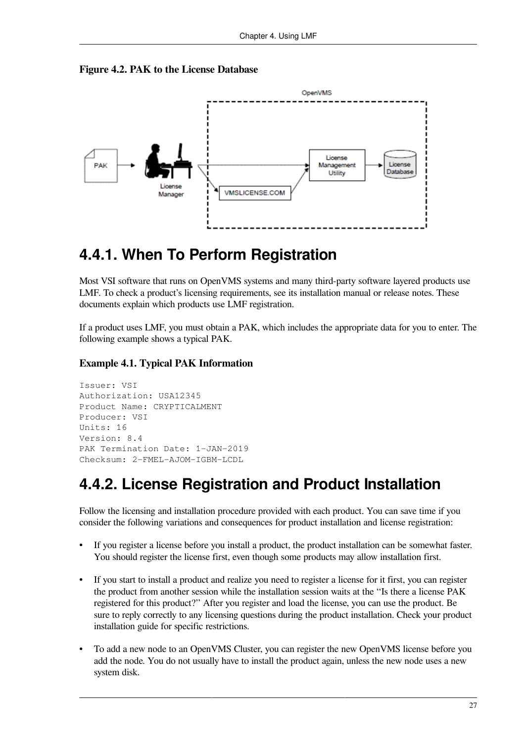



#### <span id="page-34-0"></span>**4.4.1. When To Perform Registration**

Most VSI software that runs on OpenVMS systems and many third-party software layered products use LMF. To check a product's licensing requirements, see its installation manual or release notes. These documents explain which products use LMF registration.

If a product uses LMF, you must obtain a PAK, which includes the appropriate data for you to enter. The following example shows a typical PAK.

#### <span id="page-34-2"></span>**Example 4.1. Typical PAK Information**

```
Issuer: VSI
Authorization: USA12345
Product Name: CRYPTICALMENT
Producer: VSI
Units: 16
Version: 8.4
PAK Termination Date: 1-JAN-2019
Checksum: 2-FMEL-AJOM-IGBM-LCDL
```
### <span id="page-34-1"></span>**4.4.2. License Registration and Product Installation**

Follow the licensing and installation procedure provided with each product. You can save time if you consider the following variations and consequences for product installation and license registration:

- If you register a license before you install a product, the product installation can be somewhat faster. You should register the license first, even though some products may allow installation first.
- If you start to install a product and realize you need to register a license for it first, you can register the product from another session while the installation session waits at the ''Is there a license PAK registered for this product?'' After you register and load the license, you can use the product. Be sure to reply correctly to any licensing questions during the product installation. Check your product installation guide for specific restrictions.
- To add a new node to an OpenVMS Cluster, you can register the new OpenVMS license before you add the node. You do not usually have to install the product again, unless the new node uses a new system disk.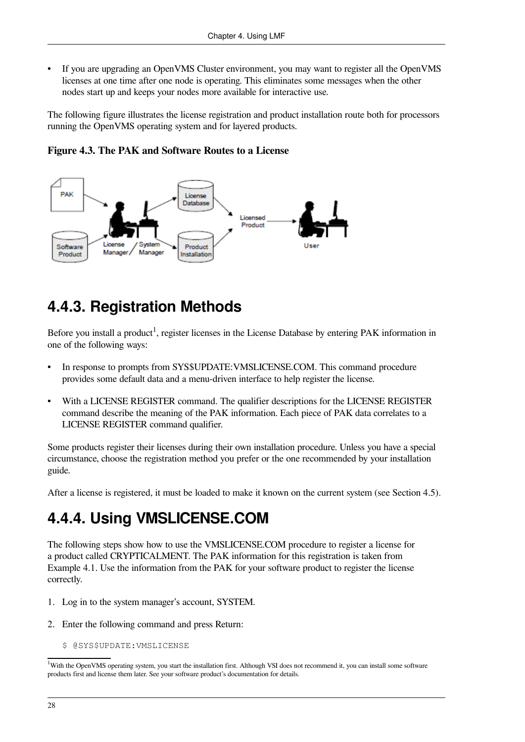• If you are upgrading an OpenVMS Cluster environment, you may want to register all the OpenVMS licenses at one time after one node is operating. This eliminates some messages when the other nodes start up and keeps your nodes more available for interactive use.

The following figure illustrates the license registration and product installation route both for processors running the OpenVMS operating system and for layered products.

**Figure 4.3. The PAK and Software Routes to a License**



## <span id="page-35-0"></span>**4.4.3. Registration Methods**

Before you install a product<sup>1</sup>, register licenses in the License Database by entering PAK information in one of the following ways:

- In response to prompts from SYS\$UPDATE:VMSLICENSE.COM. This command procedure provides some default data and a menu-driven interface to help register the license.
- With a LICENSE REGISTER command. The qualifier descriptions for the LICENSE REGISTER command describe the meaning of the PAK information. Each piece of PAK data correlates to a LICENSE REGISTER command qualifier.

Some products register their licenses during their own installation procedure. Unless you have a special circumstance, choose the registration method you prefer or the one recommended by your installation guide.

<span id="page-35-1"></span>After a license is registered, it must be loaded to make it known on the current system (see [Section](#page-43-1) 4.5).

## **4.4.4. Using VMSLICENSE.COM**

The following steps show how to use the VMSLICENSE.COM procedure to register a license for a product called CRYPTICALMENT. The PAK information for this registration is taken from [Example](#page-34-2) 4.1. Use the information from the PAK for your software product to register the license correctly.

- 1. Log in to the system manager's account, SYSTEM.
- 2. Enter the following command and press Return:
	- \$ @SYS\$UPDATE:VMSLICENSE

<sup>&</sup>lt;sup>1</sup>With the OpenVMS operating system, you start the installation first. Although VSI does not recommend it, you can install some software products first and license them later. See your software product's documentation for details.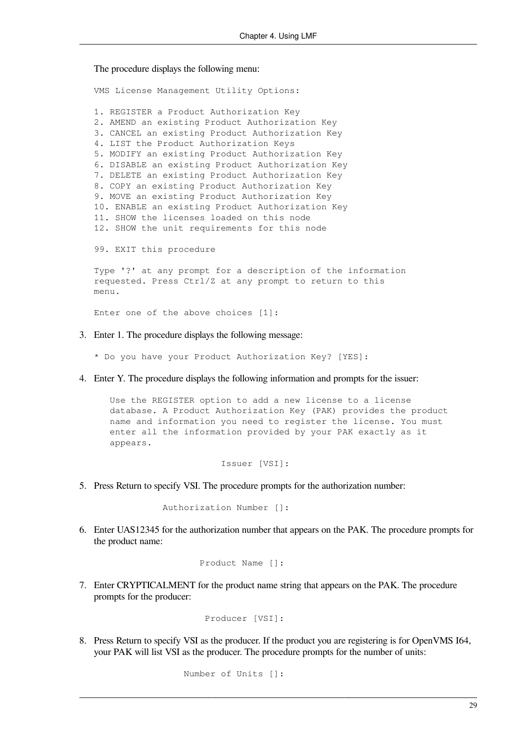The procedure displays the following menu:

VMS License Management Utility Options: 1. REGISTER a Product Authorization Key 2. AMEND an existing Product Authorization Key 3. CANCEL an existing Product Authorization Key 4. LIST the Product Authorization Keys 5. MODIFY an existing Product Authorization Key 6. DISABLE an existing Product Authorization Key 7. DELETE an existing Product Authorization Key 8. COPY an existing Product Authorization Key 9. MOVE an existing Product Authorization Key 10. ENABLE an existing Product Authorization Key 11. SHOW the licenses loaded on this node 12. SHOW the unit requirements for this node 99. EXIT this procedure Type '?' at any prompt for a description of the information requested. Press Ctrl/Z at any prompt to return to this  $m \approx n11$ . Enter one of the above choices [1]:

- 3. Enter 1. The procedure displays the following message:
	- \* Do you have your Product Authorization Key? [YES]:
- 4. Enter Y. The procedure displays the following information and prompts for the issuer:

 Use the REGISTER option to add a new license to a license database. A Product Authorization Key (PAK) provides the product name and information you need to register the license. You must enter all the information provided by your PAK exactly as it appears.

Issuer [VSI]:

5. Press Return to specify VSI. The procedure prompts for the authorization number:

```
 Authorization Number []:
```
6. Enter UAS12345 for the authorization number that appears on the PAK. The procedure prompts for the product name:

```
 Product Name []:
```
7. Enter CRYPTICALMENT for the product name string that appears on the PAK. The procedure prompts for the producer:

Producer [VSI]:

8. Press Return to specify VSI as the producer. If the product you are registering is for OpenVMS I64, your PAK will list VSI as the producer. The procedure prompts for the number of units:

Number of Units []: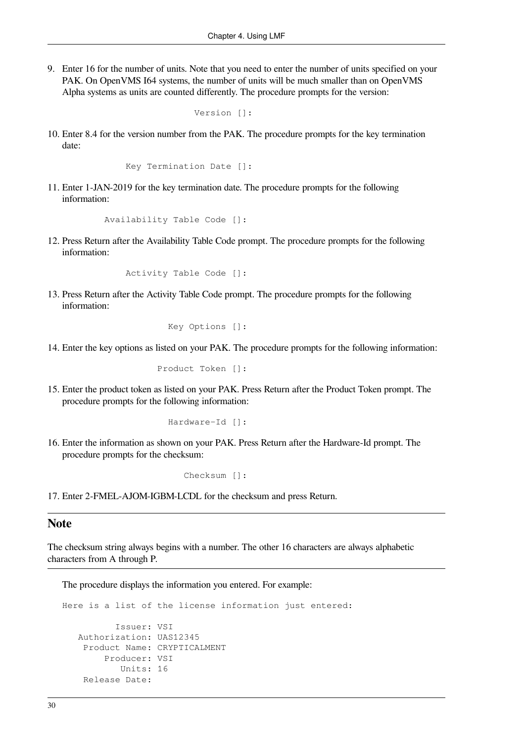9. Enter 16 for the number of units. Note that you need to enter the number of units specified on your PAK. On OpenVMS I64 systems, the number of units will be much smaller than on OpenVMS Alpha systems as units are counted differently. The procedure prompts for the version:

```
 Version []:
```
10. Enter 8.4 for the version number from the PAK. The procedure prompts for the key termination date:

Key Termination Date []:

11. Enter 1-JAN-2019 for the key termination date. The procedure prompts for the following information:

Availability Table Code []:

12. Press Return after the Availability Table Code prompt. The procedure prompts for the following information:

Activity Table Code []:

13. Press Return after the Activity Table Code prompt. The procedure prompts for the following information:

Key Options []:

14. Enter the key options as listed on your PAK. The procedure prompts for the following information:

Product Token []:

15. Enter the product token as listed on your PAK. Press Return after the Product Token prompt. The procedure prompts for the following information:

Hardware-Id []:

16. Enter the information as shown on your PAK. Press Return after the Hardware-Id prompt. The procedure prompts for the checksum:

Checksum []:

17. Enter 2-FMEL-AJOM-IGBM-LCDL for the checksum and press Return.

#### **Note**

The checksum string always begins with a number. The other 16 characters are always alphabetic characters from A through P.

The procedure displays the information you entered. For example:

```
Here is a list of the license information just entered:
           Issuer: VSI
    Authorization: UAS12345
     Product Name: CRYPTICALMENT
         Producer: VSI
            Units: 16
     Release Date:
```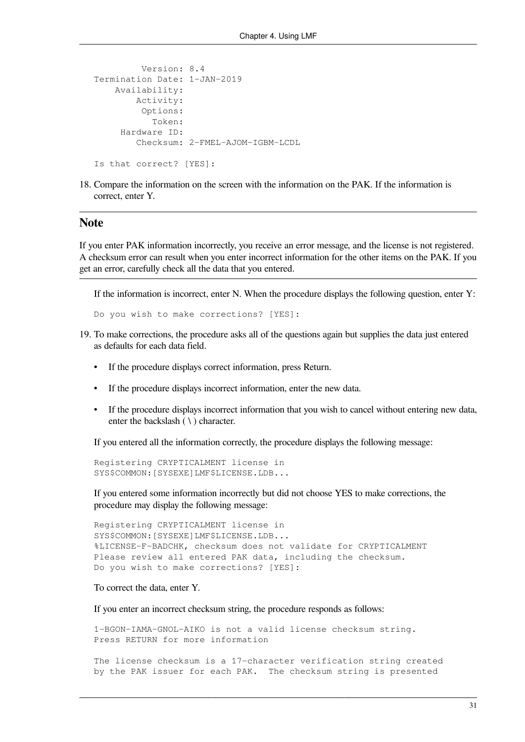```
 Version: 8.4
Termination Date: 1-JAN-2019
     Availability:
         Activity:
          Options:
            Token:
      Hardware ID:
         Checksum: 2-FMEL-AJOM-IGBM-LCDL
Is that correct? [YES]:
```
18. Compare the information on the screen with the information on the PAK. If the information is correct, enter Y.

#### **Note**

If you enter PAK information incorrectly, you receive an error message, and the license is not registered. A checksum error can result when you enter incorrect information for the other items on the PAK. If you get an error, carefully check all the data that you entered.

If the information is incorrect, enter N. When the procedure displays the following question, enter Y:

```
Do you wish to make corrections? [YES]:
```
- 19. To make corrections, the procedure asks all of the questions again but supplies the data just entered as defaults for each data field.
	- If the procedure displays correct information, press Return.
	- If the procedure displays incorrect information, enter the new data.
	- If the procedure displays incorrect information that you wish to cancel without entering new data, enter the backslash  $( \ \rangle )$  character.

If you entered all the information correctly, the procedure displays the following message:

```
Registering CRYPTICALMENT license in
SYS$COMMON:[SYSEXE]LMF$LICENSE.LDB...
```
If you entered some information incorrectly but did not choose YES to make corrections, the procedure may display the following message:

```
Registering CRYPTICALMENT license in
SYS$COMMON:[SYSEXE]LMF$LICENSE.LDB...
%LICENSE-F-BADCHK, checksum does not validate for CRYPTICALMENT
Please review all entered PAK data, including the checksum.
Do you wish to make corrections? [YES]:
```
To correct the data, enter Y.

If you enter an incorrect checksum string, the procedure responds as follows:

1-BGON-IAMA-GNOL-AIKO is not a valid license checksum string. Press RETURN for more information

The license checksum is a 17-character verification string created by the PAK issuer for each PAK. The checksum string is presented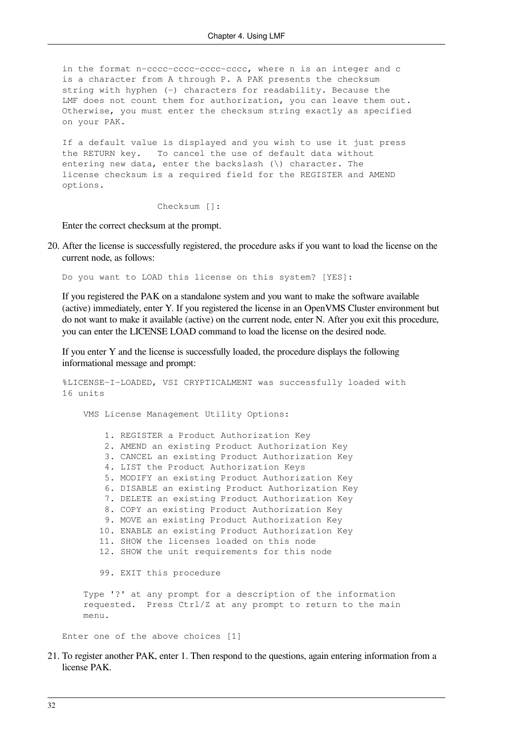in the format n-cccc-cccc-cccc-cccc, where n is an integer and c is a character from A through P. A PAK presents the checksum string with hyphen (-) characters for readability. Because the LMF does not count them for authorization, you can leave them out. Otherwise, you must enter the checksum string exactly as specified on your PAK.

If a default value is displayed and you wish to use it just press the RETURN key. To cancel the use of default data without entering new data, enter the backslash (\) character. The license checksum is a required field for the REGISTER and AMEND options.

Checksum []:

Enter the correct checksum at the prompt.

20. After the license is successfully registered, the procedure asks if you want to load the license on the current node, as follows:

Do you want to LOAD this license on this system? [YES]:

If you registered the PAK on a standalone system and you want to make the software available (active) immediately, enter Y. If you registered the license in an OpenVMS Cluster environment but do not want to make it available (active) on the current node, enter N. After you exit this procedure, you can enter the LICENSE LOAD command to load the license on the desired node.

If you enter Y and the license is successfully loaded, the procedure displays the following informational message and prompt:

```
%LICENSE-I-LOADED, VSI CRYPTICALMENT was successfully loaded with
16 units
     VMS License Management Utility Options:
         1. REGISTER a Product Authorization Key
         2. AMEND an existing Product Authorization Key
         3. CANCEL an existing Product Authorization Key
         4. LIST the Product Authorization Keys
         5. MODIFY an existing Product Authorization Key
         6. DISABLE an existing Product Authorization Key
         7. DELETE an existing Product Authorization Key
         8. COPY an existing Product Authorization Key
         9. MOVE an existing Product Authorization Key
        10. ENABLE an existing Product Authorization Key
        11. SHOW the licenses loaded on this node
        12. SHOW the unit requirements for this node
        99. EXIT this procedure
     Type '?' at any prompt for a description of the information
     requested. Press Ctrl/Z at any prompt to return to the main
     menu.
```
Enter one of the above choices [1]

21. To register another PAK, enter 1. Then respond to the questions, again entering information from a license PAK.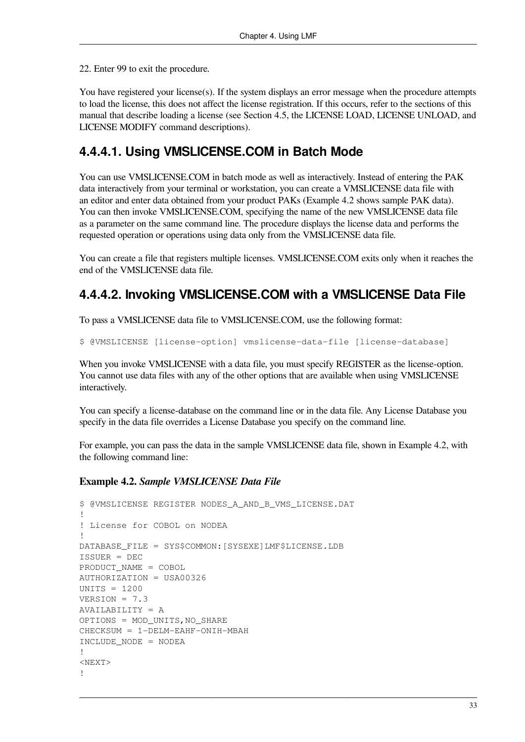22. Enter 99 to exit the procedure.

You have registered your license(s). If the system displays an error message when the procedure attempts to load the license, this does not affect the license registration. If this occurs, refer to the sections of this manual that describe loading a license (see [Section](#page-43-0) 4.5, the [LICENSE](#page-66-0) LOAD, LICENSE [UNLOAD,](#page-80-0) and [LICENSE](#page-69-0) MODIFY command descriptions).

### **4.4.4.1. Using VMSLICENSE.COM in Batch Mode**

You can use VMSLICENSE.COM in batch mode as well as interactively. Instead of entering the PAK data interactively from your terminal or workstation, you can create a VMSLICENSE data file with an editor and enter data obtained from your product PAKs [\(Example](#page-40-0) 4.2 shows sample PAK data). You can then invoke VMSLICENSE.COM, specifying the name of the new VMSLICENSE data file as a parameter on the same command line. The procedure displays the license data and performs the requested operation or operations using data only from the VMSLICENSE data file.

You can create a file that registers multiple licenses. VMSLICENSE.COM exits only when it reaches the end of the VMSLICENSE data file.

### **4.4.4.2. Invoking VMSLICENSE.COM with a VMSLICENSE Data File**

To pass a VMSLICENSE data file to VMSLICENSE.COM, use the following format:

```
$ @VMSLICENSE [license-option] vmslicense-data-file [license-database]
```
When you invoke VMSLICENSE with a data file, you must specify REGISTER as the license-option. You cannot use data files with any of the other options that are available when using VMSLICENSE interactively.

You can specify a license-database on the command line or in the data file. Any License Database you specify in the data file overrides a License Database you specify on the command line.

For example, you can pass the data in the sample VMSLICENSE data file, shown in [Example](#page-40-0) 4.2, with the following command line:

#### <span id="page-40-0"></span>**Example 4.2.** *Sample VMSLICENSE Data File*

```
$ @VMSLICENSE REGISTER NODES_A_AND_B_VMS_LICENSE.DAT
!
! License for COBOL on NODEA
!
DATABASE_FILE = SYS$COMMON:[SYSEXE]LMF$LICENSE.LDB
ISSUER = DEC
PRODUCT_NAME = COBOL
AUTHORIZATION = USA00326
UNITS = 1200
VERSION = 7.3AVAILABILITY = A
OPTIONS = MOD_UNITS,NO_SHARE
CHECKSUM = 1-DELM-EAHF-ONIH-MBAH
INCLUDE_NODE = NODEA
!
<NEXT>!
```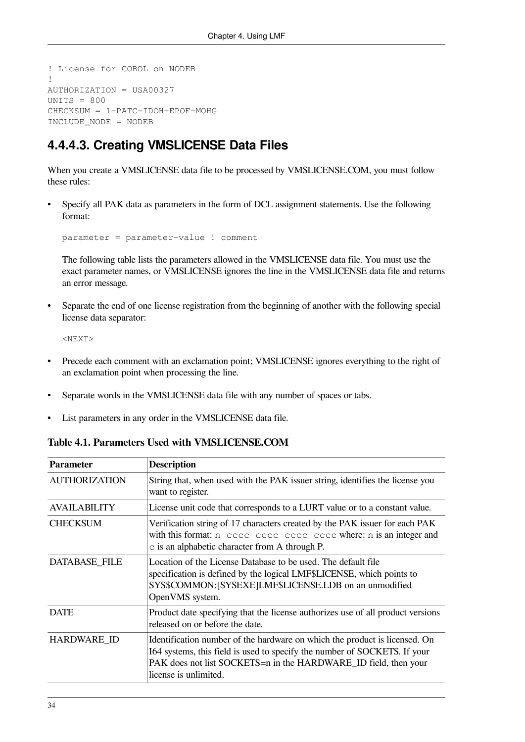```
! License for COBOL on NODEB
!
AUTHORIZATION = USA00327
UNITS = 800
CHECKSUM = 1-PATC-IDOH-EPOF-MOHG
INCLUDE_NODE = NODEB
```
### **4.4.4.3. Creating VMSLICENSE Data Files**

When you create a VMSLICENSE data file to be processed by VMSLICENSE.COM, you must follow these rules:

• Specify all PAK data as parameters in the form of DCL assignment statements. Use the following format:

parameter = parameter-value ! comment

The following table lists the parameters allowed in the VMSLICENSE data file. You must use the exact parameter names, or VMSLICENSE ignores the line in the VMSLICENSE data file and returns an error message.

• Separate the end of one license registration from the beginning of another with the following special license data separator:

<NEXT>

- Precede each comment with an exclamation point; VMSLICENSE ignores everything to the right of an exclamation point when processing the line.
- Separate words in the VMSLICENSE data file with any number of spaces or tabs.
- List parameters in any order in the VMSLICENSE data file.

**Table 4.1. Parameters Used with VMSLICENSE.COM**

| <b>Parameter</b>     | <b>Description</b>                                                                                                                                                                                                                                  |
|----------------------|-----------------------------------------------------------------------------------------------------------------------------------------------------------------------------------------------------------------------------------------------------|
| <b>AUTHORIZATION</b> | String that, when used with the PAK issuer string, identifies the license you<br>want to register.                                                                                                                                                  |
| <b>AVAILABILITY</b>  | License unit code that corresponds to a LURT value or to a constant value.                                                                                                                                                                          |
| <b>CHECKSUM</b>      | Verification string of 17 characters created by the PAK issuer for each PAK<br>with this format: n-cccc-cccc-cccc-cccc where: n is an integer and<br>$\circ$ is an alphabetic character from A through P.                                           |
| <b>DATABASE FILE</b> | Location of the License Database to be used. The default file<br>specification is defined by the logical LMF\$LICENSE, which points to<br>SYS\$COMMON: [SYSEXE]LMF\$LICENSE.LDB on an unmodified<br>OpenVMS system.                                 |
| <b>DATE</b>          | Product date specifying that the license authorizes use of all product versions<br>released on or before the date.                                                                                                                                  |
| <b>HARDWARE ID</b>   | Identification number of the hardware on which the product is licensed. On<br>I64 systems, this field is used to specify the number of SOCKETS. If your<br>PAK does not list SOCKETS=n in the HARDWARE_ID field, then your<br>license is unlimited. |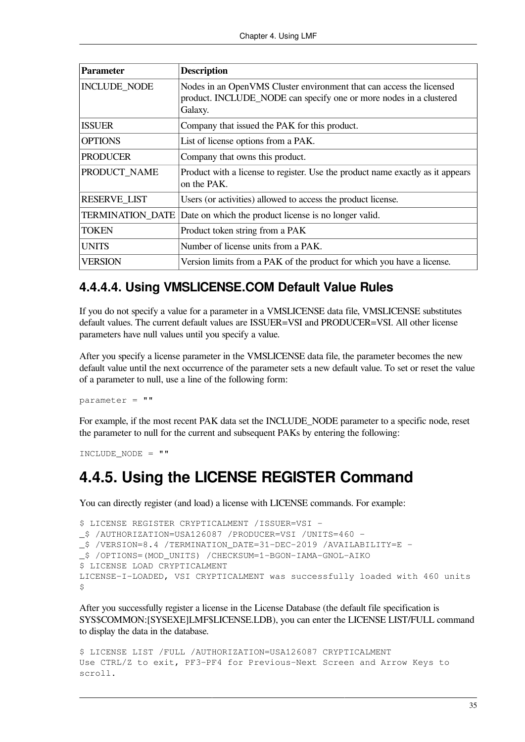| <b>Parameter</b>        | <b>Description</b>                                                                                                                                    |  |
|-------------------------|-------------------------------------------------------------------------------------------------------------------------------------------------------|--|
| <b>INCLUDE_NODE</b>     | Nodes in an OpenVMS Cluster environment that can access the licensed<br>product. INCLUDE_NODE can specify one or more nodes in a clustered<br>Galaxy. |  |
| <b>ISSUER</b>           | Company that issued the PAK for this product.                                                                                                         |  |
| <b>OPTIONS</b>          | List of license options from a PAK.                                                                                                                   |  |
| <b>PRODUCER</b>         | Company that owns this product.                                                                                                                       |  |
| PRODUCT_NAME            | Product with a license to register. Use the product name exactly as it appears<br>on the PAK.                                                         |  |
| <b>RESERVE_LIST</b>     | Users (or activities) allowed to access the product license.                                                                                          |  |
| <b>TERMINATION DATE</b> | Date on which the product license is no longer valid.                                                                                                 |  |
| <b>TOKEN</b>            | Product token string from a PAK                                                                                                                       |  |
| <b>UNITS</b>            | Number of license units from a PAK.                                                                                                                   |  |
| <b>VERSION</b>          | Version limits from a PAK of the product for which you have a license.                                                                                |  |

### **4.4.4.4. Using VMSLICENSE.COM Default Value Rules**

If you do not specify a value for a parameter in a VMSLICENSE data file, VMSLICENSE substitutes default values. The current default values are ISSUER=VSI and PRODUCER=VSI. All other license parameters have null values until you specify a value.

After you specify a license parameter in the VMSLICENSE data file, the parameter becomes the new default value until the next occurrence of the parameter sets a new default value. To set or reset the value of a parameter to null, use a line of the following form:

 $parameter = "$ 

For example, if the most recent PAK data set the INCLUDE\_NODE parameter to a specific node, reset the parameter to null for the current and subsequent PAKs by entering the following:

```
INCLUDE NODE = ""
```
## **4.4.5. Using the LICENSE REGISTER Command**

You can directly register (and load) a license with LICENSE commands. For example:

```
$ LICENSE REGISTER CRYPTICALMENT /ISSUER=VSI -
_$ /AUTHORIZATION=USA126087 /PRODUCER=VSI /UNITS=460 -
_$ /VERSION=8.4 /TERMINATION_DATE=31-DEC-2019 /AVAILABILITY=E -
_$ /OPTIONS=(MOD_UNITS) /CHECKSUM=1-BGON-IAMA-GNOL-AIKO
$ LICENSE LOAD CRYPTICALMENT
LICENSE-I-LOADED, VSI CRYPTICALMENT was successfully loaded with 460 units
\mathsf{S}
```
After you successfully register a license in the License Database (the default file specification is SYS\$COMMON:[SYSEXE]LMF\$LICENSE.LDB), you can enter the LICENSE LIST/FULL command to display the data in the database.

```
$ LICENSE LIST /FULL /AUTHORIZATION=USA126087 CRYPTICALMENT
Use CTRL/Z to exit, PF3-PF4 for Previous-Next Screen and Arrow Keys to
scroll.
```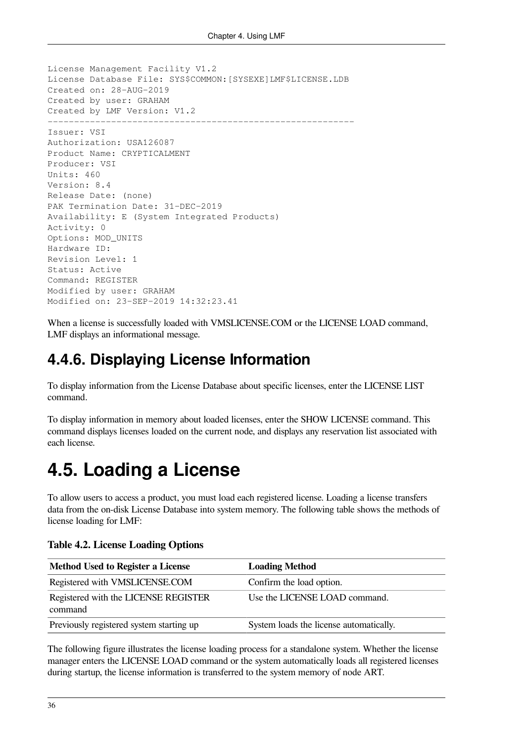```
License Management Facility V1.2
License Database File: SYS$COMMON:[SYSEXE]LMF$LICENSE.LDB
Created on: 28-AUG-2019
Created by user: GRAHAM
Created by LMF Version: V1.2
----------------------------------------------------------
Issuer: VSI
Authorization: USA126087
Product Name: CRYPTICALMENT
Producer: VSI
Units: 460
Version: 8.4
Release Date: (none)
PAK Termination Date: 31-DEC-2019
Availability: E (System Integrated Products)
Activity: 0
Options: MOD_UNITS
Hardware ID:
Revision Level: 1
Status: Active
Command: REGISTER
Modified by user: GRAHAM
Modified on: 23-SEP-2019 14:32:23.41
```
When a license is successfully loaded with VMSLICENSE.COM or the LICENSE LOAD command, LMF displays an informational message.

## **4.4.6. Displaying License Information**

To display information from the License Database about specific licenses, enter the LICENSE LIST command.

To display information in memory about loaded licenses, enter the SHOW LICENSE command. This command displays licenses loaded on the current node, and displays any reservation list associated with each license.

# <span id="page-43-0"></span>**4.5. Loading a License**

To allow users to access a product, you must load each registered license. Loading a license transfers data from the on-disk License Database into system memory. The following table shows the methods of license loading for LMF:

| Method Used to Register a License               | <b>Loading Method</b>                   |
|-------------------------------------------------|-----------------------------------------|
| Registered with VMSLICENSE.COM                  | Confirm the load option.                |
| Registered with the LICENSE REGISTER<br>command | Use the LICENSE LOAD command.           |
| Previously registered system starting up        | System loads the license automatically. |

The following figure illustrates the license loading process for a standalone system. Whether the license manager enters the LICENSE LOAD command or the system automatically loads all registered licenses during startup, the license information is transferred to the system memory of node ART.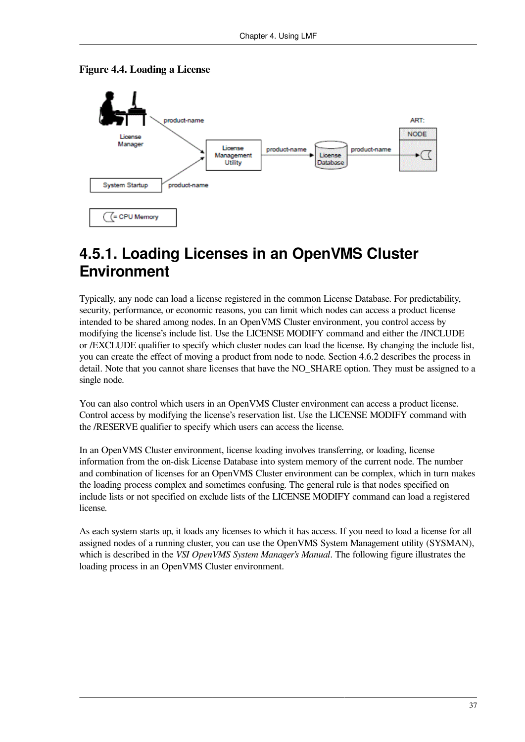

#### **Figure 4.4. Loading a License**

### **4.5.1. Loading Licenses in an OpenVMS Cluster Environment**

Typically, any node can load a license registered in the common License Database. For predictability, security, performance, or economic reasons, you can limit which nodes can access a product license intended to be shared among nodes. In an OpenVMS Cluster environment, you control access by modifying the license's include list. Use the LICENSE MODIFY command and either the /INCLUDE or /EXCLUDE qualifier to specify which cluster nodes can load the license. By changing the include list, you can create the effect of moving a product from node to node. [Section](#page-47-0) 4.6.2 describes the process in detail. Note that you cannot share licenses that have the NO\_SHARE option. They must be assigned to a single node.

You can also control which users in an OpenVMS Cluster environment can access a product license. Control access by modifying the license's reservation list. Use the LICENSE MODIFY command with the /RESERVE qualifier to specify which users can access the license.

In an OpenVMS Cluster environment, license loading involves transferring, or loading, license information from the on-disk License Database into system memory of the current node. The number and combination of licenses for an OpenVMS Cluster environment can be complex, which in turn makes the loading process complex and sometimes confusing. The general rule is that nodes specified on include lists or not specified on exclude lists of the LICENSE MODIFY command can load a registered license.

As each system starts up, it loads any licenses to which it has access. If you need to load a license for all assigned nodes of a running cluster, you can use the OpenVMS System Management utility (SYSMAN), which is described in the *VSI OpenVMS System Manager's Manual*. The following figure illustrates the loading process in an OpenVMS Cluster environment.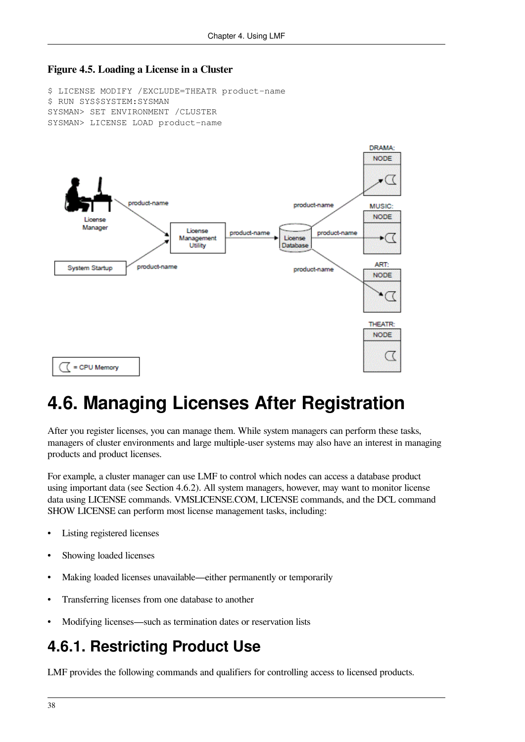#### **Figure 4.5. Loading a License in a Cluster**

\$ LICENSE MODIFY /EXCLUDE=THEATR product-name \$ RUN SYS\$SYSTEM:SYSMAN SYSMAN> SET ENVIRONMENT /CLUSTER SYSMAN> LICENSE LOAD product-name



# **4.6. Managing Licenses After Registration**

After you register licenses, you can manage them. While system managers can perform these tasks, managers of cluster environments and large multiple-user systems may also have an interest in managing products and product licenses.

For example, a cluster manager can use LMF to control which nodes can access a database product using important data (see [Section](#page-47-0) 4.6.2). All system managers, however, may want to monitor license data using LICENSE commands. VMSLICENSE.COM, LICENSE commands, and the DCL command SHOW LICENSE can perform most license management tasks, including:

- Listing registered licenses
- Showing loaded licenses
- Making loaded licenses unavailable—either permanently or temporarily
- Transferring licenses from one database to another
- Modifying licenses—such as termination dates or reservation lists

# **4.6.1. Restricting Product Use**

LMF provides the following commands and qualifiers for controlling access to licensed products.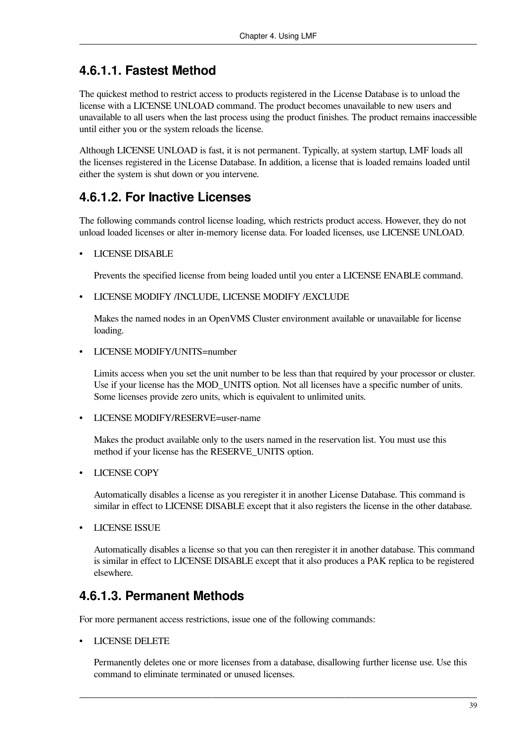### **4.6.1.1. Fastest Method**

The quickest method to restrict access to products registered in the License Database is to unload the license with a LICENSE UNLOAD command. The product becomes unavailable to new users and unavailable to all users when the last process using the product finishes. The product remains inaccessible until either you or the system reloads the license.

Although LICENSE UNLOAD is fast, it is not permanent. Typically, at system startup, LMF loads all the licenses registered in the License Database. In addition, a license that is loaded remains loaded until either the system is shut down or you intervene.

### **4.6.1.2. For Inactive Licenses**

The following commands control license loading, which restricts product access. However, they do not unload loaded licenses or alter in-memory license data. For loaded licenses, use LICENSE UNLOAD.

• LICENSE DISABLE

Prevents the specified license from being loaded until you enter a LICENSE ENABLE command.

• LICENSE MODIFY /INCLUDE, LICENSE MODIFY /EXCLUDE

Makes the named nodes in an OpenVMS Cluster environment available or unavailable for license loading.

• LICENSE MODIFY/UNITS=number

Limits access when you set the unit number to be less than that required by your processor or cluster. Use if your license has the MOD UNITS option. Not all licenses have a specific number of units. Some licenses provide zero units, which is equivalent to unlimited units.

• LICENSE MODIFY/RESERVE=user-name

Makes the product available only to the users named in the reservation list. You must use this method if your license has the RESERVE\_UNITS option.

• LICENSE COPY

Automatically disables a license as you reregister it in another License Database. This command is similar in effect to LICENSE DISABLE except that it also registers the license in the other database.

• LICENSE ISSUE

Automatically disables a license so that you can then reregister it in another database. This command is similar in effect to LICENSE DISABLE except that it also produces a PAK replica to be registered elsewhere.

### **4.6.1.3. Permanent Methods**

For more permanent access restrictions, issue one of the following commands:

• LICENSE DELETE

Permanently deletes one or more licenses from a database, disallowing further license use. Use this command to eliminate terminated or unused licenses.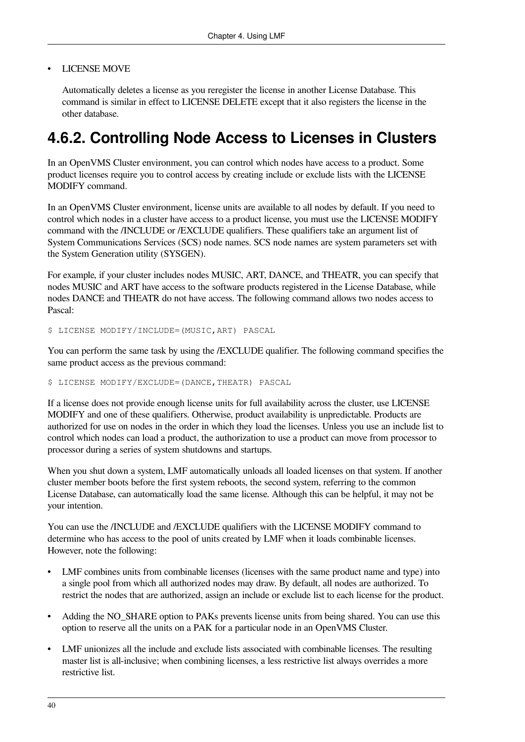#### • LICENSE MOVE

Automatically deletes a license as you reregister the license in another License Database. This command is similar in effect to LICENSE DELETE except that it also registers the license in the other database.

## <span id="page-47-0"></span>**4.6.2. Controlling Node Access to Licenses in Clusters**

In an OpenVMS Cluster environment, you can control which nodes have access to a product. Some product licenses require you to control access by creating include or exclude lists with the LICENSE MODIFY command.

In an OpenVMS Cluster environment, license units are available to all nodes by default. If you need to control which nodes in a cluster have access to a product license, you must use the LICENSE MODIFY command with the /INCLUDE or /EXCLUDE qualifiers. These qualifiers take an argument list of System Communications Services (SCS) node names. SCS node names are system parameters set with the System Generation utility (SYSGEN).

For example, if your cluster includes nodes MUSIC, ART, DANCE, and THEATR, you can specify that nodes MUSIC and ART have access to the software products registered in the License Database, while nodes DANCE and THEATR do not have access. The following command allows two nodes access to Pascal:

\$ LICENSE MODIFY/INCLUDE=(MUSIC,ART) PASCAL

You can perform the same task by using the /EXCLUDE qualifier. The following command specifies the same product access as the previous command:

#### \$ LICENSE MODIFY/EXCLUDE=(DANCE,THEATR) PASCAL

If a license does not provide enough license units for full availability across the cluster, use LICENSE MODIFY and one of these qualifiers. Otherwise, product availability is unpredictable. Products are authorized for use on nodes in the order in which they load the licenses. Unless you use an include list to control which nodes can load a product, the authorization to use a product can move from processor to processor during a series of system shutdowns and startups.

When you shut down a system, LMF automatically unloads all loaded licenses on that system. If another cluster member boots before the first system reboots, the second system, referring to the common License Database, can automatically load the same license. Although this can be helpful, it may not be your intention.

You can use the /INCLUDE and /EXCLUDE qualifiers with the LICENSE MODIFY command to determine who has access to the pool of units created by LMF when it loads combinable licenses. However, note the following:

- LMF combines units from combinable licenses (licenses with the same product name and type) into a single pool from which all authorized nodes may draw. By default, all nodes are authorized. To restrict the nodes that are authorized, assign an include or exclude list to each license for the product.
- Adding the NO\_SHARE option to PAKs prevents license units from being shared. You can use this option to reserve all the units on a PAK for a particular node in an OpenVMS Cluster.
- LMF unionizes all the include and exclude lists associated with combinable licenses. The resulting master list is all-inclusive; when combining licenses, a less restrictive list always overrides a more restrictive list.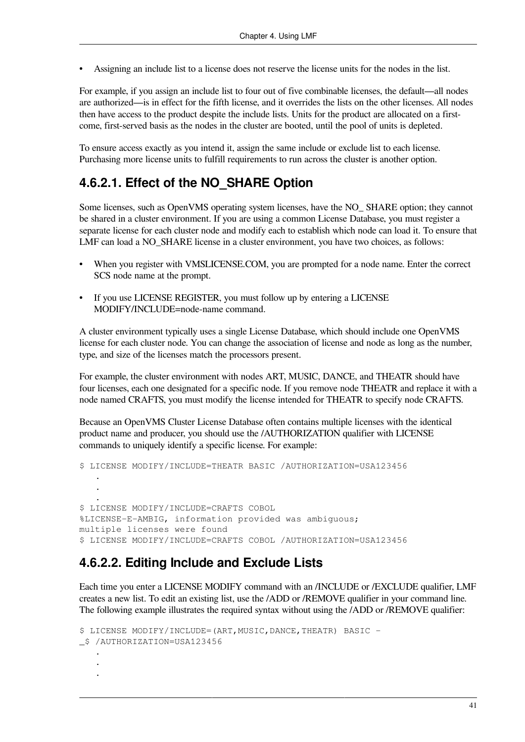• Assigning an include list to a license does not reserve the license units for the nodes in the list.

For example, if you assign an include list to four out of five combinable licenses, the default—all nodes are authorized—is in effect for the fifth license, and it overrides the lists on the other licenses. All nodes then have access to the product despite the include lists. Units for the product are allocated on a firstcome, first-served basis as the nodes in the cluster are booted, until the pool of units is depleted.

To ensure access exactly as you intend it, assign the same include or exclude list to each license. Purchasing more license units to fulfill requirements to run across the cluster is another option.

### **4.6.2.1. Effect of the NO\_SHARE Option**

Some licenses, such as OpenVMS operating system licenses, have the NO\_ SHARE option; they cannot be shared in a cluster environment. If you are using a common License Database, you must register a separate license for each cluster node and modify each to establish which node can load it. To ensure that LMF can load a NO\_SHARE license in a cluster environment, you have two choices, as follows:

- When you register with VMSLICENSE.COM, you are prompted for a node name. Enter the correct SCS node name at the prompt.
- If you use LICENSE REGISTER, you must follow up by entering a LICENSE MODIFY/INCLUDE=node-name command.

A cluster environment typically uses a single License Database, which should include one OpenVMS license for each cluster node. You can change the association of license and node as long as the number, type, and size of the licenses match the processors present.

For example, the cluster environment with nodes ART, MUSIC, DANCE, and THEATR should have four licenses, each one designated for a specific node. If you remove node THEATR and replace it with a node named CRAFTS, you must modify the license intended for THEATR to specify node CRAFTS.

Because an OpenVMS Cluster License Database often contains multiple licenses with the identical product name and producer, you should use the /AUTHORIZATION qualifier with LICENSE commands to uniquely identify a specific license. For example:

```
$ LICENSE MODIFY/INCLUDE=THEATR BASIC /AUTHORIZATION=USA123456
 .
 .
 .
$ LICENSE MODIFY/INCLUDE=CRAFTS COBOL
%LICENSE-E-AMBIG, information provided was ambiguous;
multiple licenses were found
$ LICENSE MODIFY/INCLUDE=CRAFTS COBOL /AUTHORIZATION=USA123456
```
### **4.6.2.2. Editing Include and Exclude Lists**

Each time you enter a LICENSE MODIFY command with an /INCLUDE or /EXCLUDE qualifier, LMF creates a new list. To edit an existing list, use the /ADD or /REMOVE qualifier in your command line. The following example illustrates the required syntax without using the /ADD or /REMOVE qualifier:

```
$ LICENSE MODIFY/INCLUDE=(ART,MUSIC,DANCE,THEATR) BASIC -
_$ /AUTHORIZATION=USA123456
 .
 .
 .
```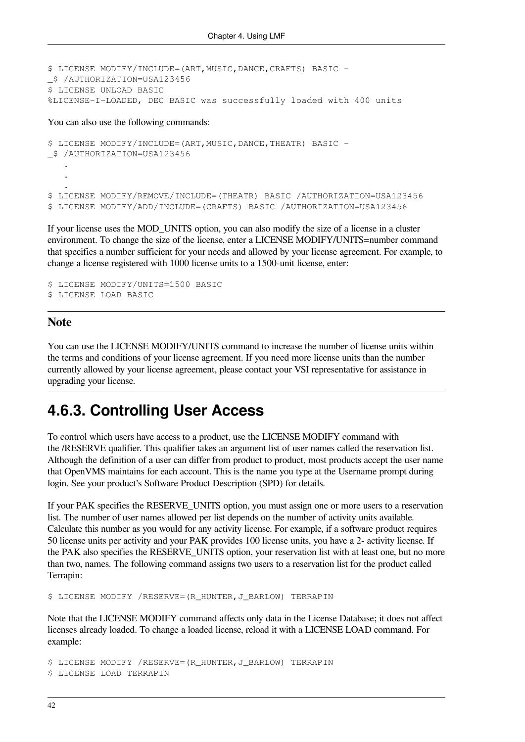```
$ LICENSE MODIFY/INCLUDE=(ART,MUSIC,DANCE,CRAFTS) BASIC -
_$ /AUTHORIZATION=USA123456
$ LICENSE UNLOAD BASIC
%LICENSE-I-LOADED, DEC BASIC was successfully loaded with 400 units
```
You can also use the following commands:

```
$ LICENSE MODIFY/INCLUDE=(ART, MUSIC, DANCE, THEATR) BASIC -
_$ /AUTHORIZATION=USA123456
 .
 .
 .
$ LICENSE MODIFY/REMOVE/INCLUDE=(THEATR) BASIC /AUTHORIZATION=USA123456
$ LICENSE MODIFY/ADD/INCLUDE=(CRAFTS) BASIC /AUTHORIZATION=USA123456
```
If your license uses the MOD\_UNITS option, you can also modify the size of a license in a cluster environment. To change the size of the license, enter a LICENSE MODIFY/UNITS=number command that specifies a number sufficient for your needs and allowed by your license agreement. For example, to change a license registered with 1000 license units to a 1500-unit license, enter:

```
$ LICENSE MODIFY/UNITS=1500 BASIC
$ LICENSE LOAD BASIC
```
#### **Note**

You can use the LICENSE MODIFY/UNITS command to increase the number of license units within the terms and conditions of your license agreement. If you need more license units than the number currently allowed by your license agreement, please contact your VSI representative for assistance in upgrading your license.

### **4.6.3. Controlling User Access**

To control which users have access to a product, use the LICENSE MODIFY command with the /RESERVE qualifier. This qualifier takes an argument list of user names called the reservation list. Although the definition of a user can differ from product to product, most products accept the user name that OpenVMS maintains for each account. This is the name you type at the Username prompt during login. See your product's Software Product Description (SPD) for details.

If your PAK specifies the RESERVE\_UNITS option, you must assign one or more users to a reservation list. The number of user names allowed per list depends on the number of activity units available. Calculate this number as you would for any activity license. For example, if a software product requires 50 license units per activity and your PAK provides 100 license units, you have a 2- activity license. If the PAK also specifies the RESERVE\_UNITS option, your reservation list with at least one, but no more than two, names. The following command assigns two users to a reservation list for the product called Terrapin:

\$ LICENSE MODIFY /RESERVE=(R\_HUNTER, J\_BARLOW) TERRAPIN

Note that the LICENSE MODIFY command affects only data in the License Database; it does not affect licenses already loaded. To change a loaded license, reload it with a LICENSE LOAD command. For example:

```
$ LICENSE MODIFY /RESERVE=(R_HUNTER,J_BARLOW) TERRAPIN
$ LICENSE LOAD TERRAPIN
```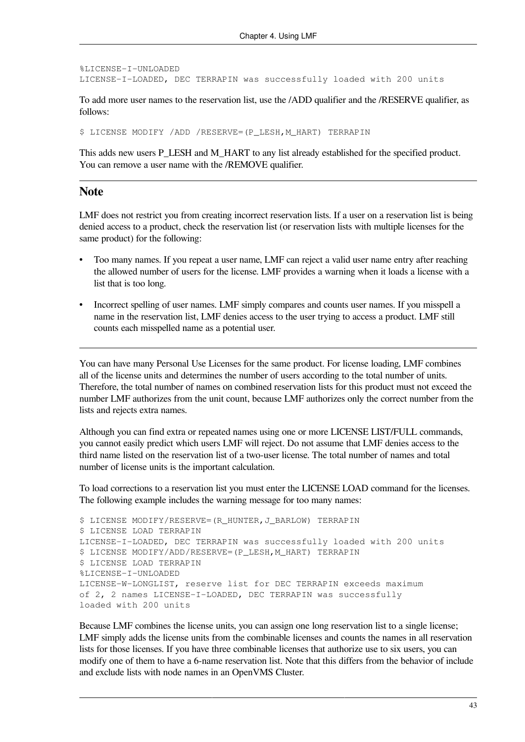```
%LICENSE-I-UNLOADED
LICENSE-I-LOADED, DEC TERRAPIN was successfully loaded with 200 units
```
To add more user names to the reservation list, use the /ADD qualifier and the /RESERVE qualifier, as follows:

\$ LICENSE MODIFY /ADD /RESERVE=(P\_LESH,M\_HART) TERRAPIN

This adds new users P\_LESH and M\_HART to any list already established for the specified product. You can remove a user name with the /REMOVE qualifier.

#### **Note**

LMF does not restrict you from creating incorrect reservation lists. If a user on a reservation list is being denied access to a product, check the reservation list (or reservation lists with multiple licenses for the same product) for the following:

- Too many names. If you repeat a user name, LMF can reject a valid user name entry after reaching the allowed number of users for the license. LMF provides a warning when it loads a license with a list that is too long.
- Incorrect spelling of user names. LMF simply compares and counts user names. If you misspell a name in the reservation list, LMF denies access to the user trying to access a product. LMF still counts each misspelled name as a potential user.

You can have many Personal Use Licenses for the same product. For license loading, LMF combines all of the license units and determines the number of users according to the total number of units. Therefore, the total number of names on combined reservation lists for this product must not exceed the number LMF authorizes from the unit count, because LMF authorizes only the correct number from the lists and rejects extra names.

Although you can find extra or repeated names using one or more LICENSE LIST/FULL commands, you cannot easily predict which users LMF will reject. Do not assume that LMF denies access to the third name listed on the reservation list of a two-user license. The total number of names and total number of license units is the important calculation.

To load corrections to a reservation list you must enter the LICENSE LOAD command for the licenses. The following example includes the warning message for too many names:

```
$ LICENSE MODIFY/RESERVE=(R_HUNTER,J_BARLOW) TERRAPIN
$ LICENSE LOAD TERRAPIN
LICENSE-I-LOADED, DEC TERRAPIN was successfully loaded with 200 units
$ LICENSE MODIFY/ADD/RESERVE=(P_LESH,M_HART) TERRAPIN
$ LICENSE LOAD TERRAPIN
%LICENSE-I-UNLOADED
LICENSE-W-LONGLIST, reserve list for DEC TERRAPIN exceeds maximum
of 2, 2 names LICENSE-I-LOADED, DEC TERRAPIN was successfully
loaded with 200 units
```
Because LMF combines the license units, you can assign one long reservation list to a single license; LMF simply adds the license units from the combinable licenses and counts the names in all reservation lists for those licenses. If you have three combinable licenses that authorize use to six users, you can modify one of them to have a 6-name reservation list. Note that this differs from the behavior of include and exclude lists with node names in an OpenVMS Cluster.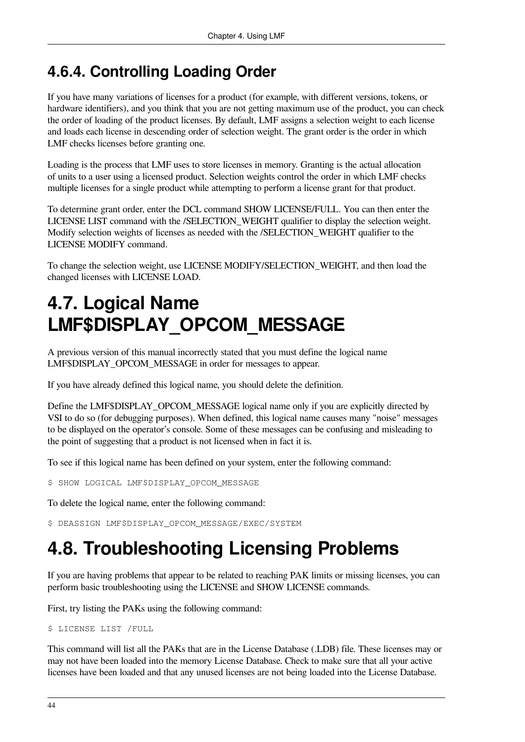## **4.6.4. Controlling Loading Order**

If you have many variations of licenses for a product (for example, with different versions, tokens, or hardware identifiers), and you think that you are not getting maximum use of the product, you can check the order of loading of the product licenses. By default, LMF assigns a selection weight to each license and loads each license in descending order of selection weight. The grant order is the order in which LMF checks licenses before granting one.

Loading is the process that LMF uses to store licenses in memory. Granting is the actual allocation of units to a user using a licensed product. Selection weights control the order in which LMF checks multiple licenses for a single product while attempting to perform a license grant for that product.

To determine grant order, enter the DCL command SHOW LICENSE/FULL. You can then enter the LICENSE LIST command with the /SELECTION\_WEIGHT qualifier to display the selection weight. Modify selection weights of licenses as needed with the /SELECTION\_WEIGHT qualifier to the LICENSE MODIFY command.

To change the selection weight, use LICENSE MODIFY/SELECTION\_WEIGHT, and then load the changed licenses with LICENSE LOAD.

# **4.7. Logical Name LMF\$DISPLAY\_OPCOM\_MESSAGE**

A previous version of this manual incorrectly stated that you must define the logical name LMF\$DISPLAY\_OPCOM\_MESSAGE in order for messages to appear.

If you have already defined this logical name, you should delete the definition.

Define the LMF\$DISPLAY\_OPCOM\_MESSAGE logical name only if you are explicitly directed by VSI to do so (for debugging purposes). When defined, this logical name causes many "noise" messages to be displayed on the operator's console. Some of these messages can be confusing and misleading to the point of suggesting that a product is not licensed when in fact it is.

To see if this logical name has been defined on your system, enter the following command:

\$ SHOW LOGICAL LMF\$DISPLAY\_OPCOM\_MESSAGE

To delete the logical name, enter the following command:

\$ DEASSIGN LMF\$DISPLAY\_OPCOM\_MESSAGE/EXEC/SYSTEM

# **4.8. Troubleshooting Licensing Problems**

If you are having problems that appear to be related to reaching PAK limits or missing licenses, you can perform basic troubleshooting using the LICENSE and SHOW LICENSE commands.

First, try listing the PAKs using the following command:

\$ LICENSE LIST /FULL

This command will list all the PAKs that are in the License Database (.LDB) file. These licenses may or may not have been loaded into the memory License Database. Check to make sure that all your active licenses have been loaded and that any unused licenses are not being loaded into the License Database.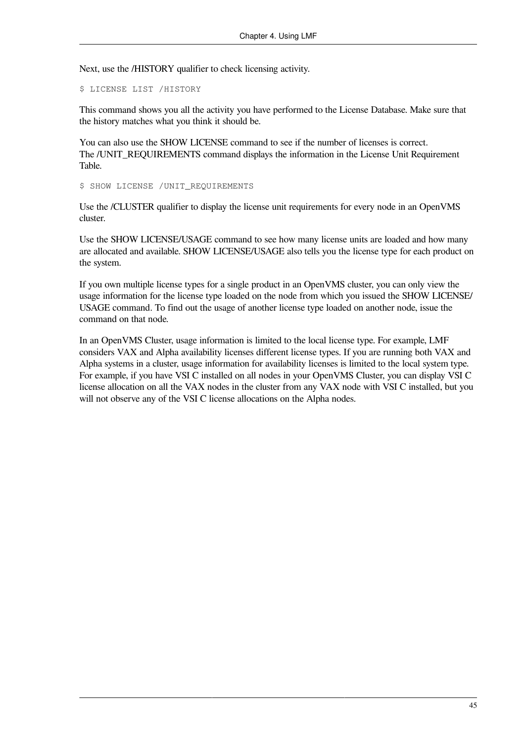Next, use the /HISTORY qualifier to check licensing activity.

\$ LICENSE LIST /HISTORY

This command shows you all the activity you have performed to the License Database. Make sure that the history matches what you think it should be.

You can also use the SHOW LICENSE command to see if the number of licenses is correct. The /UNIT\_REQUIREMENTS command displays the information in the License Unit Requirement Table.

\$ SHOW LICENSE /UNIT\_REQUIREMENTS

Use the /CLUSTER qualifier to display the license unit requirements for every node in an OpenVMS cluster.

Use the SHOW LICENSE/USAGE command to see how many license units are loaded and how many are allocated and available. SHOW LICENSE/USAGE also tells you the license type for each product on the system.

If you own multiple license types for a single product in an OpenVMS cluster, you can only view the usage information for the license type loaded on the node from which you issued the SHOW LICENSE/ USAGE command. To find out the usage of another license type loaded on another node, issue the command on that node.

In an OpenVMS Cluster, usage information is limited to the local license type. For example, LMF considers VAX and Alpha availability licenses different license types. If you are running both VAX and Alpha systems in a cluster, usage information for availability licenses is limited to the local system type. For example, if you have VSI C installed on all nodes in your OpenVMS Cluster, you can display VSI C license allocation on all the VAX nodes in the cluster from any VAX node with VSI C installed, but you will not observe any of the VSI C license allocations on the Alpha nodes.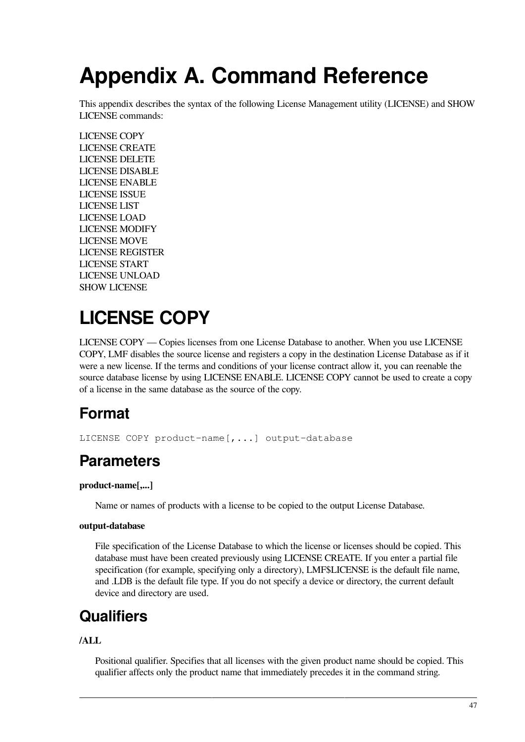# **Appendix A. Command Reference**

This appendix describes the syntax of the following License Management utility (LICENSE) and SHOW LICENSE commands:

[LICENSE](#page-54-0) COPY [LICENSE](#page-56-0) CREATE [LICENSE](#page-57-0) DELETE LICENSE [DISABLE](#page-59-0) [LICENSE](#page-60-0) ENABLE [LICENSE](#page-61-0) ISSUE [LICENSE](#page-64-0) LIST [LICENSE](#page-66-0) LOAD [LICENSE](#page-69-0) MODIFY [LICENSE](#page-74-0) MOVE LICENSE [REGISTER](#page-76-0) [LICENSE](#page-79-0) START LICENSE [UNLOAD](#page-80-0) SHOW [LICENSE](#page-81-0)

# <span id="page-54-0"></span>**LICENSE COPY**

LICENSE COPY — Copies licenses from one License Database to another. When you use LICENSE COPY, LMF disables the source license and registers a copy in the destination License Database as if it were a new license. If the terms and conditions of your license contract allow it, you can reenable the source database license by using LICENSE ENABLE. LICENSE COPY cannot be used to create a copy of a license in the same database as the source of the copy.

# **Format**

LICENSE COPY product-name[,...] output-database

# **Parameters**

#### **product-name[,...]**

Name or names of products with a license to be copied to the output License Database.

#### **output-database**

File specification of the License Database to which the license or licenses should be copied. This database must have been created previously using LICENSE CREATE. If you enter a partial file specification (for example, specifying only a directory), LMF\$LICENSE is the default file name, and .LDB is the default file type. If you do not specify a device or directory, the current default device and directory are used.

# **Qualifiers**

#### **/ALL**

Positional qualifier. Specifies that all licenses with the given product name should be copied. This qualifier affects only the product name that immediately precedes it in the command string.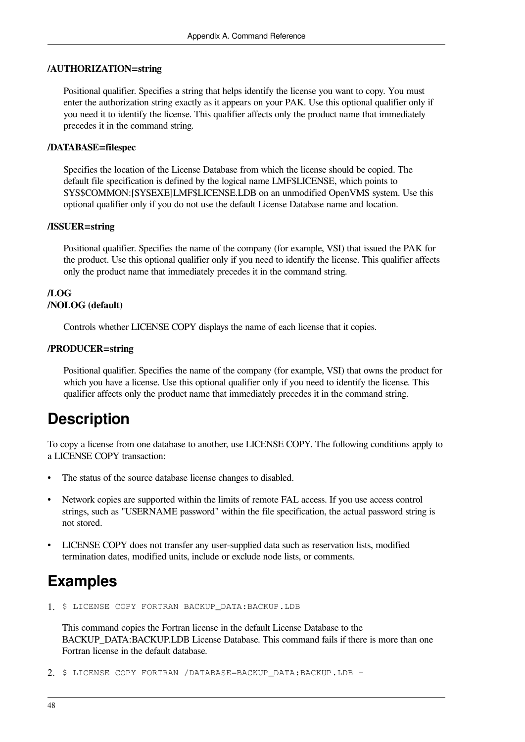#### **/AUTHORIZATION=string**

Positional qualifier. Specifies a string that helps identify the license you want to copy. You must enter the authorization string exactly as it appears on your PAK. Use this optional qualifier only if you need it to identify the license. This qualifier affects only the product name that immediately precedes it in the command string.

#### **/DATABASE=filespec**

Specifies the location of the License Database from which the license should be copied. The default file specification is defined by the logical name LMF\$LICENSE, which points to SYS\$COMMON:[SYSEXE]LMF\$LICENSE.LDB on an unmodified OpenVMS system. Use this optional qualifier only if you do not use the default License Database name and location.

#### **/ISSUER=string**

Positional qualifier. Specifies the name of the company (for example, VSI) that issued the PAK for the product. Use this optional qualifier only if you need to identify the license. This qualifier affects only the product name that immediately precedes it in the command string.

#### **/LOG /NOLOG (default)**

Controls whether LICENSE COPY displays the name of each license that it copies.

#### **/PRODUCER=string**

Positional qualifier. Specifies the name of the company (for example, VSI) that owns the product for which you have a license. Use this optional qualifier only if you need to identify the license. This qualifier affects only the product name that immediately precedes it in the command string.

### **Description**

To copy a license from one database to another, use LICENSE COPY. The following conditions apply to a LICENSE COPY transaction:

- The status of the source database license changes to disabled.
- Network copies are supported within the limits of remote FAL access. If you use access control strings, such as "USERNAME password" within the file specification, the actual password string is not stored.
- LICENSE COPY does not transfer any user-supplied data such as reservation lists, modified termination dates, modified units, include or exclude node lists, or comments.

### **Examples**

1. \$ LICENSE COPY FORTRAN BACKUP DATA:BACKUP.LDB

This command copies the Fortran license in the default License Database to the BACKUP\_DATA:BACKUP.LDB License Database. This command fails if there is more than one Fortran license in the default database.

2. \$ LICENSE COPY FORTRAN /DATABASE=BACKUP\_DATA:BACKUP.LDB -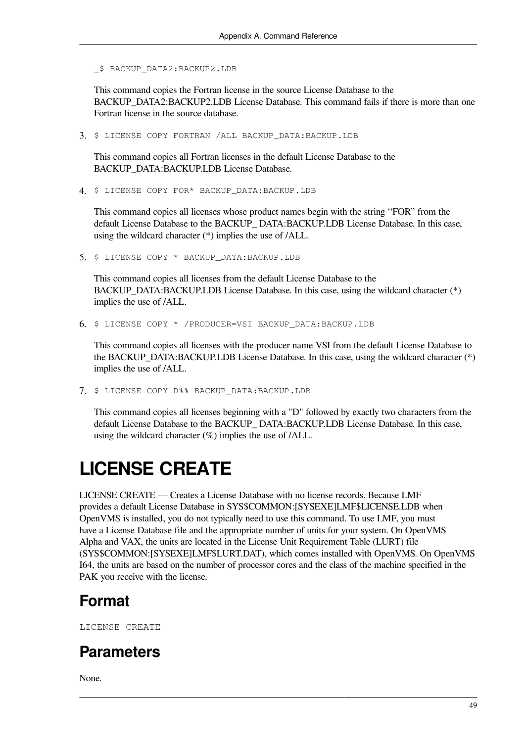\_\$ BACKUP\_DATA2:BACKUP2.LDB

This command copies the Fortran license in the source License Database to the BACKUP\_DATA2:BACKUP2.LDB\_License Database. This command fails if there is more than one Fortran license in the source database.

3. \$ LICENSE COPY FORTRAN /ALL BACKUP\_DATA:BACKUP.LDB

This command copies all Fortran licenses in the default License Database to the BACKUP\_DATA:BACKUP.LDB License Database.

4. \$ LICENSE COPY FOR\* BACKUP\_DATA:BACKUP.LDB

This command copies all licenses whose product names begin with the string ''FOR'' from the default License Database to the BACKUP\_ DATA:BACKUP.LDB License Database. In this case, using the wildcard character (\*) implies the use of /ALL.

5. \$ LICENSE COPY \* BACKUP DATA: BACKUP.LDB

This command copies all licenses from the default License Database to the BACKUP\_DATA:BACKUP.LDB License Database. In this case, using the wildcard character (\*) implies the use of /ALL.

6. \$ LICENSE COPY \* /PRODUCER=VSI BACKUP\_DATA:BACKUP.LDB

This command copies all licenses with the producer name VSI from the default License Database to the BACKUP\_DATA:BACKUP.LDB License Database. In this case, using the wildcard character (\*) implies the use of /ALL.

7. \$ LICENSE COPY D%% BACKUP\_DATA:BACKUP.LDB

This command copies all licenses beginning with a "D" followed by exactly two characters from the default License Database to the BACKUP\_ DATA:BACKUP.LDB License Database. In this case, using the wildcard character  $(\%)$  implies the use of /ALL.

# <span id="page-56-0"></span>**LICENSE CREATE**

LICENSE CREATE — Creates a License Database with no license records. Because LMF provides a default License Database in SYS\$COMMON:[SYSEXE]LMF\$LICENSE.LDB when OpenVMS is installed, you do not typically need to use this command. To use LMF, you must have a License Database file and the appropriate number of units for your system. On OpenVMS Alpha and VAX, the units are located in the License Unit Requirement Table (LURT) file (SYS\$COMMON:[SYSEXE]LMF\$LURT.DAT), which comes installed with OpenVMS. On OpenVMS I64, the units are based on the number of processor cores and the class of the machine specified in the PAK you receive with the license.

## **Format**

LICENSE CREATE

## **Parameters**

None.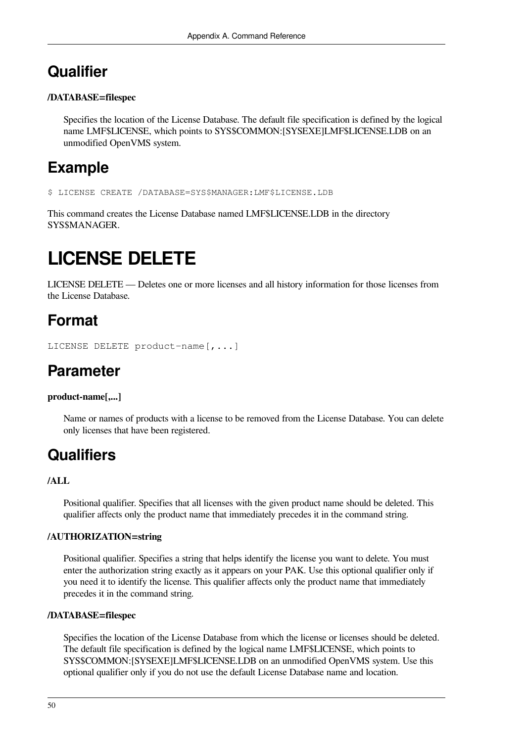## **Qualifier**

#### **/DATABASE=filespec**

Specifies the location of the License Database. The default file specification is defined by the logical name LMF\$LICENSE, which points to SYS\$COMMON:[SYSEXE]LMF\$LICENSE.LDB on an unmodified OpenVMS system.

## **Example**

\$ LICENSE CREATE /DATABASE=SYS\$MANAGER:LMF\$LICENSE.LDB

This command creates the License Database named LMF\$LICENSE.LDB in the directory SYS\$MANAGER.

# <span id="page-57-0"></span>**LICENSE DELETE**

LICENSE DELETE — Deletes one or more licenses and all history information for those licenses from the License Database.

## **Format**

LICENSE DELETE product-name[,...]

## **Parameter**

#### **product-name[,...]**

Name or names of products with a license to be removed from the License Database. You can delete only licenses that have been registered.

## **Qualifiers**

#### **/ALL**

Positional qualifier. Specifies that all licenses with the given product name should be deleted. This qualifier affects only the product name that immediately precedes it in the command string.

#### **/AUTHORIZATION=string**

Positional qualifier. Specifies a string that helps identify the license you want to delete. You must enter the authorization string exactly as it appears on your PAK. Use this optional qualifier only if you need it to identify the license. This qualifier affects only the product name that immediately precedes it in the command string.

#### **/DATABASE=filespec**

Specifies the location of the License Database from which the license or licenses should be deleted. The default file specification is defined by the logical name LMF\$LICENSE, which points to SYS\$COMMON:[SYSEXE]LMF\$LICENSE.LDB on an unmodified OpenVMS system. Use this optional qualifier only if you do not use the default License Database name and location.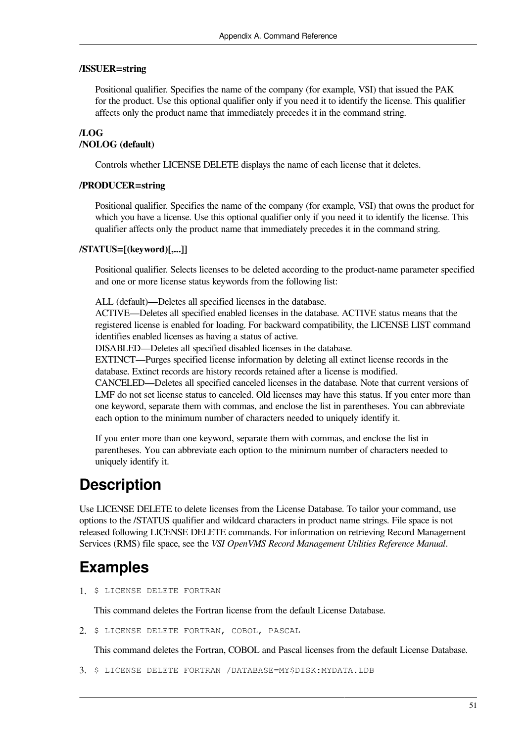#### **/ISSUER=string**

Positional qualifier. Specifies the name of the company (for example, VSI) that issued the PAK for the product. Use this optional qualifier only if you need it to identify the license. This qualifier affects only the product name that immediately precedes it in the command string.

#### **/LOG /NOLOG (default)**

Controls whether LICENSE DELETE displays the name of each license that it deletes.

#### **/PRODUCER=string**

Positional qualifier. Specifies the name of the company (for example, VSI) that owns the product for which you have a license. Use this optional qualifier only if you need it to identify the license. This qualifier affects only the product name that immediately precedes it in the command string.

#### **/STATUS=[(keyword)[,...]]**

Positional qualifier. Selects licenses to be deleted according to the product-name parameter specified and one or more license status keywords from the following list:

ALL (default)—Deletes all specified licenses in the database.

ACTIVE—Deletes all specified enabled licenses in the database. ACTIVE status means that the registered license is enabled for loading. For backward compatibility, the LICENSE LIST command identifies enabled licenses as having a status of active.

DISABLED—Deletes all specified disabled licenses in the database.

EXTINCT—Purges specified license information by deleting all extinct license records in the database. Extinct records are history records retained after a license is modified.

CANCELED—Deletes all specified canceled licenses in the database. Note that current versions of LMF do not set license status to canceled. Old licenses may have this status. If you enter more than one keyword, separate them with commas, and enclose the list in parentheses. You can abbreviate each option to the minimum number of characters needed to uniquely identify it.

If you enter more than one keyword, separate them with commas, and enclose the list in parentheses. You can abbreviate each option to the minimum number of characters needed to uniquely identify it.

### **Description**

Use LICENSE DELETE to delete licenses from the License Database. To tailor your command, use options to the /STATUS qualifier and wildcard characters in product name strings. File space is not released following LICENSE DELETE commands. For information on retrieving Record Management Services (RMS) file space, see the *VSI OpenVMS Record Management Utilities Reference Manual*.

## **Examples**

1. \$ LICENSE DELETE FORTRAN

This command deletes the Fortran license from the default License Database.

2. \$ LICENSE DELETE FORTRAN, COBOL, PASCAL

This command deletes the Fortran, COBOL and Pascal licenses from the default License Database.

```
3. $ LICENSE DELETE FORTRAN /DATABASE=MY$DISK:MYDATA.LDB
```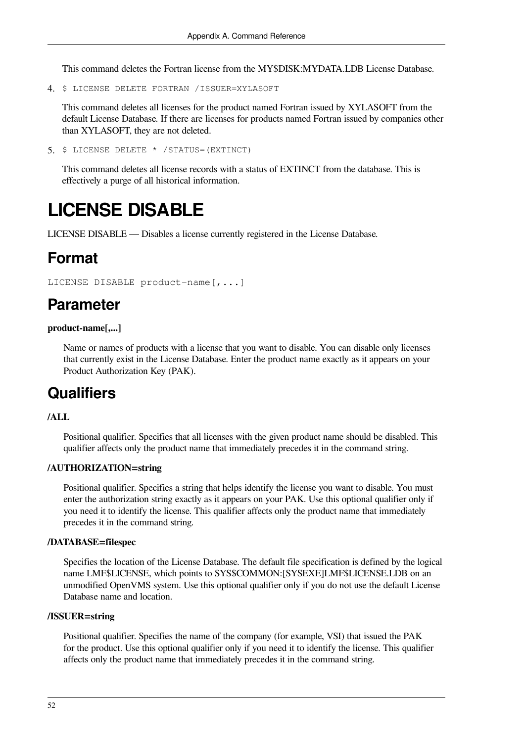This command deletes the Fortran license from the MY\$DISK:MYDATA.LDB License Database.

4. \$ LICENSE DELETE FORTRAN /ISSUER=XYLASOFT

This command deletes all licenses for the product named Fortran issued by XYLASOFT from the default License Database. If there are licenses for products named Fortran issued by companies other than XYLASOFT, they are not deleted.

5. \$ LICENSE DELETE \* /STATUS=(EXTINCT)

This command deletes all license records with a status of EXTINCT from the database. This is effectively a purge of all historical information.

# <span id="page-59-0"></span>**LICENSE DISABLE**

LICENSE DISABLE — Disables a license currently registered in the License Database.

### **Format**

```
LICENSE DISABLE product-name[,...]
```
## **Parameter**

#### **product-name[,...]**

Name or names of products with a license that you want to disable. You can disable only licenses that currently exist in the License Database. Enter the product name exactly as it appears on your Product Authorization Key (PAK).

### **Qualifiers**

#### **/ALL**

Positional qualifier. Specifies that all licenses with the given product name should be disabled. This qualifier affects only the product name that immediately precedes it in the command string.

#### **/AUTHORIZATION=string**

Positional qualifier. Specifies a string that helps identify the license you want to disable. You must enter the authorization string exactly as it appears on your PAK. Use this optional qualifier only if you need it to identify the license. This qualifier affects only the product name that immediately precedes it in the command string.

#### **/DATABASE=filespec**

Specifies the location of the License Database. The default file specification is defined by the logical name LMF\$LICENSE, which points to SYS\$COMMON:[SYSEXE]LMF\$LICENSE.LDB on an unmodified OpenVMS system. Use this optional qualifier only if you do not use the default License Database name and location.

#### **/ISSUER=string**

Positional qualifier. Specifies the name of the company (for example, VSI) that issued the PAK for the product. Use this optional qualifier only if you need it to identify the license. This qualifier affects only the product name that immediately precedes it in the command string.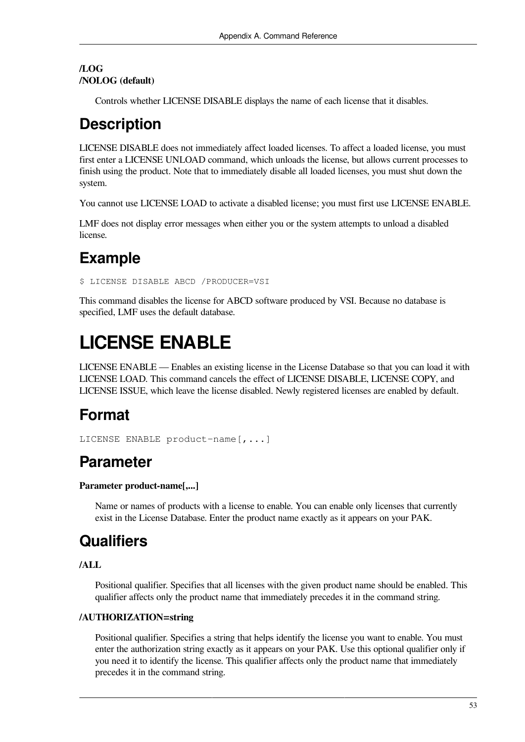#### **/LOG /NOLOG (default)**

Controls whether LICENSE DISABLE displays the name of each license that it disables.

## **Description**

LICENSE DISABLE does not immediately affect loaded licenses. To affect a loaded license, you must first enter a LICENSE UNLOAD command, which unloads the license, but allows current processes to finish using the product. Note that to immediately disable all loaded licenses, you must shut down the system.

You cannot use LICENSE LOAD to activate a disabled license; you must first use LICENSE ENABLE.

LMF does not display error messages when either you or the system attempts to unload a disabled license.

# **Example**

\$ LICENSE DISABLE ABCD /PRODUCER=VSI

This command disables the license for ABCD software produced by VSI. Because no database is specified, LMF uses the default database.

# <span id="page-60-0"></span>**LICENSE ENABLE**

LICENSE ENABLE — Enables an existing license in the License Database so that you can load it with LICENSE LOAD. This command cancels the effect of LICENSE DISABLE, LICENSE COPY, and LICENSE ISSUE, which leave the license disabled. Newly registered licenses are enabled by default.

## **Format**

```
LICENSE ENABLE product-name[,...]
```
## **Parameter**

#### **Parameter product-name[,...]**

Name or names of products with a license to enable. You can enable only licenses that currently exist in the License Database. Enter the product name exactly as it appears on your PAK.

## **Qualifiers**

#### **/ALL**

Positional qualifier. Specifies that all licenses with the given product name should be enabled. This qualifier affects only the product name that immediately precedes it in the command string.

#### **/AUTHORIZATION=string**

Positional qualifier. Specifies a string that helps identify the license you want to enable. You must enter the authorization string exactly as it appears on your PAK. Use this optional qualifier only if you need it to identify the license. This qualifier affects only the product name that immediately precedes it in the command string.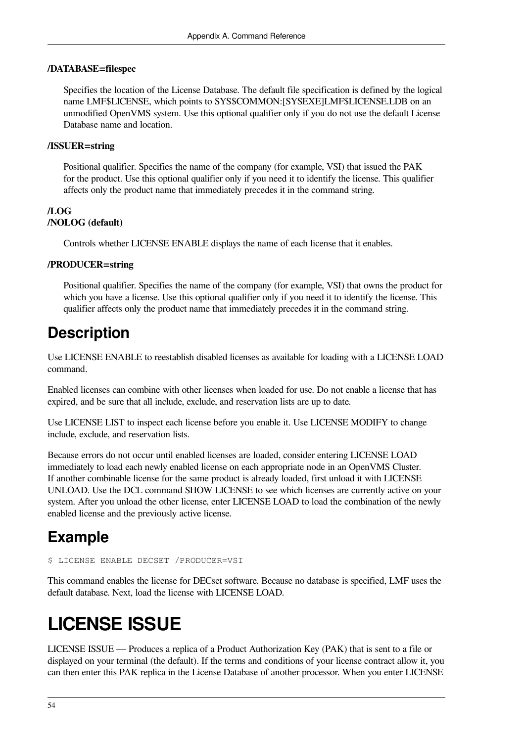#### **/DATABASE=filespec**

Specifies the location of the License Database. The default file specification is defined by the logical name LMF\$LICENSE, which points to SYS\$COMMON:[SYSEXE]LMF\$LICENSE.LDB on an unmodified OpenVMS system. Use this optional qualifier only if you do not use the default License Database name and location.

#### **/ISSUER=string**

Positional qualifier. Specifies the name of the company (for example, VSI) that issued the PAK for the product. Use this optional qualifier only if you need it to identify the license. This qualifier affects only the product name that immediately precedes it in the command string.

#### **/LOG /NOLOG (default)**

Controls whether LICENSE ENABLE displays the name of each license that it enables.

#### **/PRODUCER=string**

Positional qualifier. Specifies the name of the company (for example, VSI) that owns the product for which you have a license. Use this optional qualifier only if you need it to identify the license. This qualifier affects only the product name that immediately precedes it in the command string.

### **Description**

Use LICENSE ENABLE to reestablish disabled licenses as available for loading with a LICENSE LOAD command.

Enabled licenses can combine with other licenses when loaded for use. Do not enable a license that has expired, and be sure that all include, exclude, and reservation lists are up to date.

Use LICENSE LIST to inspect each license before you enable it. Use LICENSE MODIFY to change include, exclude, and reservation lists.

Because errors do not occur until enabled licenses are loaded, consider entering LICENSE LOAD immediately to load each newly enabled license on each appropriate node in an OpenVMS Cluster. If another combinable license for the same product is already loaded, first unload it with LICENSE UNLOAD. Use the DCL command SHOW LICENSE to see which licenses are currently active on your system. After you unload the other license, enter LICENSE LOAD to load the combination of the newly enabled license and the previously active license.

## **Example**

```
$ LICENSE ENABLE DECSET /PRODUCER=VSI
```
This command enables the license for DECset software. Because no database is specified, LMF uses the default database. Next, load the license with LICENSE LOAD.

# <span id="page-61-0"></span>**LICENSE ISSUE**

LICENSE ISSUE — Produces a replica of a Product Authorization Key (PAK) that is sent to a file or displayed on your terminal (the default). If the terms and conditions of your license contract allow it, you can then enter this PAK replica in the License Database of another processor. When you enter LICENSE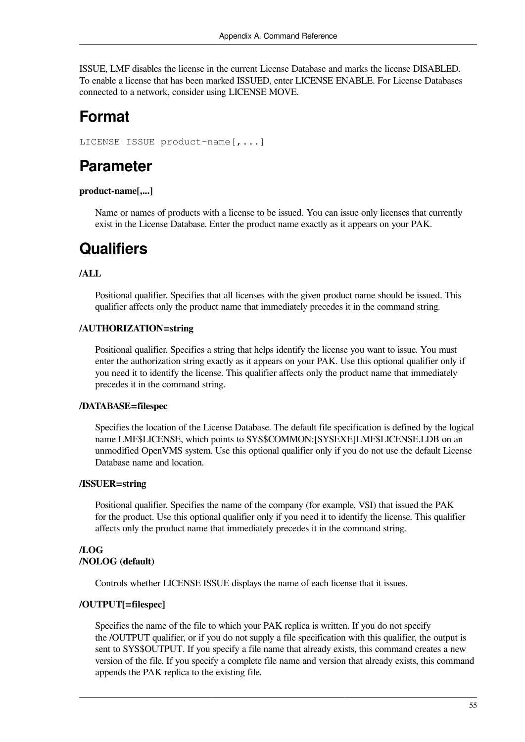ISSUE, LMF disables the license in the current License Database and marks the license DISABLED. To enable a license that has been marked ISSUED, enter LICENSE ENABLE. For License Databases connected to a network, consider using LICENSE MOVE.

### **Format**

LICENSE ISSUE product-name[,...]

### **Parameter**

#### **product-name[,...]**

Name or names of products with a license to be issued. You can issue only licenses that currently exist in the License Database. Enter the product name exactly as it appears on your PAK.

### **Qualifiers**

#### **/ALL**

Positional qualifier. Specifies that all licenses with the given product name should be issued. This qualifier affects only the product name that immediately precedes it in the command string.

#### **/AUTHORIZATION=string**

Positional qualifier. Specifies a string that helps identify the license you want to issue. You must enter the authorization string exactly as it appears on your PAK. Use this optional qualifier only if you need it to identify the license. This qualifier affects only the product name that immediately precedes it in the command string.

#### **/DATABASE=filespec**

Specifies the location of the License Database. The default file specification is defined by the logical name LMF\$LICENSE, which points to SYS\$COMMON:[SYSEXE]LMF\$LICENSE.LDB on an unmodified OpenVMS system. Use this optional qualifier only if you do not use the default License Database name and location.

#### **/ISSUER=string**

Positional qualifier. Specifies the name of the company (for example, VSI) that issued the PAK for the product. Use this optional qualifier only if you need it to identify the license. This qualifier affects only the product name that immediately precedes it in the command string.

#### **/LOG /NOLOG (default)**

Controls whether LICENSE ISSUE displays the name of each license that it issues.

#### **/OUTPUT[=filespec]**

Specifies the name of the file to which your PAK replica is written. If you do not specify the /OUTPUT qualifier, or if you do not supply a file specification with this qualifier, the output is sent to SYS\$OUTPUT. If you specify a file name that already exists, this command creates a new version of the file. If you specify a complete file name and version that already exists, this command appends the PAK replica to the existing file.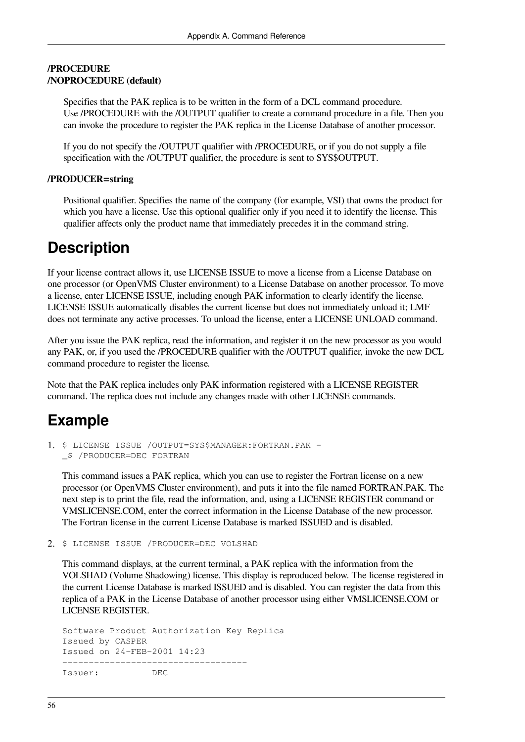#### **/PROCEDURE /NOPROCEDURE (default)**

Specifies that the PAK replica is to be written in the form of a DCL command procedure. Use /PROCEDURE with the /OUTPUT qualifier to create a command procedure in a file. Then you can invoke the procedure to register the PAK replica in the License Database of another processor.

If you do not specify the /OUTPUT qualifier with /PROCEDURE, or if you do not supply a file specification with the /OUTPUT qualifier, the procedure is sent to SYS\$OUTPUT.

#### **/PRODUCER=string**

Positional qualifier. Specifies the name of the company (for example, VSI) that owns the product for which you have a license. Use this optional qualifier only if you need it to identify the license. This qualifier affects only the product name that immediately precedes it in the command string.

## **Description**

If your license contract allows it, use LICENSE ISSUE to move a license from a License Database on one processor (or OpenVMS Cluster environment) to a License Database on another processor. To move a license, enter LICENSE ISSUE, including enough PAK information to clearly identify the license. LICENSE ISSUE automatically disables the current license but does not immediately unload it; LMF does not terminate any active processes. To unload the license, enter a LICENSE UNLOAD command.

After you issue the PAK replica, read the information, and register it on the new processor as you would any PAK, or, if you used the /PROCEDURE qualifier with the /OUTPUT qualifier, invoke the new DCL command procedure to register the license.

Note that the PAK replica includes only PAK information registered with a LICENSE REGISTER command. The replica does not include any changes made with other LICENSE commands.

## **Example**

```
1. $ LICENSE ISSUE /OUTPUT=SYS$MANAGER:FORTRAN.PAK -
  _$ /PRODUCER=DEC FORTRAN
```
This command issues a PAK replica, which you can use to register the Fortran license on a new processor (or OpenVMS Cluster environment), and puts it into the file named FORTRAN.PAK. The next step is to print the file, read the information, and, using a LICENSE REGISTER command or VMSLICENSE.COM, enter the correct information in the License Database of the new processor. The Fortran license in the current License Database is marked ISSUED and is disabled.

2. \$ LICENSE ISSUE /PRODUCER=DEC VOLSHAD

This command displays, at the current terminal, a PAK replica with the information from the VOLSHAD (Volume Shadowing) license. This display is reproduced below. The license registered in the current License Database is marked ISSUED and is disabled. You can register the data from this replica of a PAK in the License Database of another processor using either VMSLICENSE.COM or LICENSE REGISTER.

Software Product Authorization Key Replica Issued by CASPER Issued on 24-FEB-2001 14:23 ----------------------------------- Issuer: DEC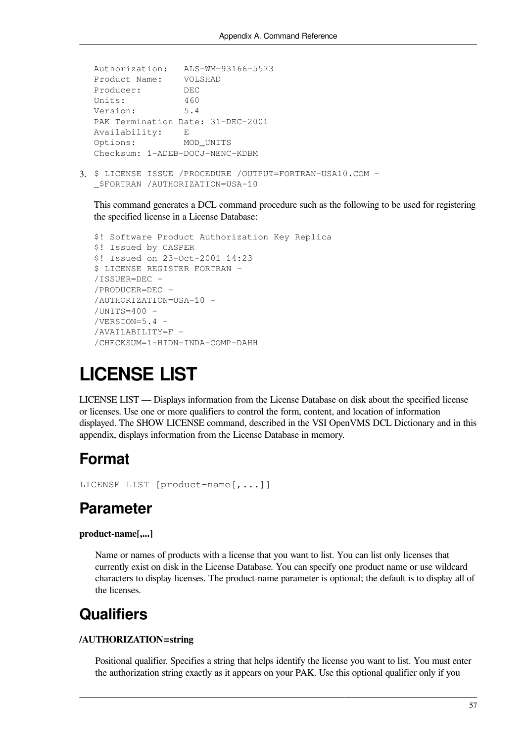```
Authorization: ALS-WM-93166-5573
Product Name: VOLSHAD
Producer: DEC
Units: 460
Version: 5.4
PAK Termination Date: 31-DEC-2001
Availability: E
Options: MOD_UNITS
Checksum: 1-ADEB-DOCJ-NENC-KDBM
```
3. \$ LICENSE ISSUE /PROCEDURE /OUTPUT=FORTRAN-USA10.COM - \_\$FORTRAN /AUTHORIZATION=USA-10

This command generates a DCL command procedure such as the following to be used for registering the specified license in a License Database:

```
$! Software Product Authorization Key Replica
$! Issued by CASPER
$! Issued on 23-Oct-2001 14:23
$ LICENSE REGISTER FORTRAN -
/ISSUER=DEC -
/PRODUCER=DEC -
/AUTHORIZATION=USA-10 -
/UNITS=400 -/VERSION=5.4 -
/AVAILABILITY=F -
/CHECKSUM=1-HIDN-INDA-COMP-DAHH
```
# <span id="page-64-0"></span>**LICENSE LIST**

LICENSE LIST — Displays information from the License Database on disk about the specified license or licenses. Use one or more qualifiers to control the form, content, and location of information displayed. The SHOW LICENSE command, described in the VSI OpenVMS DCL Dictionary and in this appendix, displays information from the License Database in memory.

### **Format**

```
LICENSE LIST [product-name[,...]]
```
### **Parameter**

#### **product-name[,...]**

Name or names of products with a license that you want to list. You can list only licenses that currently exist on disk in the License Database. You can specify one product name or use wildcard characters to display licenses. The product-name parameter is optional; the default is to display all of the licenses.

### **Qualifiers**

#### **/AUTHORIZATION=string**

Positional qualifier. Specifies a string that helps identify the license you want to list. You must enter the authorization string exactly as it appears on your PAK. Use this optional qualifier only if you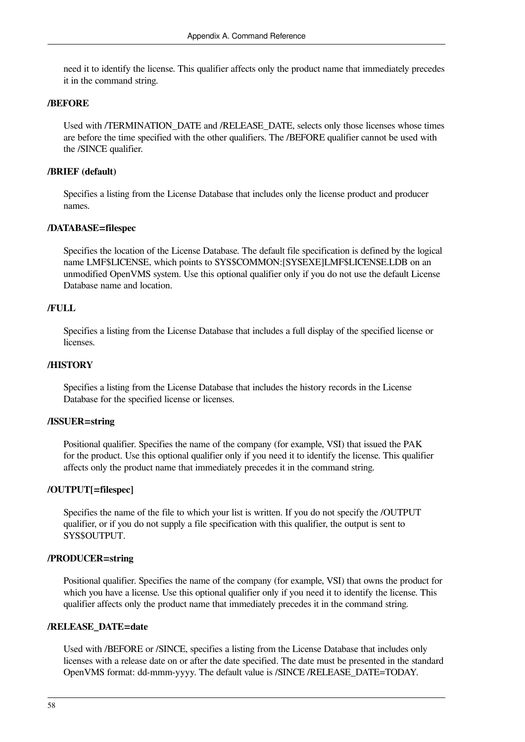need it to identify the license. This qualifier affects only the product name that immediately precedes it in the command string.

#### **/BEFORE**

Used with /TERMINATION\_DATE and /RELEASE\_DATE, selects only those licenses whose times are before the time specified with the other qualifiers. The /BEFORE qualifier cannot be used with the /SINCE qualifier.

#### **/BRIEF (default)**

Specifies a listing from the License Database that includes only the license product and producer names.

#### **/DATABASE=filespec**

Specifies the location of the License Database. The default file specification is defined by the logical name LMF\$LICENSE, which points to SYS\$COMMON:[SYSEXE]LMF\$LICENSE.LDB on an unmodified OpenVMS system. Use this optional qualifier only if you do not use the default License Database name and location.

#### **/FULL**

Specifies a listing from the License Database that includes a full display of the specified license or licenses.

#### **/HISTORY**

Specifies a listing from the License Database that includes the history records in the License Database for the specified license or licenses.

#### **/ISSUER=string**

Positional qualifier. Specifies the name of the company (for example, VSI) that issued the PAK for the product. Use this optional qualifier only if you need it to identify the license. This qualifier affects only the product name that immediately precedes it in the command string.

#### **/OUTPUT[=filespec]**

Specifies the name of the file to which your list is written. If you do not specify the /OUTPUT qualifier, or if you do not supply a file specification with this qualifier, the output is sent to SYS\$OUTPUT.

#### **/PRODUCER=string**

Positional qualifier. Specifies the name of the company (for example, VSI) that owns the product for which you have a license. Use this optional qualifier only if you need it to identify the license. This qualifier affects only the product name that immediately precedes it in the command string.

#### **/RELEASE\_DATE=date**

Used with /BEFORE or /SINCE, specifies a listing from the License Database that includes only licenses with a release date on or after the date specified. The date must be presented in the standard OpenVMS format: dd-mmm-yyyy. The default value is /SINCE /RELEASE\_DATE=TODAY.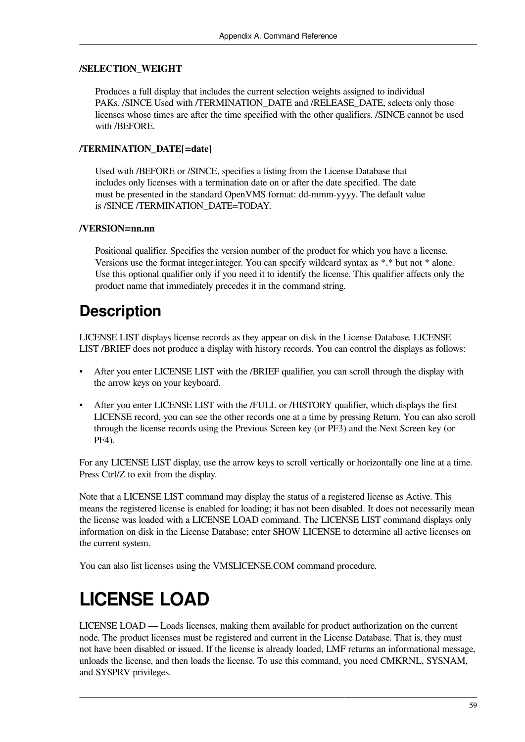#### **/SELECTION\_WEIGHT**

Produces a full display that includes the current selection weights assigned to individual PAKs. /SINCE Used with /TERMINATION\_DATE and /RELEASE\_DATE, selects only those licenses whose times are after the time specified with the other qualifiers. /SINCE cannot be used with /BEFORE.

#### **/TERMINATION\_DATE[=date]**

Used with /BEFORE or /SINCE, specifies a listing from the License Database that includes only licenses with a termination date on or after the date specified. The date must be presented in the standard OpenVMS format: dd-mmm-yyyy. The default value is /SINCE /TERMINATION\_DATE=TODAY.

#### **/VERSION=nn.nn**

Positional qualifier. Specifies the version number of the product for which you have a license. Versions use the format integer.integer. You can specify wildcard syntax as \*.\* but not \* alone. Use this optional qualifier only if you need it to identify the license. This qualifier affects only the product name that immediately precedes it in the command string.

### **Description**

LICENSE LIST displays license records as they appear on disk in the License Database. LICENSE LIST /BRIEF does not produce a display with history records. You can control the displays as follows:

- After you enter LICENSE LIST with the */BRIEF* qualifier, you can scroll through the display with the arrow keys on your keyboard.
- After you enter LICENSE LIST with the /FULL or /HISTORY qualifier, which displays the first LICENSE record, you can see the other records one at a time by pressing Return. You can also scroll through the license records using the Previous Screen key (or PF3) and the Next Screen key (or PF4).

For any LICENSE LIST display, use the arrow keys to scroll vertically or horizontally one line at a time. Press Ctrl/Z to exit from the display.

Note that a LICENSE LIST command may display the status of a registered license as Active. This means the registered license is enabled for loading; it has not been disabled. It does not necessarily mean the license was loaded with a LICENSE LOAD command. The LICENSE LIST command displays only information on disk in the License Database; enter SHOW LICENSE to determine all active licenses on the current system.

<span id="page-66-0"></span>You can also list licenses using the VMSLICENSE.COM command procedure.

# **LICENSE LOAD**

LICENSE LOAD — Loads licenses, making them available for product authorization on the current node. The product licenses must be registered and current in the License Database. That is, they must not have been disabled or issued. If the license is already loaded, LMF returns an informational message, unloads the license, and then loads the license. To use this command, you need CMKRNL, SYSNAM, and SYSPRV privileges.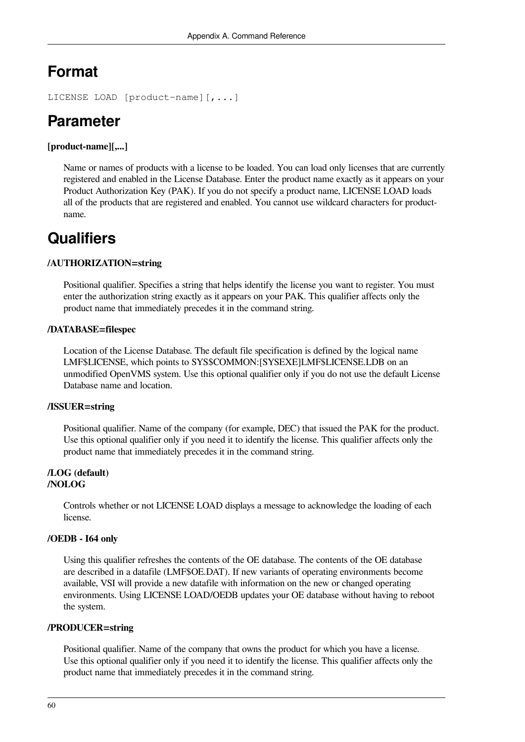## **Format**

```
LICENSE LOAD [product-name][,...]
```
# **Parameter**

#### **[product-name][,...]**

Name or names of products with a license to be loaded. You can load only licenses that are currently registered and enabled in the License Database. Enter the product name exactly as it appears on your Product Authorization Key (PAK). If you do not specify a product name, LICENSE LOAD loads all of the products that are registered and enabled. You cannot use wildcard characters for productname.

## **Qualifiers**

#### **/AUTHORIZATION=string**

Positional qualifier. Specifies a string that helps identify the license you want to register. You must enter the authorization string exactly as it appears on your PAK. This qualifier affects only the product name that immediately precedes it in the command string.

#### **/DATABASE=filespec**

Location of the License Database. The default file specification is defined by the logical name LMF\$LICENSE, which points to SYS\$COMMON:[SYSEXE]LMF\$LICENSE.LDB on an unmodified OpenVMS system. Use this optional qualifier only if you do not use the default License Database name and location.

#### **/ISSUER=string**

Positional qualifier. Name of the company (for example, DEC) that issued the PAK for the product. Use this optional qualifier only if you need it to identify the license. This qualifier affects only the product name that immediately precedes it in the command string.

#### **/LOG (default) /NOLOG**

Controls whether or not LICENSE LOAD displays a message to acknowledge the loading of each license.

#### **/OEDB - I64 only**

Using this qualifier refreshes the contents of the OE database. The contents of the OE database are described in a datafile (LMF\$OE.DAT). If new variants of operating environments become available, VSI will provide a new datafile with information on the new or changed operating environments. Using LICENSE LOAD/OEDB updates your OE database without having to reboot the system.

#### **/PRODUCER=string**

Positional qualifier. Name of the company that owns the product for which you have a license. Use this optional qualifier only if you need it to identify the license. This qualifier affects only the product name that immediately precedes it in the command string.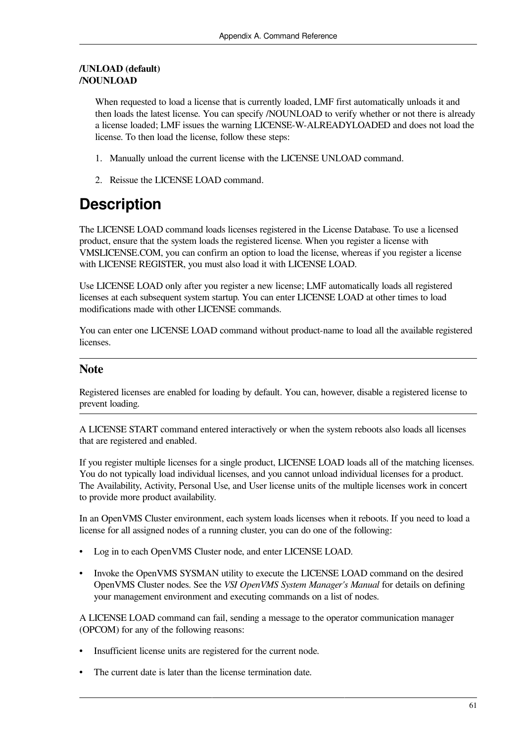#### **/UNLOAD (default) /NOUNLOAD**

When requested to load a license that is currently loaded, LMF first automatically unloads it and then loads the latest license. You can specify /NOUNLOAD to verify whether or not there is already a license loaded; LMF issues the warning LICENSE-W-ALREADYLOADED and does not load the license. To then load the license, follow these steps:

- 1. Manually unload the current license with the LICENSE UNLOAD command.
- 2. Reissue the LICENSE LOAD command.

# **Description**

The LICENSE LOAD command loads licenses registered in the License Database. To use a licensed product, ensure that the system loads the registered license. When you register a license with VMSLICENSE.COM, you can confirm an option to load the license, whereas if you register a license with LICENSE REGISTER, you must also load it with LICENSE LOAD.

Use LICENSE LOAD only after you register a new license; LMF automatically loads all registered licenses at each subsequent system startup. You can enter LICENSE LOAD at other times to load modifications made with other LICENSE commands.

You can enter one LICENSE LOAD command without product-name to load all the available registered licenses.

#### **Note**

Registered licenses are enabled for loading by default. You can, however, disable a registered license to prevent loading.

A LICENSE START command entered interactively or when the system reboots also loads all licenses that are registered and enabled.

If you register multiple licenses for a single product, LICENSE LOAD loads all of the matching licenses. You do not typically load individual licenses, and you cannot unload individual licenses for a product. The Availability, Activity, Personal Use, and User license units of the multiple licenses work in concert to provide more product availability.

In an OpenVMS Cluster environment, each system loads licenses when it reboots. If you need to load a license for all assigned nodes of a running cluster, you can do one of the following:

- Log in to each OpenVMS Cluster node, and enter LICENSE LOAD.
- Invoke the OpenVMS SYSMAN utility to execute the LICENSE LOAD command on the desired OpenVMS Cluster nodes. See the *VSI OpenVMS System Manager's Manual* for details on defining your management environment and executing commands on a list of nodes.

A LICENSE LOAD command can fail, sending a message to the operator communication manager (OPCOM) for any of the following reasons:

- Insufficient license units are registered for the current node.
- The current date is later than the license termination date.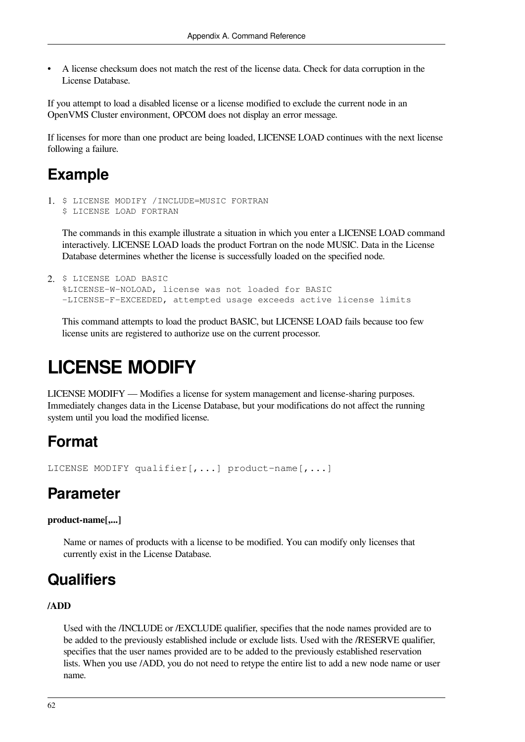• A license checksum does not match the rest of the license data. Check for data corruption in the License Database.

If you attempt to load a disabled license or a license modified to exclude the current node in an OpenVMS Cluster environment, OPCOM does not display an error message.

If licenses for more than one product are being loaded, LICENSE LOAD continues with the next license following a failure.

### **Example**

1. \$ LICENSE MODIFY /INCLUDE=MUSIC FORTRAN \$ LICENSE LOAD FORTRAN

The commands in this example illustrate a situation in which you enter a LICENSE LOAD command interactively. LICENSE LOAD loads the product Fortran on the node MUSIC. Data in the License Database determines whether the license is successfully loaded on the specified node.

```
2. $ LICENSE LOAD BASIC
  %LICENSE-W-NOLOAD, license was not loaded for BASIC
  -LICENSE-F-EXCEEDED, attempted usage exceeds active license limits
```
This command attempts to load the product BASIC, but LICENSE LOAD fails because too few license units are registered to authorize use on the current processor.

# <span id="page-69-0"></span>**LICENSE MODIFY**

LICENSE MODIFY — Modifies a license for system management and license-sharing purposes. Immediately changes data in the License Database, but your modifications do not affect the running system until you load the modified license.

## **Format**

```
LICENSE MODIFY qualifier[,...] product-name[,...]
```
## **Parameter**

**product-name[,...]**

Name or names of products with a license to be modified. You can modify only licenses that currently exist in the License Database.

## **Qualifiers**

#### **/ADD**

Used with the /INCLUDE or /EXCLUDE qualifier, specifies that the node names provided are to be added to the previously established include or exclude lists. Used with the /RESERVE qualifier, specifies that the user names provided are to be added to the previously established reservation lists. When you use /ADD, you do not need to retype the entire list to add a new node name or user name.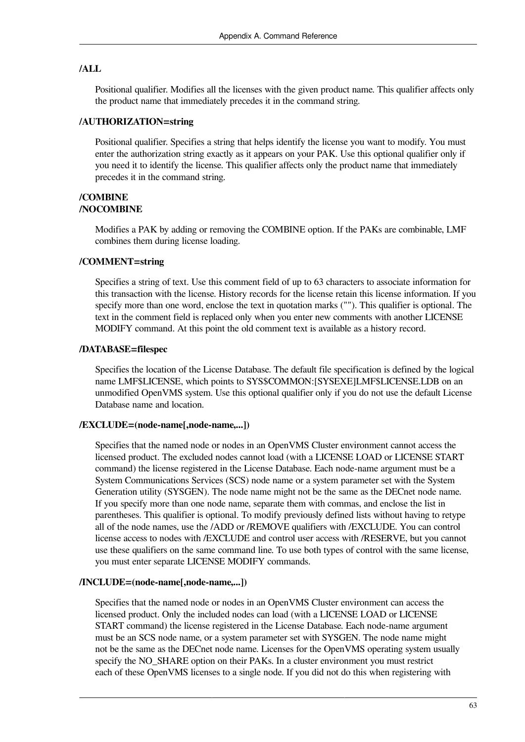#### **/ALL**

Positional qualifier. Modifies all the licenses with the given product name. This qualifier affects only the product name that immediately precedes it in the command string.

#### **/AUTHORIZATION=string**

Positional qualifier. Specifies a string that helps identify the license you want to modify. You must enter the authorization string exactly as it appears on your PAK. Use this optional qualifier only if you need it to identify the license. This qualifier affects only the product name that immediately precedes it in the command string.

#### **/COMBINE /NOCOMBINE**

Modifies a PAK by adding or removing the COMBINE option. If the PAKs are combinable, LMF combines them during license loading.

#### **/COMMENT=string**

Specifies a string of text. Use this comment field of up to 63 characters to associate information for this transaction with the license. History records for the license retain this license information. If you specify more than one word, enclose the text in quotation marks (""). This qualifier is optional. The text in the comment field is replaced only when you enter new comments with another LICENSE MODIFY command. At this point the old comment text is available as a history record.

#### **/DATABASE=filespec**

Specifies the location of the License Database. The default file specification is defined by the logical name LMF\$LICENSE, which points to SYS\$COMMON:[SYSEXE]LMF\$LICENSE.LDB on an unmodified OpenVMS system. Use this optional qualifier only if you do not use the default License Database name and location.

#### **/EXCLUDE=(node-name[,node-name,...])**

Specifies that the named node or nodes in an OpenVMS Cluster environment cannot access the licensed product. The excluded nodes cannot load (with a LICENSE LOAD or LICENSE START command) the license registered in the License Database. Each node-name argument must be a System Communications Services (SCS) node name or a system parameter set with the System Generation utility (SYSGEN). The node name might not be the same as the DECnet node name. If you specify more than one node name, separate them with commas, and enclose the list in parentheses. This qualifier is optional. To modify previously defined lists without having to retype all of the node names, use the /ADD or /REMOVE qualifiers with /EXCLUDE. You can control license access to nodes with /EXCLUDE and control user access with /RESERVE, but you cannot use these qualifiers on the same command line. To use both types of control with the same license, you must enter separate LICENSE MODIFY commands.

#### **/INCLUDE=(node-name[,node-name,...])**

Specifies that the named node or nodes in an OpenVMS Cluster environment can access the licensed product. Only the included nodes can load (with a LICENSE LOAD or LICENSE START command) the license registered in the License Database. Each node-name argument must be an SCS node name, or a system parameter set with SYSGEN. The node name might not be the same as the DECnet node name. Licenses for the OpenVMS operating system usually specify the NO\_SHARE option on their PAKs. In a cluster environment you must restrict each of these OpenVMS licenses to a single node. If you did not do this when registering with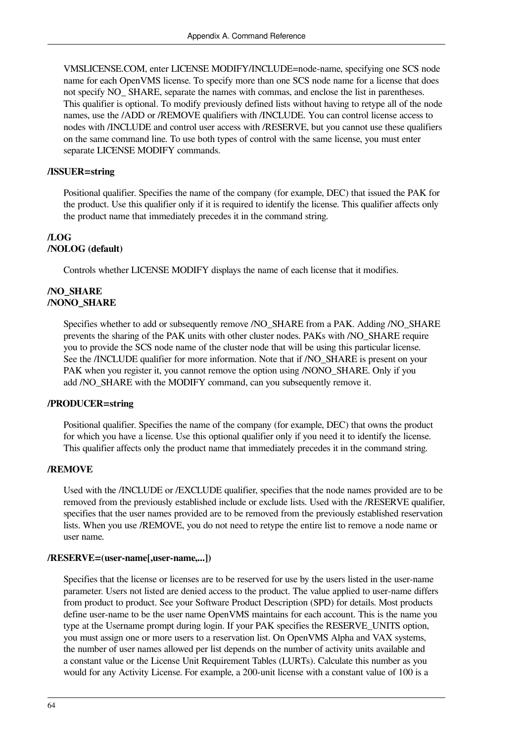VMSLICENSE.COM, enter LICENSE MODIFY/INCLUDE=node-name, specifying one SCS node name for each OpenVMS license. To specify more than one SCS node name for a license that does not specify NO SHARE, separate the names with commas, and enclose the list in parentheses. This qualifier is optional. To modify previously defined lists without having to retype all of the node names, use the /ADD or /REMOVE qualifiers with /INCLUDE. You can control license access to nodes with /INCLUDE and control user access with /RESERVE, but you cannot use these qualifiers on the same command line. To use both types of control with the same license, you must enter separate LICENSE MODIFY commands.

#### **/ISSUER=string**

Positional qualifier. Specifies the name of the company (for example, DEC) that issued the PAK for the product. Use this qualifier only if it is required to identify the license. This qualifier affects only the product name that immediately precedes it in the command string.

#### **/LOG /NOLOG (default)**

Controls whether LICENSE MODIFY displays the name of each license that it modifies.

#### **/NO\_SHARE /NONO\_SHARE**

Specifies whether to add or subsequently remove /NO\_SHARE from a PAK. Adding /NO\_SHARE prevents the sharing of the PAK units with other cluster nodes. PAKs with /NO\_SHARE require you to provide the SCS node name of the cluster node that will be using this particular license. See the /INCLUDE qualifier for more information. Note that if /NO\_SHARE is present on your PAK when you register it, you cannot remove the option using /NONO\_SHARE. Only if you add /NO\_SHARE with the MODIFY command, can you subsequently remove it.

#### **/PRODUCER=string**

Positional qualifier. Specifies the name of the company (for example, DEC) that owns the product for which you have a license. Use this optional qualifier only if you need it to identify the license. This qualifier affects only the product name that immediately precedes it in the command string.

#### **/REMOVE**

Used with the /INCLUDE or /EXCLUDE qualifier, specifies that the node names provided are to be removed from the previously established include or exclude lists. Used with the /RESERVE qualifier, specifies that the user names provided are to be removed from the previously established reservation lists. When you use /REMOVE, you do not need to retype the entire list to remove a node name or user name.

#### **/RESERVE=(user-name[,user-name,...])**

Specifies that the license or licenses are to be reserved for use by the users listed in the user-name parameter. Users not listed are denied access to the product. The value applied to user-name differs from product to product. See your Software Product Description (SPD) for details. Most products define user-name to be the user name OpenVMS maintains for each account. This is the name you type at the Username prompt during login. If your PAK specifies the RESERVE\_UNITS option, you must assign one or more users to a reservation list. On OpenVMS Alpha and VAX systems, the number of user names allowed per list depends on the number of activity units available and a constant value or the License Unit Requirement Tables (LURTs). Calculate this number as you would for any Activity License. For example, a 200-unit license with a constant value of 100 is a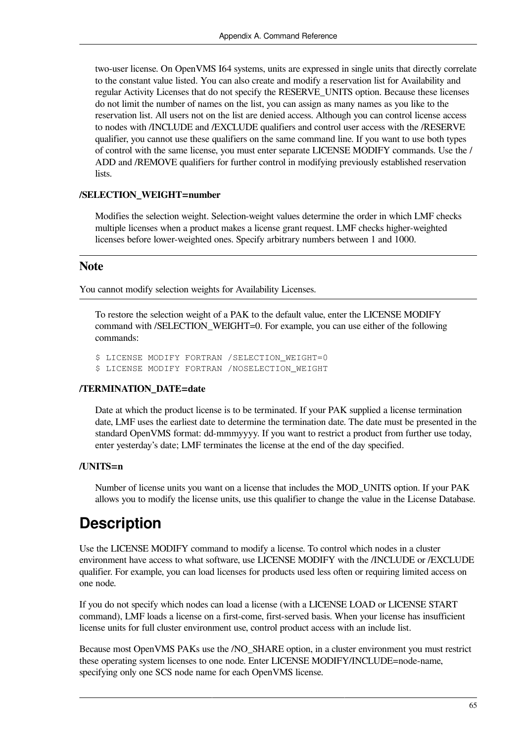two-user license. On OpenVMS I64 systems, units are expressed in single units that directly correlate to the constant value listed. You can also create and modify a reservation list for Availability and regular Activity Licenses that do not specify the RESERVE\_UNITS option. Because these licenses do not limit the number of names on the list, you can assign as many names as you like to the reservation list. All users not on the list are denied access. Although you can control license access to nodes with /INCLUDE and /EXCLUDE qualifiers and control user access with the /RESERVE qualifier, you cannot use these qualifiers on the same command line. If you want to use both types of control with the same license, you must enter separate LICENSE MODIFY commands. Use the / ADD and /REMOVE qualifiers for further control in modifying previously established reservation lists.

#### **/SELECTION\_WEIGHT=number**

Modifies the selection weight. Selection-weight values determine the order in which LMF checks multiple licenses when a product makes a license grant request. LMF checks higher-weighted licenses before lower-weighted ones. Specify arbitrary numbers between 1 and 1000.

### **Note**

You cannot modify selection weights for Availability Licenses.

To restore the selection weight of a PAK to the default value, enter the LICENSE MODIFY command with /SELECTION\_WEIGHT=0. For example, you can use either of the following commands:

\$ LICENSE MODIFY FORTRAN /SELECTION\_WEIGHT=0 \$ LICENSE MODIFY FORTRAN /NOSELECTION\_WEIGHT

#### **/TERMINATION\_DATE=date**

Date at which the product license is to be terminated. If your PAK supplied a license termination date, LMF uses the earliest date to determine the termination date. The date must be presented in the standard OpenVMS format: dd-mmmyyyy. If you want to restrict a product from further use today, enter yesterday's date; LMF terminates the license at the end of the day specified.

#### **/UNITS=n**

Number of license units you want on a license that includes the MOD\_UNITS option. If your PAK allows you to modify the license units, use this qualifier to change the value in the License Database.

### **Description**

Use the LICENSE MODIFY command to modify a license. To control which nodes in a cluster environment have access to what software, use LICENSE MODIFY with the /INCLUDE or /EXCLUDE qualifier. For example, you can load licenses for products used less often or requiring limited access on one node.

If you do not specify which nodes can load a license (with a LICENSE LOAD or LICENSE START command), LMF loads a license on a first-come, first-served basis. When your license has insufficient license units for full cluster environment use, control product access with an include list.

Because most OpenVMS PAKs use the /NO\_SHARE option, in a cluster environment you must restrict these operating system licenses to one node. Enter LICENSE MODIFY/INCLUDE=node-name, specifying only one SCS node name for each OpenVMS license.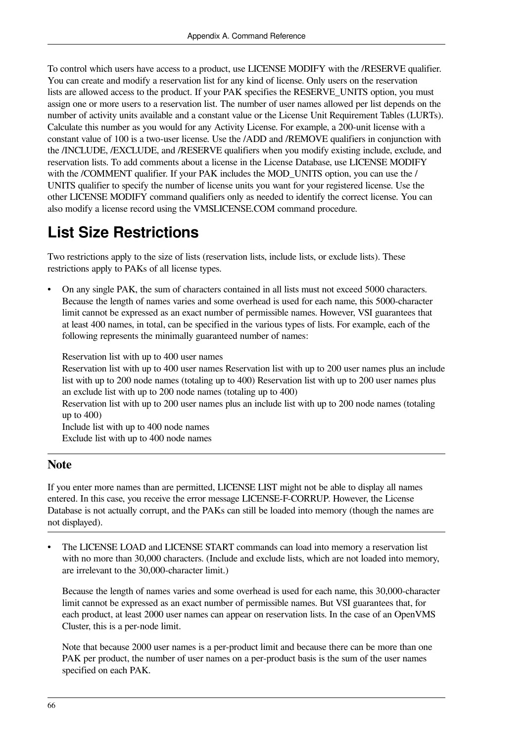To control which users have access to a product, use LICENSE MODIFY with the /RESERVE qualifier. You can create and modify a reservation list for any kind of license. Only users on the reservation lists are allowed access to the product. If your PAK specifies the RESERVE\_UNITS option, you must assign one or more users to a reservation list. The number of user names allowed per list depends on the number of activity units available and a constant value or the License Unit Requirement Tables (LURTs). Calculate this number as you would for any Activity License. For example, a 200-unit license with a constant value of 100 is a two-user license. Use the /ADD and /REMOVE qualifiers in conjunction with the /INCLUDE, /EXCLUDE, and /RESERVE qualifiers when you modify existing include, exclude, and reservation lists. To add comments about a license in the License Database, use LICENSE MODIFY with the /COMMENT qualifier. If your PAK includes the MOD UNITS option, you can use the / UNITS qualifier to specify the number of license units you want for your registered license. Use the other LICENSE MODIFY command qualifiers only as needed to identify the correct license. You can also modify a license record using the VMSLICENSE.COM command procedure.

## **List Size Restrictions**

Two restrictions apply to the size of lists (reservation lists, include lists, or exclude lists). These restrictions apply to PAKs of all license types.

• On any single PAK, the sum of characters contained in all lists must not exceed 5000 characters. Because the length of names varies and some overhead is used for each name, this 5000-character limit cannot be expressed as an exact number of permissible names. However, VSI guarantees that at least 400 names, in total, can be specified in the various types of lists. For example, each of the following represents the minimally guaranteed number of names:

Reservation list with up to 400 user names

Reservation list with up to 400 user names Reservation list with up to 200 user names plus an include list with up to 200 node names (totaling up to 400) Reservation list with up to 200 user names plus an exclude list with up to 200 node names (totaling up to 400)

Reservation list with up to 200 user names plus an include list with up to 200 node names (totaling up to  $400$ )

Include list with up to 400 node names Exclude list with up to 400 node names

### **Note**

If you enter more names than are permitted, LICENSE LIST might not be able to display all names entered. In this case, you receive the error message LICENSE-F-CORRUP. However, the License Database is not actually corrupt, and the PAKs can still be loaded into memory (though the names are not displayed).

The LICENSE LOAD and LICENSE START commands can load into memory a reservation list with no more than 30,000 characters. (Include and exclude lists, which are not loaded into memory, are irrelevant to the 30,000-character limit.)

Because the length of names varies and some overhead is used for each name, this 30,000-character limit cannot be expressed as an exact number of permissible names. But VSI guarantees that, for each product, at least 2000 user names can appear on reservation lists. In the case of an OpenVMS Cluster, this is a per-node limit.

Note that because 2000 user names is a per-product limit and because there can be more than one PAK per product, the number of user names on a per-product basis is the sum of the user names specified on each PAK.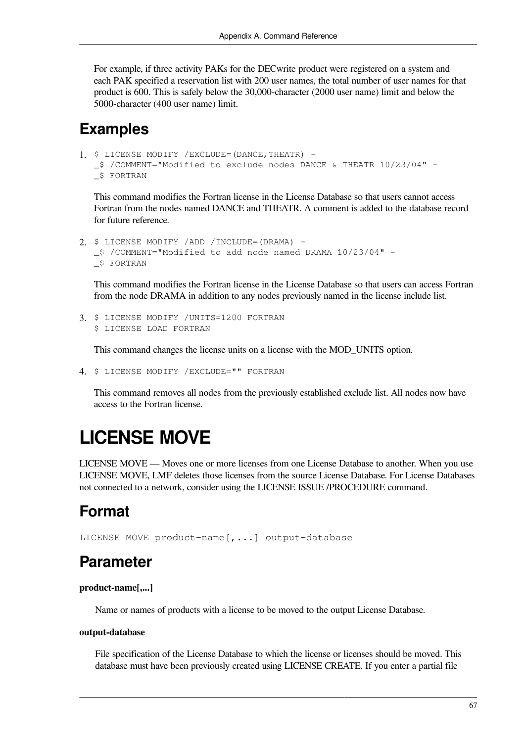For example, if three activity PAKs for the DECwrite product were registered on a system and each PAK specified a reservation list with 200 user names, the total number of user names for that product is 600. This is safely below the 30,000-character (2000 user name) limit and below the 5000-character (400 user name) limit.

### **Examples**

```
1. $ LICENSE MODIFY /EXCLUDE=(DANCE,THEATR) -
  _$ /COMMENT="Modified to exclude nodes DANCE & THEATR 10/23/04" -
  _$ FORTRAN
```
This command modifies the Fortran license in the License Database so that users cannot access Fortran from the nodes named DANCE and THEATR. A comment is added to the database record for future reference.

```
2. $ LICENSE MODIFY /ADD /INCLUDE=(DRAMA) -
  _$ /COMMENT="Modified to add node named DRAMA 10/23/04" -
  _$ FORTRAN
```
This command modifies the Fortran license in the License Database so that users can access Fortran from the node DRAMA in addition to any nodes previously named in the license include list.

```
3. $ LICENSE MODIFY /UNITS=1200 FORTRAN 
  $ LICENSE LOAD FORTRAN
```
This command changes the license units on a license with the MOD\_UNITS option.

4. \$ LICENSE MODIFY /EXCLUDE="" FORTRAN

This command removes all nodes from the previously established exclude list. All nodes now have access to the Fortran license.

# **LICENSE MOVE**

LICENSE MOVE — Moves one or more licenses from one License Database to another. When you use LICENSE MOVE, LMF deletes those licenses from the source License Database. For License Databases not connected to a network, consider using the LICENSE ISSUE /PROCEDURE command.

### **Format**

LICENSE MOVE product-name[,...] output-database

### **Parameter**

**product-name[,...]**

Name or names of products with a license to be moved to the output License Database.

#### **output-database**

File specification of the License Database to which the license or licenses should be moved. This database must have been previously created using LICENSE CREATE. If you enter a partial file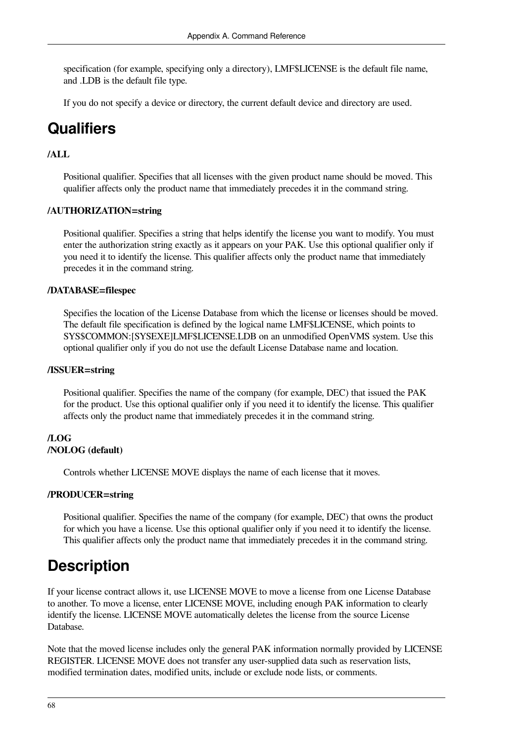specification (for example, specifying only a directory), LMF\$LICENSE is the default file name, and .LDB is the default file type.

If you do not specify a device or directory, the current default device and directory are used.

### **Qualifiers**

### **/ALL**

Positional qualifier. Specifies that all licenses with the given product name should be moved. This qualifier affects only the product name that immediately precedes it in the command string.

### **/AUTHORIZATION=string**

Positional qualifier. Specifies a string that helps identify the license you want to modify. You must enter the authorization string exactly as it appears on your PAK. Use this optional qualifier only if you need it to identify the license. This qualifier affects only the product name that immediately precedes it in the command string.

### **/DATABASE=filespec**

Specifies the location of the License Database from which the license or licenses should be moved. The default file specification is defined by the logical name LMF\$LICENSE, which points to SYS\$COMMON:[SYSEXE]LMF\$LICENSE.LDB on an unmodified OpenVMS system. Use this optional qualifier only if you do not use the default License Database name and location.

### **/ISSUER=string**

Positional qualifier. Specifies the name of the company (for example, DEC) that issued the PAK for the product. Use this optional qualifier only if you need it to identify the license. This qualifier affects only the product name that immediately precedes it in the command string.

### **/LOG /NOLOG (default)**

Controls whether LICENSE MOVE displays the name of each license that it moves.

### **/PRODUCER=string**

Positional qualifier. Specifies the name of the company (for example, DEC) that owns the product for which you have a license. Use this optional qualifier only if you need it to identify the license. This qualifier affects only the product name that immediately precedes it in the command string.

### **Description**

If your license contract allows it, use LICENSE MOVE to move a license from one License Database to another. To move a license, enter LICENSE MOVE, including enough PAK information to clearly identify the license. LICENSE MOVE automatically deletes the license from the source License Database.

Note that the moved license includes only the general PAK information normally provided by LICENSE REGISTER. LICENSE MOVE does not transfer any user-supplied data such as reservation lists, modified termination dates, modified units, include or exclude node lists, or comments.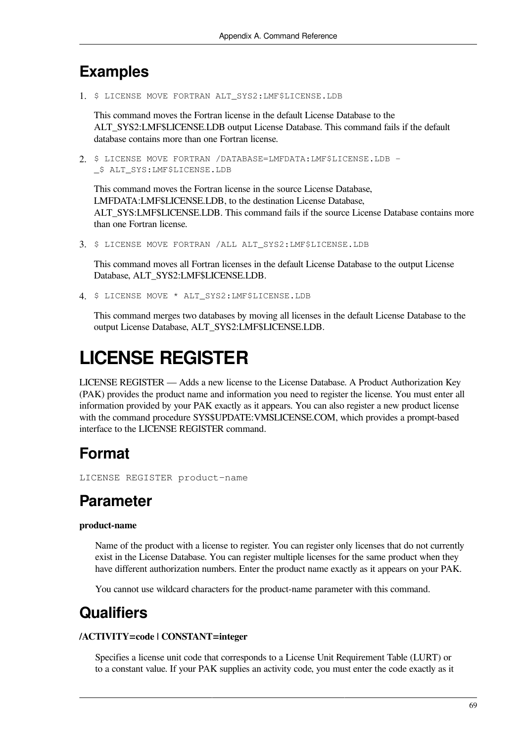### **Examples**

1. \$ LICENSE MOVE FORTRAN ALT SYS2:LMF\$LICENSE.LDB

This command moves the Fortran license in the default License Database to the ALT\_SYS2:LMF\$LICENSE.LDB output License Database. This command fails if the default database contains more than one Fortran license.

2. \$ LICENSE MOVE FORTRAN /DATABASE=LMFDATA:LMF\$LICENSE.LDB - \_\$ ALT\_SYS:LMF\$LICENSE.LDB

This command moves the Fortran license in the source License Database, LMFDATA:LMF\$LICENSE.LDB, to the destination License Database, ALT\_SYS:LMF\$LICENSE.LDB. This command fails if the source License Database contains more than one Fortran license.

3. \$ LICENSE MOVE FORTRAN /ALL ALT\_SYS2:LMF\$LICENSE.LDB

This command moves all Fortran licenses in the default License Database to the output License Database, ALT\_SYS2:LMF\$LICENSE.LDB.

4. \$ LICENSE MOVE \* ALT\_SYS2:LMF\$LICENSE.LDB

This command merges two databases by moving all licenses in the default License Database to the output License Database, ALT\_SYS2:LMF\$LICENSE.LDB.

# **LICENSE REGISTER**

LICENSE REGISTER — Adds a new license to the License Database. A Product Authorization Key (PAK) provides the product name and information you need to register the license. You must enter all information provided by your PAK exactly as it appears. You can also register a new product license with the command procedure SYS\$UPDATE:VMSLICENSE.COM, which provides a prompt-based interface to the LICENSE REGISTER command.

# **Format**

LICENSE REGISTER product-name

### **Parameter**

### **product-name**

Name of the product with a license to register. You can register only licenses that do not currently exist in the License Database. You can register multiple licenses for the same product when they have different authorization numbers. Enter the product name exactly as it appears on your PAK.

You cannot use wildcard characters for the product-name parameter with this command.

## **Qualifiers**

### **/ACTIVITY=code | CONSTANT=integer**

Specifies a license unit code that corresponds to a License Unit Requirement Table (LURT) or to a constant value. If your PAK supplies an activity code, you must enter the code exactly as it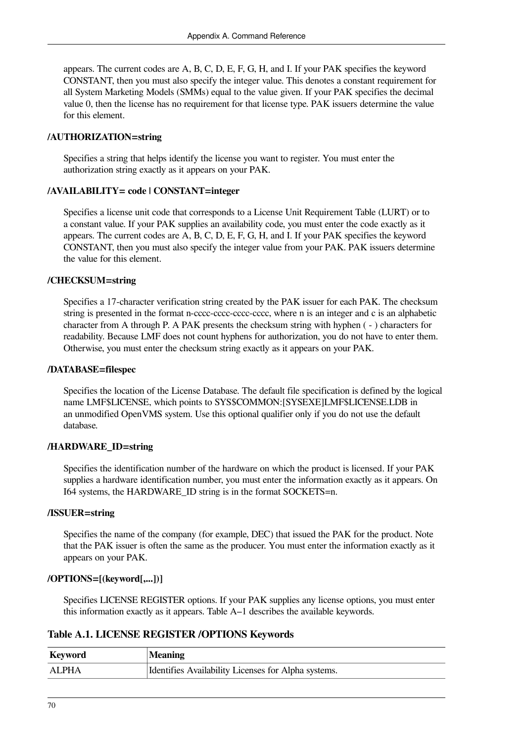appears. The current codes are A, B, C, D, E, F, G, H, and I. If your PAK specifies the keyword CONSTANT, then you must also specify the integer value. This denotes a constant requirement for all System Marketing Models (SMMs) equal to the value given. If your PAK specifies the decimal value 0, then the license has no requirement for that license type. PAK issuers determine the value for this element.

### **/AUTHORIZATION=string**

Specifies a string that helps identify the license you want to register. You must enter the authorization string exactly as it appears on your PAK.

### **/AVAILABILITY= code | CONSTANT=integer**

Specifies a license unit code that corresponds to a License Unit Requirement Table (LURT) or to a constant value. If your PAK supplies an availability code, you must enter the code exactly as it appears. The current codes are A, B, C, D, E, F, G, H, and I. If your PAK specifies the keyword CONSTANT, then you must also specify the integer value from your PAK. PAK issuers determine the value for this element.

### **/CHECKSUM=string**

Specifies a 17-character verification string created by the PAK issuer for each PAK. The checksum string is presented in the format n-cccc-cccc-cccc-cccc, where n is an integer and c is an alphabetic character from A through P. A PAK presents the checksum string with hyphen ( - ) characters for readability. Because LMF does not count hyphens for authorization, you do not have to enter them. Otherwise, you must enter the checksum string exactly as it appears on your PAK.

### **/DATABASE=filespec**

Specifies the location of the License Database. The default file specification is defined by the logical name LMF\$LICENSE, which points to SYS\$COMMON:[SYSEXE]LMF\$LICENSE.LDB in an unmodified OpenVMS system. Use this optional qualifier only if you do not use the default database.

### **/HARDWARE\_ID=string**

Specifies the identification number of the hardware on which the product is licensed. If your PAK supplies a hardware identification number, you must enter the information exactly as it appears. On I64 systems, the HARDWARE\_ID string is in the format SOCKETS=n.

### **/ISSUER=string**

Specifies the name of the company (for example, DEC) that issued the PAK for the product. Note that the PAK issuer is often the same as the producer. You must enter the information exactly as it appears on your PAK.

### **/OPTIONS=[(keyword[,...])]**

Specifies LICENSE REGISTER options. If your PAK supplies any license options, you must enter this information exactly as it appears. Table A–1 describes the available keywords.

### **Table A.1. LICENSE REGISTER /OPTIONS Keywords**

| Keyword      | <b>Meaning</b>                                      |
|--------------|-----------------------------------------------------|
| <b>ALPHA</b> | Identifies Availability Licenses for Alpha systems. |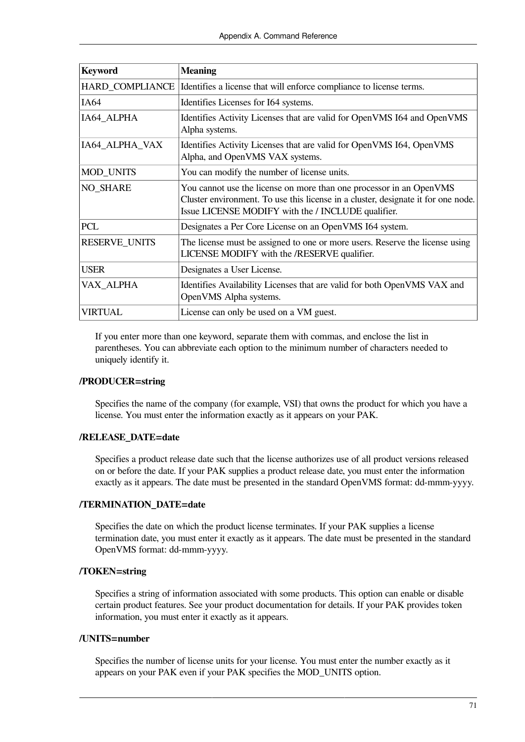| <b>Keyword</b>         | <b>Meaning</b>                                                                                                                                                                                                 |
|------------------------|----------------------------------------------------------------------------------------------------------------------------------------------------------------------------------------------------------------|
| <b>HARD COMPLIANCE</b> | Identifies a license that will enforce compliance to license terms.                                                                                                                                            |
| IA64                   | Identifies Licenses for I64 systems.                                                                                                                                                                           |
| IA64_ALPHA             | Identifies Activity Licenses that are valid for OpenVMS I64 and OpenVMS<br>Alpha systems.                                                                                                                      |
| IA64_ALPHA_VAX         | Identifies Activity Licenses that are valid for OpenVMS I64, OpenVMS<br>Alpha, and OpenVMS VAX systems.                                                                                                        |
| <b>MOD_UNITS</b>       | You can modify the number of license units.                                                                                                                                                                    |
| <b>NO SHARE</b>        | You cannot use the license on more than one processor in an OpenVMS<br>Cluster environment. To use this license in a cluster, designate it for one node.<br>Issue LICENSE MODIFY with the / INCLUDE qualifier. |
| <b>PCL</b>             | Designates a Per Core License on an OpenVMS I64 system.                                                                                                                                                        |
| <b>RESERVE_UNITS</b>   | The license must be assigned to one or more users. Reserve the license using<br>LICENSE MODIFY with the /RESERVE qualifier.                                                                                    |
| <b>USER</b>            | Designates a User License.                                                                                                                                                                                     |
| VAX_ALPHA              | Identifies Availability Licenses that are valid for both OpenVMS VAX and<br>OpenVMS Alpha systems.                                                                                                             |
| VIRTUAL                | License can only be used on a VM guest.                                                                                                                                                                        |

If you enter more than one keyword, separate them with commas, and enclose the list in parentheses. You can abbreviate each option to the minimum number of characters needed to uniquely identify it.

### **/PRODUCER=string**

Specifies the name of the company (for example, VSI) that owns the product for which you have a license. You must enter the information exactly as it appears on your PAK.

### **/RELEASE\_DATE=date**

Specifies a product release date such that the license authorizes use of all product versions released on or before the date. If your PAK supplies a product release date, you must enter the information exactly as it appears. The date must be presented in the standard OpenVMS format: dd-mmm-yyyy.

### **/TERMINATION\_DATE=date**

Specifies the date on which the product license terminates. If your PAK supplies a license termination date, you must enter it exactly as it appears. The date must be presented in the standard OpenVMS format: dd-mmm-yyyy.

### **/TOKEN=string**

Specifies a string of information associated with some products. This option can enable or disable certain product features. See your product documentation for details. If your PAK provides token information, you must enter it exactly as it appears.

### **/UNITS=number**

Specifies the number of license units for your license. You must enter the number exactly as it appears on your PAK even if your PAK specifies the MOD\_UNITS option.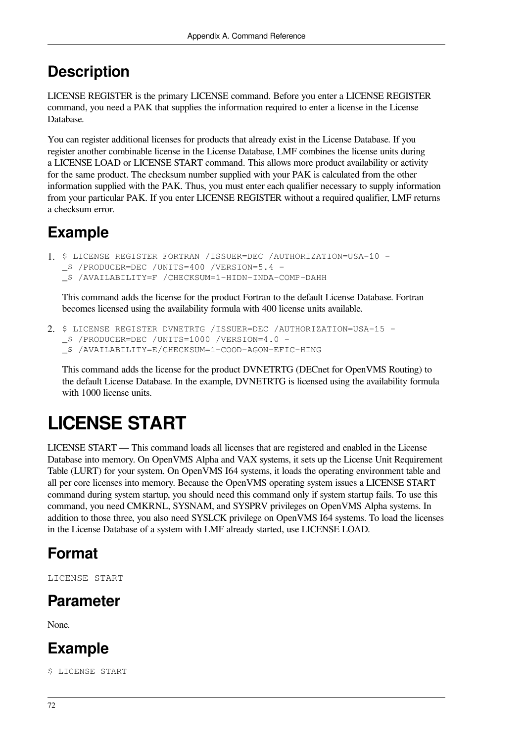# **Description**

LICENSE REGISTER is the primary LICENSE command. Before you enter a LICENSE REGISTER command, you need a PAK that supplies the information required to enter a license in the License Database.

You can register additional licenses for products that already exist in the License Database. If you register another combinable license in the License Database, LMF combines the license units during a LICENSE LOAD or LICENSE START command. This allows more product availability or activity for the same product. The checksum number supplied with your PAK is calculated from the other information supplied with the PAK. Thus, you must enter each qualifier necessary to supply information from your particular PAK. If you enter LICENSE REGISTER without a required qualifier, LMF returns a checksum error.

# **Example**

```
1. $ LICENSE REGISTER FORTRAN /ISSUER=DEC /AUTHORIZATION=USA-10 -
  _$ /PRODUCER=DEC /UNITS=400 /VERSION=5.4 -
  _$ /AVAILABILITY=F /CHECKSUM=1-HIDN-INDA-COMP-DAHH
```
This command adds the license for the product Fortran to the default License Database. Fortran becomes licensed using the availability formula with 400 license units available.

```
2. $ LICENSE REGISTER DVNETRTG /ISSUER=DEC /AUTHORIZATION=USA-15 -
  _$ /PRODUCER=DEC /UNITS=1000 /VERSION=4.0 -
  _$ /AVAILABILITY=E/CHECKSUM=1-COOD-AGON-EFIC-HING
```
This command adds the license for the product DVNETRTG (DECnet for OpenVMS Routing) to the default License Database. In the example, DVNETRTG is licensed using the availability formula with 1000 license units.

# **LICENSE START**

LICENSE START — This command loads all licenses that are registered and enabled in the License Database into memory. On OpenVMS Alpha and VAX systems, it sets up the License Unit Requirement Table (LURT) for your system. On OpenVMS I64 systems, it loads the operating environment table and all per core licenses into memory. Because the OpenVMS operating system issues a LICENSE START command during system startup, you should need this command only if system startup fails. To use this command, you need CMKRNL, SYSNAM, and SYSPRV privileges on OpenVMS Alpha systems. In addition to those three, you also need SYSLCK privilege on OpenVMS I64 systems. To load the licenses in the License Database of a system with LMF already started, use LICENSE LOAD.

# **Format**

LICENSE START

# **Parameter**

None.

# **Example**

\$ LICENSE START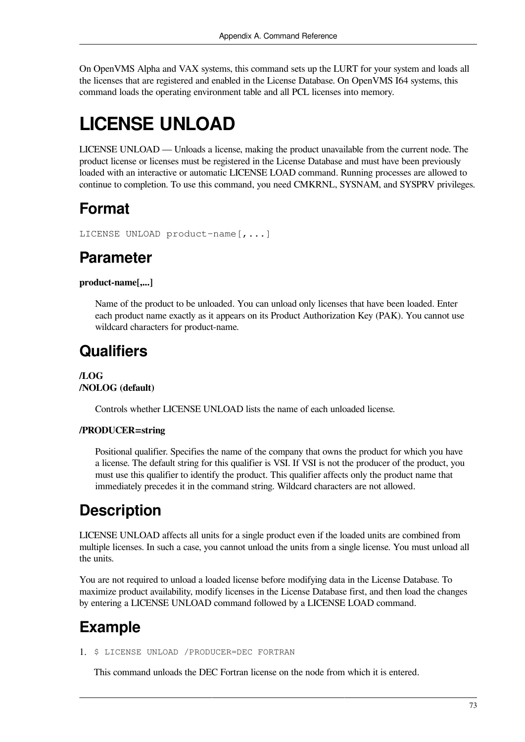On OpenVMS Alpha and VAX systems, this command sets up the LURT for your system and loads all the licenses that are registered and enabled in the License Database. On OpenVMS I64 systems, this command loads the operating environment table and all PCL licenses into memory.

# **LICENSE UNLOAD**

LICENSE UNLOAD — Unloads a license, making the product unavailable from the current node. The product license or licenses must be registered in the License Database and must have been previously loaded with an interactive or automatic LICENSE LOAD command. Running processes are allowed to continue to completion. To use this command, you need CMKRNL, SYSNAM, and SYSPRV privileges.

## **Format**

```
LICENSE UNLOAD product-name[,...]
```
### **Parameter**

### **product-name[,...]**

Name of the product to be unloaded. You can unload only licenses that have been loaded. Enter each product name exactly as it appears on its Product Authorization Key (PAK). You cannot use wildcard characters for product-name.

## **Qualifiers**

**/LOG /NOLOG (default)**

Controls whether LICENSE UNLOAD lists the name of each unloaded license.

### **/PRODUCER=string**

Positional qualifier. Specifies the name of the company that owns the product for which you have a license. The default string for this qualifier is VSI. If VSI is not the producer of the product, you must use this qualifier to identify the product. This qualifier affects only the product name that immediately precedes it in the command string. Wildcard characters are not allowed.

## **Description**

LICENSE UNLOAD affects all units for a single product even if the loaded units are combined from multiple licenses. In such a case, you cannot unload the units from a single license. You must unload all the units.

You are not required to unload a loaded license before modifying data in the License Database. To maximize product availability, modify licenses in the License Database first, and then load the changes by entering a LICENSE UNLOAD command followed by a LICENSE LOAD command.

# **Example**

1. \$ LICENSE UNLOAD /PRODUCER=DEC FORTRAN

This command unloads the DEC Fortran license on the node from which it is entered.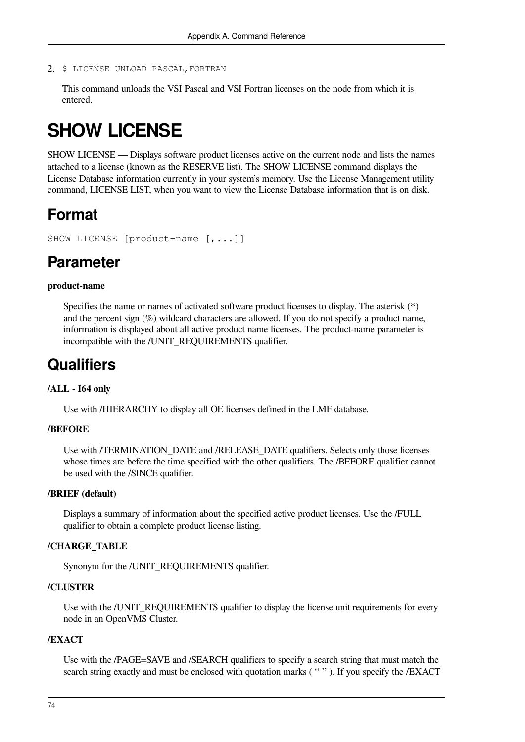2. \$ LICENSE UNLOAD PASCAL,FORTRAN

This command unloads the VSI Pascal and VSI Fortran licenses on the node from which it is entered.

# **SHOW LICENSE**

SHOW LICENSE — Displays software product licenses active on the current node and lists the names attached to a license (known as the RESERVE list). The SHOW LICENSE command displays the License Database information currently in your system's memory. Use the License Management utility command, LICENSE LIST, when you want to view the License Database information that is on disk.

### **Format**

SHOW LICENSE [product-name [,...]]

### **Parameter**

#### **product-name**

Specifies the name or names of activated software product licenses to display. The asterisk (\*) and the percent sign (%) wildcard characters are allowed. If you do not specify a product name, information is displayed about all active product name licenses. The product-name parameter is incompatible with the /UNIT\_REQUIREMENTS qualifier.

### **Qualifiers**

#### **/ALL - I64 only**

Use with /HIERARCHY to display all OE licenses defined in the LMF database.

#### **/BEFORE**

Use with /TERMINATION\_DATE and /RELEASE\_DATE qualifiers. Selects only those licenses whose times are before the time specified with the other qualifiers. The /BEFORE qualifier cannot be used with the /SINCE qualifier.

#### **/BRIEF (default)**

Displays a summary of information about the specified active product licenses. Use the /FULL qualifier to obtain a complete product license listing.

#### **/CHARGE\_TABLE**

Synonym for the /UNIT\_REQUIREMENTS qualifier.

### **/CLUSTER**

Use with the /UNIT\_REQUIREMENTS qualifier to display the license unit requirements for every node in an OpenVMS Cluster.

### **/EXACT**

Use with the /PAGE=SAVE and /SEARCH qualifiers to specify a search string that must match the search string exactly and must be enclosed with quotation marks (""). If you specify the /EXACT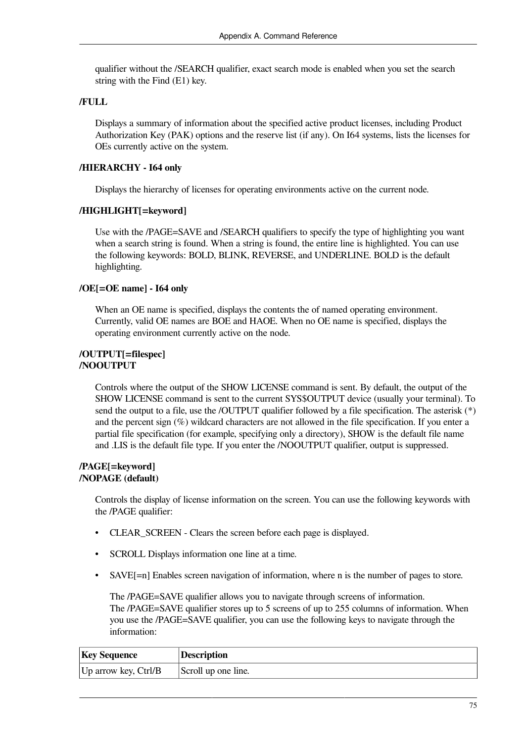qualifier without the /SEARCH qualifier, exact search mode is enabled when you set the search string with the Find (E1) key.

### **/FULL**

Displays a summary of information about the specified active product licenses, including Product Authorization Key (PAK) options and the reserve list (if any). On I64 systems, lists the licenses for OEs currently active on the system.

### **/HIERARCHY - I64 only**

Displays the hierarchy of licenses for operating environments active on the current node.

### **/HIGHLIGHT[=keyword]**

Use with the /PAGE=SAVE and /SEARCH qualifiers to specify the type of highlighting you want when a search string is found. When a string is found, the entire line is highlighted. You can use the following keywords: BOLD, BLINK, REVERSE, and UNDERLINE. BOLD is the default highlighting.

### **/OE[=OE name] - I64 only**

When an OE name is specified, displays the contents the of named operating environment. Currently, valid OE names are BOE and HAOE. When no OE name is specified, displays the operating environment currently active on the node.

### **/OUTPUT[=filespec] /NOOUTPUT**

Controls where the output of the SHOW LICENSE command is sent. By default, the output of the SHOW LICENSE command is sent to the current SYS\$OUTPUT device (usually your terminal). To send the output to a file, use the /OUTPUT qualifier followed by a file specification. The asterisk (\*) and the percent sign (%) wildcard characters are not allowed in the file specification. If you enter a partial file specification (for example, specifying only a directory), SHOW is the default file name and .LIS is the default file type. If you enter the /NOOUTPUT qualifier, output is suppressed.

### **/PAGE[=keyword] /NOPAGE (default)**

Controls the display of license information on the screen. You can use the following keywords with the /PAGE qualifier:

- CLEAR\_SCREEN Clears the screen before each page is displayed.
- SCROLL Displays information one line at a time.
- SAVE[=n] Enables screen navigation of information, where n is the number of pages to store.

The /PAGE=SAVE qualifier allows you to navigate through screens of information. The /PAGE=SAVE qualifier stores up to 5 screens of up to 255 columns of information. When you use the /PAGE=SAVE qualifier, you can use the following keys to navigate through the information:

| <b>Key Sequence</b>      | <b>Description</b>  |
|--------------------------|---------------------|
| $ Up\;arrow\;key,Ctrl/B$ | Scroll up one line. |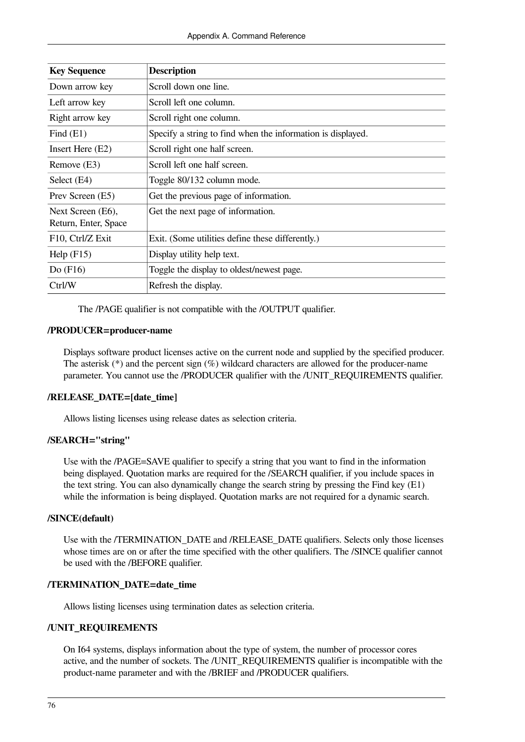| <b>Key Sequence</b>  | <b>Description</b>                                          |
|----------------------|-------------------------------------------------------------|
| Down arrow key       | Scroll down one line.                                       |
| Left arrow key       | Scroll left one column.                                     |
| Right arrow key      | Scroll right one column.                                    |
| Find $(E1)$          | Specify a string to find when the information is displayed. |
| Insert Here (E2)     | Scroll right one half screen.                               |
| Remove (E3)          | Scroll left one half screen.                                |
| Select (E4)          | Toggle 80/132 column mode.                                  |
| Prev Screen (E5)     | Get the previous page of information.                       |
| Next Screen (E6),    | Get the next page of information.                           |
| Return, Enter, Space |                                                             |
| F10, Ctrl/Z Exit     | Exit. (Some utilities define these differently.)            |
| Help $(F15)$         | Display utility help text.                                  |
| Do $(F16)$           | Toggle the display to oldest/newest page.                   |
| Ctrl/W               | Refresh the display.                                        |

The /PAGE qualifier is not compatible with the /OUTPUT qualifier.

### **/PRODUCER=producer-name**

Displays software product licenses active on the current node and supplied by the specified producer. The asterisk  $(*)$  and the percent sign  $%$ ) wildcard characters are allowed for the producer-name parameter. You cannot use the /PRODUCER qualifier with the /UNIT\_REQUIREMENTS qualifier.

### **/RELEASE\_DATE=[date\_time]**

Allows listing licenses using release dates as selection criteria.

### **/SEARCH="string"**

Use with the /PAGE=SAVE qualifier to specify a string that you want to find in the information being displayed. Quotation marks are required for the /SEARCH qualifier, if you include spaces in the text string. You can also dynamically change the search string by pressing the Find key (E1) while the information is being displayed. Quotation marks are not required for a dynamic search.

### **/SINCE(default)**

Use with the /TERMINATION\_DATE and /RELEASE\_DATE qualifiers. Selects only those licenses whose times are on or after the time specified with the other qualifiers. The /SINCE qualifier cannot be used with the /BEFORE qualifier.

### **/TERMINATION\_DATE=date\_time**

Allows listing licenses using termination dates as selection criteria.

### **/UNIT\_REQUIREMENTS**

On I64 systems, displays information about the type of system, the number of processor cores active, and the number of sockets. The /UNIT\_REQUIREMENTS qualifier is incompatible with the product-name parameter and with the /BRIEF and /PRODUCER qualifiers.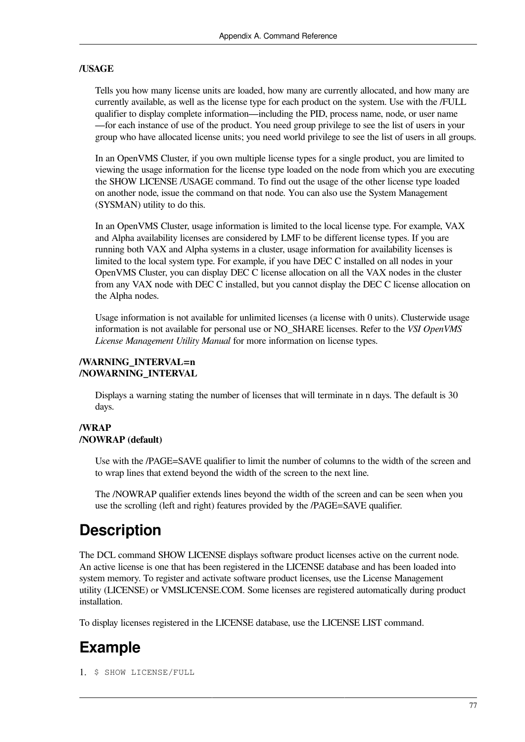### **/USAGE**

Tells you how many license units are loaded, how many are currently allocated, and how many are currently available, as well as the license type for each product on the system. Use with the /FULL qualifier to display complete information—including the PID, process name, node, or user name —for each instance of use of the product. You need group privilege to see the list of users in your group who have allocated license units; you need world privilege to see the list of users in all groups.

In an OpenVMS Cluster, if you own multiple license types for a single product, you are limited to viewing the usage information for the license type loaded on the node from which you are executing the SHOW LICENSE /USAGE command. To find out the usage of the other license type loaded on another node, issue the command on that node. You can also use the System Management (SYSMAN) utility to do this.

In an OpenVMS Cluster, usage information is limited to the local license type. For example, VAX and Alpha availability licenses are considered by LMF to be different license types. If you are running both VAX and Alpha systems in a cluster, usage information for availability licenses is limited to the local system type. For example, if you have DEC C installed on all nodes in your OpenVMS Cluster, you can display DEC C license allocation on all the VAX nodes in the cluster from any VAX node with DEC C installed, but you cannot display the DEC C license allocation on the Alpha nodes.

Usage information is not available for unlimited licenses (a license with 0 units). Clusterwide usage information is not available for personal use or NO\_SHARE licenses. Refer to the *VSI OpenVMS License Management Utility Manual* for more information on license types.

### **/WARNING\_INTERVAL=n /NOWARNING\_INTERVAL**

Displays a warning stating the number of licenses that will terminate in n days. The default is 30 days.

### **/WRAP /NOWRAP (default)**

Use with the /PAGE=SAVE qualifier to limit the number of columns to the width of the screen and to wrap lines that extend beyond the width of the screen to the next line.

The /NOWRAP qualifier extends lines beyond the width of the screen and can be seen when you use the scrolling (left and right) features provided by the /PAGE=SAVE qualifier.

### **Description**

The DCL command SHOW LICENSE displays software product licenses active on the current node. An active license is one that has been registered in the LICENSE database and has been loaded into system memory. To register and activate software product licenses, use the License Management utility (LICENSE) or VMSLICENSE.COM. Some licenses are registered automatically during product installation.

To display licenses registered in the LICENSE database, use the LICENSE LIST command.

# **Example**

1. \$ SHOW LICENSE/FULL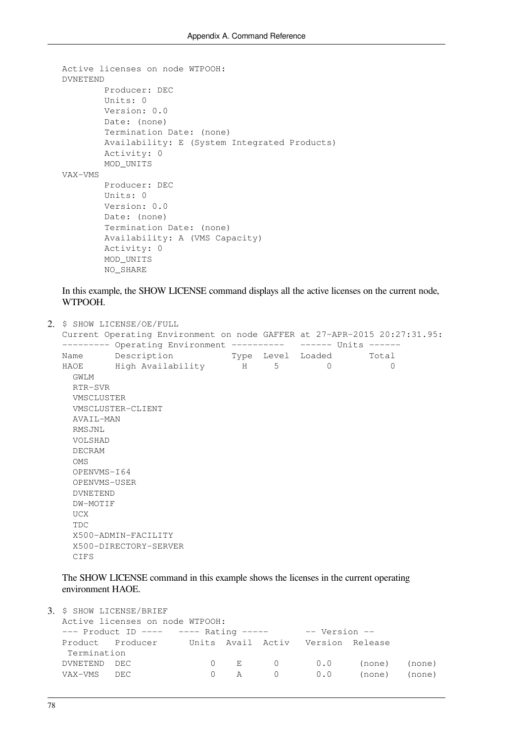```
Active licenses on node WTPOOH:
DVNETEND
         Producer: DEC
         Units: 0
         Version: 0.0
         Date: (none)
         Termination Date: (none)
         Availability: E (System Integrated Products)
         Activity: 0
         MOD_UNITS
VAX-VMS
         Producer: DEC
         Units: 0
         Version: 0.0
         Date: (none)
         Termination Date: (none)
         Availability: A (VMS Capacity)
         Activity: 0
         MOD_UNITS
         NO_SHARE
```
In this example, the SHOW LICENSE command displays all the active licenses on the current node, WTPOOH.

```
2. $ SHOW LICENSE/OE/FULL
  Current Operating Environment on node GAFFER at 27-APR-2015 20:27:31.95:
  --------- Operating Environment ---------- ------ Units ------<br>Name Description Type Level Loaded Total<br>HAOE High Noril Line
  Name Description Type Level Loaded Total
  HAOE High Availability H 5 0 0 0
     GWLM
     RTR-SVR
      VMSCLUSTER
      VMSCLUSTER-CLIENT
      AVAIL-MAN
      RMSJNL
      VOLSHAD
      DECRAM
      OMS
      OPENVMS-I64
      OPENVMS-USER
      DVNETEND
      DW-MOTIF
      UCX
      TDC
      X500-ADMIN-FACILITY
      X500-DIRECTORY-SERVER
      CIFS
```
The SHOW LICENSE command in this example shows the licenses in the current operating environment HAOE.

|                                 |             | 3. \$ SHOW LICENSE/BRIEF                           |   |   |                                                         |     |        |        |
|---------------------------------|-------------|----------------------------------------------------|---|---|---------------------------------------------------------|-----|--------|--------|
| Active licenses on node WTPOOH: |             |                                                    |   |   |                                                         |     |        |        |
|                                 |             |                                                    |   |   | --- Product ID ---- $---$ Rating ----- $---$ Version -- |     |        |        |
|                                 |             | Product Producer Units Avail Activ Version Release |   |   |                                                         |     |        |        |
|                                 | Termination |                                                    |   |   |                                                         |     |        |        |
|                                 | DVNETEND    | DEC.                                               |   |   | 0 E 0 0.0                                               |     | (none) | (none) |
|                                 | VAX-VMS     | DEC                                                | ( | A | $\bigcap$                                               | 0.0 | (none) | (none) |
|                                 |             |                                                    |   |   |                                                         |     |        |        |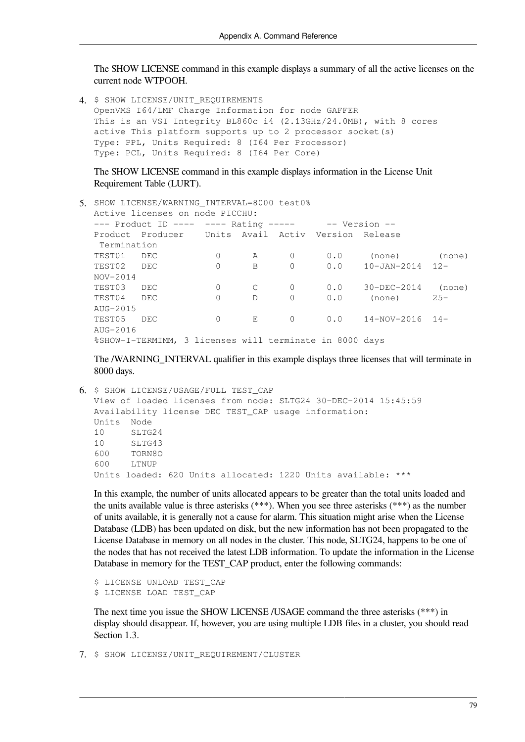The SHOW LICENSE command in this example displays a summary of all the active licenses on the current node WTPOOH.

4. \$ SHOW LICENSE/UNIT\_REQUIREMENTS OpenVMS I64/LMF Charge Information for node GAFFER This is an VSI Integrity BL860c i4 (2.13GHz/24.0MB), with 8 cores active This platform supports up to 2 processor socket(s) Type: PPL, Units Required: 8 (I64 Per Processor) Type: PCL, Units Required: 8 (I64 Per Core)

The SHOW LICENSE command in this example displays information in the License Unit Requirement Table (LURT).

```
5. SHOW LICENSE/WARNING_INTERVAL=8000 test0%
  Active licenses on node PICCHU:
  --- Product ID ---- ---- Rating ----- -- Version --
 Product Producer Units Avail Activ Version Release 
   Termination
  TEST01 DEC 0 A 0 0.0 (none) (none)
  TEST02 DEC 0 B 0 0.0 10-JAN-2014 12-
 NOV-2014
  TEST03 DEC 0 C 0 0.0 30-DEC-2014 (none)
  TEST04 DEC 0 D 0 0.0 (none) 25-
 AUG-2015
  TEST05 DEC 0 E 0 0.0 14-NOV-2016 14-
 AUG-2016
  %SHOW-I-TERMIMM, 3 licenses will terminate in 8000 days
```
The /WARNING INTERVAL qualifier in this example displays three licenses that will terminate in 8000 days.

```
6. $ SHOW LICENSE/USAGE/FULL TEST_CAP
  View of loaded licenses from node: SLTG24 30-DEC-2014 15:45:59
  Availability license DEC TEST_CAP usage information:
  Units Node
  10 SLTG24
  10 SLTG43
  600 TORN8O
  600 LTNUP
  Units loaded: 620 Units allocated: 1220 Units available: ***
```
In this example, the number of units allocated appears to be greater than the total units loaded and the units available value is three asterisks (\*\*\*). When you see three asterisks (\*\*\*) as the number of units available, it is generally not a cause for alarm. This situation might arise when the License Database (LDB) has been updated on disk, but the new information has not been propagated to the License Database in memory on all nodes in the cluster. This node, SLTG24, happens to be one of the nodes that has not received the latest LDB information. To update the information in the License Database in memory for the TEST\_CAP product, enter the following commands:

```
$ LICENSE UNLOAD TEST CAP
$ LICENSE LOAD TEST_CAP
```
The next time you issue the SHOW LICENSE /USAGE command the three asterisks (\*\*\*) in display should disappear. If, however, you are using multiple LDB files in a cluster, you should read [Section](#page-9-0) 1.3.

7. \$ SHOW LICENSE/UNIT\_REQUIREMENT/CLUSTER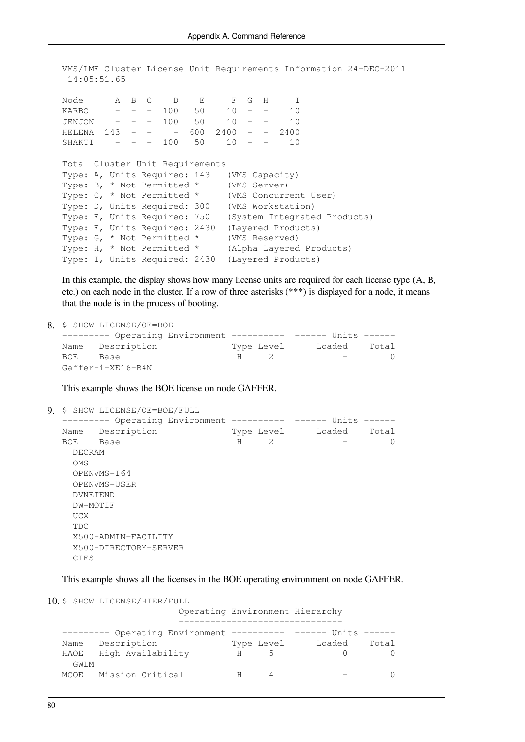VMS/LMF Cluster License Unit Requirements Information 24-DEC-2011 14:05:51.65

Node A B C D E F G H I KARBO - - - 100 50 10 - - 10 JENJON - - - 100 50 10 - - 10 HELENA 143 - - - 600 2400 - - 2400<br>SHAKTI - - - 100 50 10 - - 10 SHAKTI - - - 100 50 10 - - 10 Total Cluster Unit Requirements Type: A, Units Required: 143 (VMS Capacity) Type: B, \* Not Permitted \* (VMS Server) Type: C, \* Not Permitted \* (VMS Concurrent User) Type: D, Units Required: 300 (VMS Workstation) Type: E, Units Required: 750 (System Integrated Products) Type: F, Units Required: 2430 (Layered Products) Type: G, \* Not Permitted \* (VMS Reserved) Type: H, \* Not Permitted \* (Alpha Layered Products) Type: I, Units Required: 2430 (Layered Products)

In this example, the display shows how many license units are required for each license type  $(A, B, \theta)$ etc.) on each node in the cluster. If a row of three asterisks (\*\*\*) is displayed for a node, it means that the node is in the process of booting.

```
8. $ SHOW LICENSE/OE=BOE
  --------- Operating Environment ---------- ------ Units ------
 Name Description Type Level Loaded Total
 BOE Base H 2 - 0
 Gaffer-i-XE16-B4N
```
This example shows the BOE license on node GAFFER.

```
9. $ SHOW LICENSE/OE=BOE/FULL
```
--------- Operating Environment ---------- ------ Units ------Name Description Type Level Loaded Total  $BOE$  Base  $H$  2 - 0 DECRAM OMS OPENVMS-I64 OPENVMS-USER DVNETEND DW-MOTIF UCX TDC X500-ADMIN-FACILITY X500-DIRECTORY-SERVER CIFS

This example shows all the licenses in the BOE operating environment on node GAFFER.

```
10. $ SHOW LICENSE/HIER/FULL
```

|      |                                                              |   |            | Operating Environment Hierarchy |       |
|------|--------------------------------------------------------------|---|------------|---------------------------------|-------|
|      | ------- Operating Environment ---------- ------ Units ------ |   |            |                                 |       |
| Name | Description                                                  |   | Type Level | Loaded                          | Total |
| HAOE | High Availability                                            | Н | 5          |                                 |       |
| GWLM |                                                              |   |            |                                 |       |
|      | MCOE Mission Critical                                        |   |            |                                 |       |
|      |                                                              |   |            |                                 |       |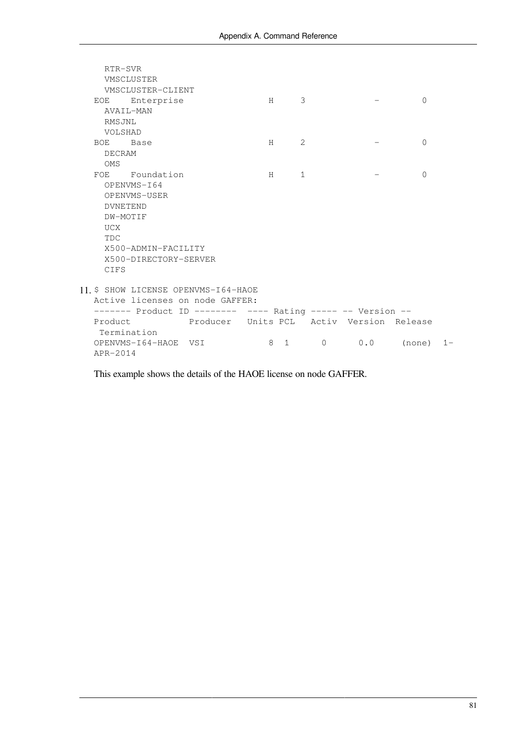| RTR-SVR    |                                                             |     |              |     |           |       |
|------------|-------------------------------------------------------------|-----|--------------|-----|-----------|-------|
|            | VMSCLUSTER                                                  |     |              |     |           |       |
|            | VMSCLUSTER-CLIENT                                           |     |              |     |           |       |
|            | EOE Enterprise                                              | H   | 3            |     | $\bigcap$ |       |
|            | AVAIL-MAN                                                   |     |              |     |           |       |
| RMSJNL     |                                                             |     |              |     |           |       |
| VOLSHAD    |                                                             |     |              |     |           |       |
| BOE Base   |                                                             | H   | 2            |     | $\Omega$  |       |
| DECRAM     |                                                             |     |              |     |           |       |
| <b>OMS</b> |                                                             |     |              |     |           |       |
|            | FOE Foundation                                              | H   | $\mathbf{1}$ |     | $\Omega$  |       |
|            | OPENVMS-I64                                                 |     |              |     |           |       |
|            | OPENVMS-USER                                                |     |              |     |           |       |
|            | <b>DVNETEND</b>                                             |     |              |     |           |       |
|            | DW-MOTIF                                                    |     |              |     |           |       |
| UCX        |                                                             |     |              |     |           |       |
| <b>TDC</b> |                                                             |     |              |     |           |       |
|            | X500-ADMIN-FACILITY                                         |     |              |     |           |       |
|            | X500-DIRECTORY-SERVER                                       |     |              |     |           |       |
| CIFS       |                                                             |     |              |     |           |       |
|            |                                                             |     |              |     |           |       |
|            | 11. \$ SHOW LICENSE OPENVMS-164-HAOE                        |     |              |     |           |       |
|            | Active licenses on node GAFFER:                             |     |              |     |           |       |
|            | ------- Product ID -------- ---- Rating ----- -- Version -- |     |              |     |           |       |
|            | Product Producer Units PCL Activ Version Release            |     |              |     |           |       |
|            | Termination                                                 |     |              |     |           |       |
|            | OPENVMS-164-HAOE VSI                                        | 8 1 | $\Omega$     | 0.0 | (none)    | $1 -$ |
| APR-2014   |                                                             |     |              |     |           |       |

This example shows the details of the HAOE license on node GAFFER.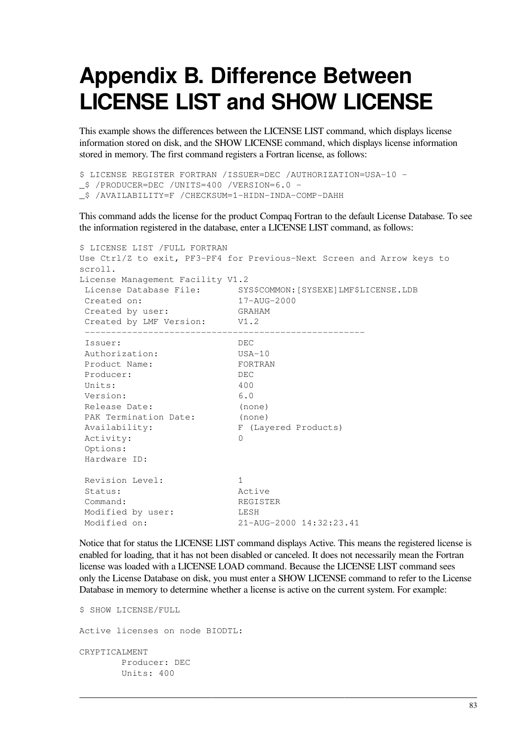# **Appendix B. Difference Between LICENSE LIST and SHOW LICENSE**

This example shows the differences between the LICENSE LIST command, which displays license information stored on disk, and the SHOW LICENSE command, which displays license information stored in memory. The first command registers a Fortran license, as follows:

```
$ LICENSE REGISTER FORTRAN /ISSUER=DEC /AUTHORIZATION=USA-10 -
_$ /PRODUCER=DEC /UNITS=400 /VERSION=6.0 -
_$ /AVAILABILITY=F /CHECKSUM=1-HIDN-INDA-COMP-DAHH
```
This command adds the license for the product Compaq Fortran to the default License Database. To see the information registered in the database, enter a LICENSE LIST command, as follows:

```
$ LICENSE LIST /FULL FORTRAN
Use Ctrl/Z to exit, PF3-PF4 for Previous-Next Screen and Arrow keys to
scroll.
License Management Facility V1.2
 License Database File: SYS$COMMON:[SYSEXE]LMF$LICENSE.LDB
 Created on: 17-AUG-2000
Created on: 17-AUG-<br>Created by user: GRAHAM
 Created by LMF Version: V1.2
 -----------------------------------------------------
 Issuer: DEC
 Authorization: USA-10
Product Name: FORTRAN
 Producer: DEC
Units: 400
 Version: 6.0
 Release Date: (none)
PAK Termination Date:
PAK Termination Date: (none)<br>Availability: F (Layered Products)
Activity: 0
 Options:
 Hardware ID:
Revision Level: 1
Status: Active
 Command: REGISTER 
 Modified by user: LESH
 Modified on: 21-AUG-2000 14:32:23.41
```
Notice that for status the LICENSE LIST command displays Active. This means the registered license is enabled for loading, that it has not been disabled or canceled. It does not necessarily mean the Fortran license was loaded with a LICENSE LOAD command. Because the LICENSE LIST command sees only the License Database on disk, you must enter a SHOW LICENSE command to refer to the License Database in memory to determine whether a license is active on the current system. For example:

```
$ SHOW LICENSE/FULL
Active licenses on node BIODTL: 
CRYPTICALMENT 
        Producer: DEC 
         Units: 400
```